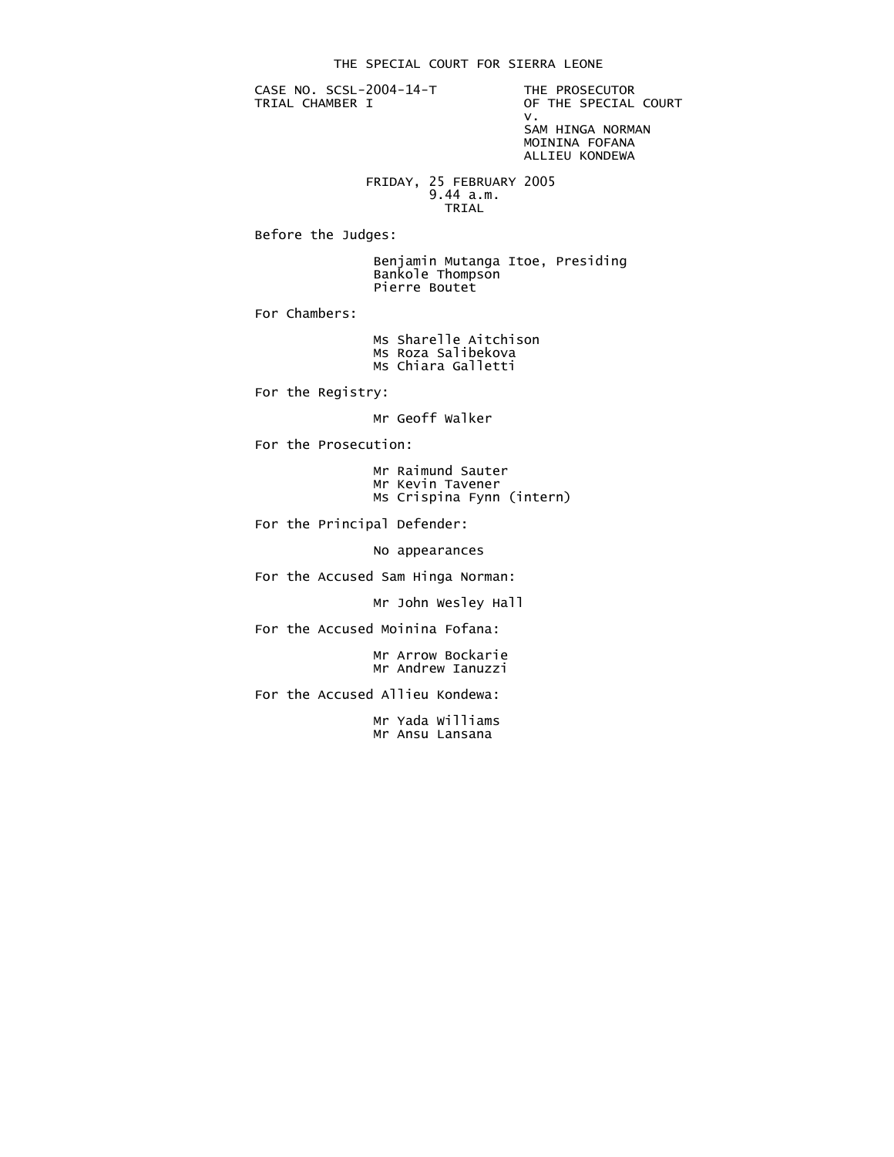CASE NO. SCSL-2004-14-T THE PROSECUTOR<br>TRIAL CHAMBER I OF THE SPECIAL

OF THE SPECIAL COURT<br>V. v. SAM HINGA NORMAN MOININA FOFANA

ALLIEU KONDEWA

 FRIDAY, 25 FEBRUARY 2005 9.44 a.m. **TRIAL** 

Before the Judges:

 Benjamin Mutanga Itoe, Presiding Bankole Thompson Pierre Boutet

For Chambers:

 Ms Sharelle Aitchison Ms Roza Salibekova Ms Chiara Galletti

For the Registry:

Mr Geoff Walker

For the Prosecution:

 Mr Raimund Sauter Mr Kevin Tavener Ms Crispina Fynn (intern)

For the Principal Defender:

No appearances

For the Accused Sam Hinga Norman:

Mr John Wesley Hall

For the Accused Moinina Fofana:

 Mr Arrow Bockarie Mr Andrew Ianuzzi

For the Accused Allieu Kondewa:

 Mr Yada Williams Mr Ansu Lansana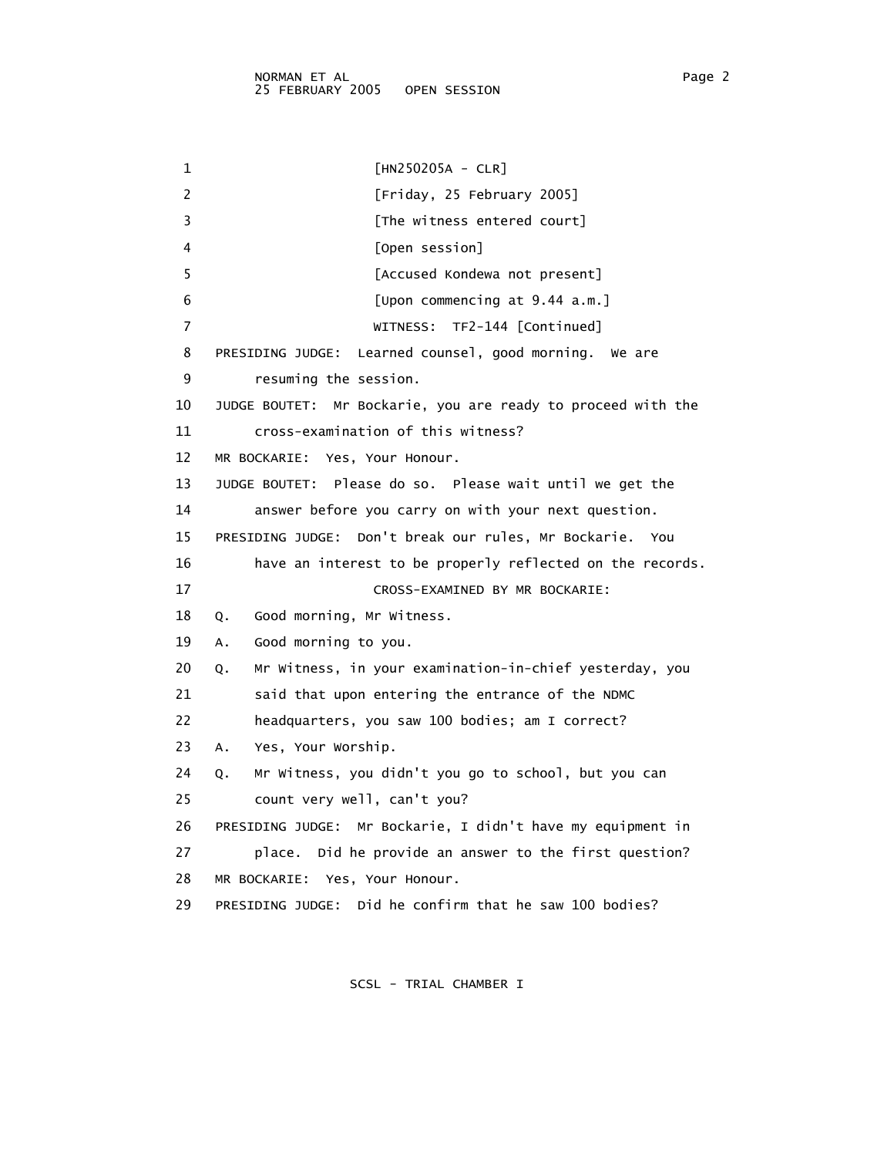1 [HN250205A - CLR] 2 [Friday, 25 February 2005] 3 [The witness entered court] 4 [Open session] 5 [Accused Kondewa not present] 6 [Upon commencing at 9.44 a.m.] 7 WITNESS: TF2-144 [Continued] 8 PRESIDING JUDGE: Learned counsel, good morning. We are 9 resuming the session. 10 JUDGE BOUTET: Mr Bockarie, you are ready to proceed with the 11 cross-examination of this witness? 12 MR BOCKARIE: Yes, Your Honour. 13 JUDGE BOUTET: Please do so. Please wait until we get the 14 answer before you carry on with your next question. 15 PRESIDING JUDGE: Don't break our rules, Mr Bockarie. You 16 have an interest to be properly reflected on the records. 17 CROSS-EXAMINED BY MR BOCKARIE: 18 Q. Good morning, Mr Witness. 19 A. Good morning to you. 20 Q. Mr Witness, in your examination-in-chief yesterday, you 21 said that upon entering the entrance of the NDMC 22 headquarters, you saw 100 bodies; am I correct? 23 A. Yes, Your Worship. 24 Q. Mr Witness, you didn't you go to school, but you can 25 count very well, can't you? 26 PRESIDING JUDGE: Mr Bockarie, I didn't have my equipment in 27 place. Did he provide an answer to the first question? 28 MR BOCKARIE: Yes, Your Honour. 29 PRESIDING JUDGE: Did he confirm that he saw 100 bodies?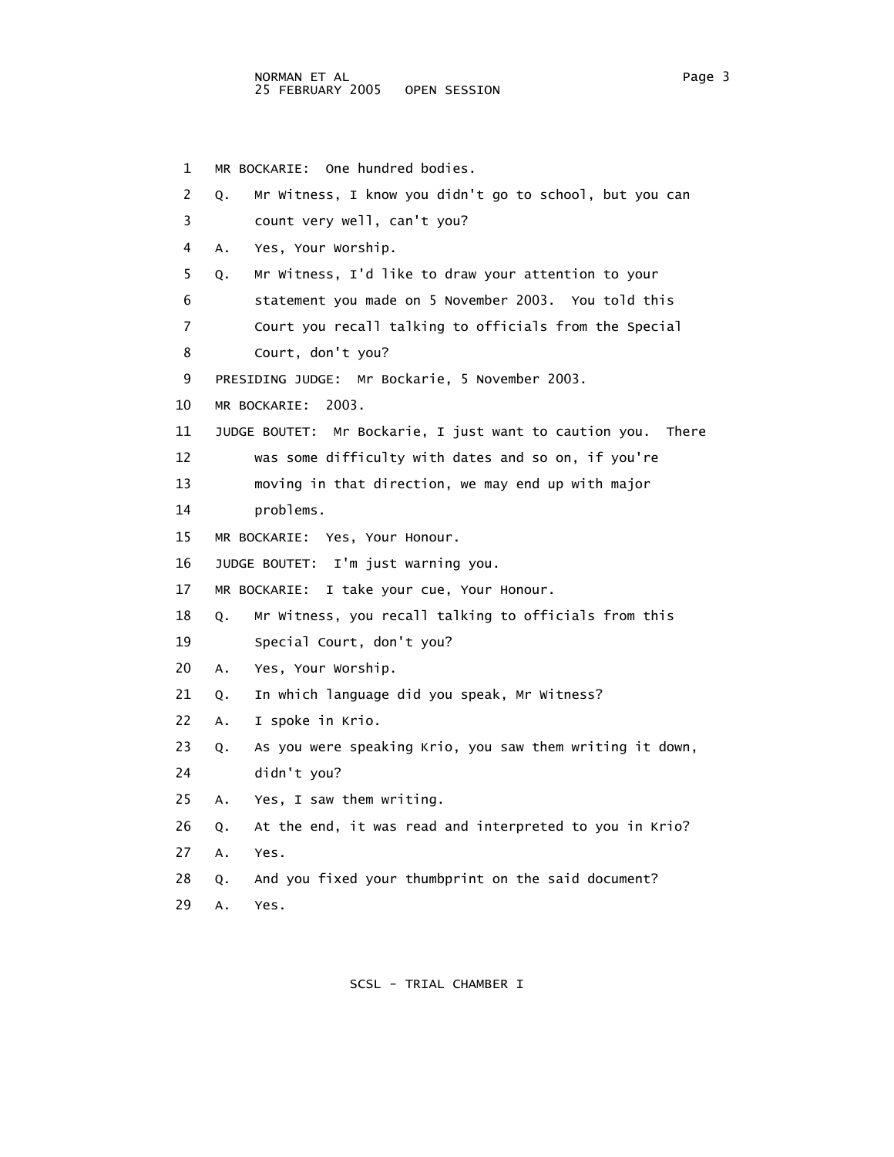1 MR BOCKARIE: One hundred bodies. 2 Q. Mr Witness, I know you didn't go to school, but you can 3 count very well, can't you? 4 A. Yes, Your Worship. 5 Q. Mr Witness, I'd like to draw your attention to your 6 statement you made on 5 November 2003. You told this 7 Court you recall talking to officials from the Special 8 Court, don't you? 9 PRESIDING JUDGE: Mr Bockarie, 5 November 2003. 10 MR BOCKARIE: 2003. 11 JUDGE BOUTET: Mr Bockarie, I just want to caution you. There 12 was some difficulty with dates and so on, if you're 13 moving in that direction, we may end up with major 14 problems. 15 MR BOCKARIE: Yes, Your Honour. 16 JUDGE BOUTET: I'm just warning you. 17 MR BOCKARIE: I take your cue, Your Honour. 18 Q. Mr Witness, you recall talking to officials from this 19 Special Court, don't you? 20 A. Yes, Your Worship. 21 Q. In which language did you speak, Mr Witness? 22 A. I spoke in Krio. 23 Q. As you were speaking Krio, you saw them writing it down, 24 didn't you? 25 A. Yes, I saw them writing. 26 Q. At the end, it was read and interpreted to you in Krio? 27 A. Yes. 28 Q. And you fixed your thumbprint on the said document? 29 A. Yes.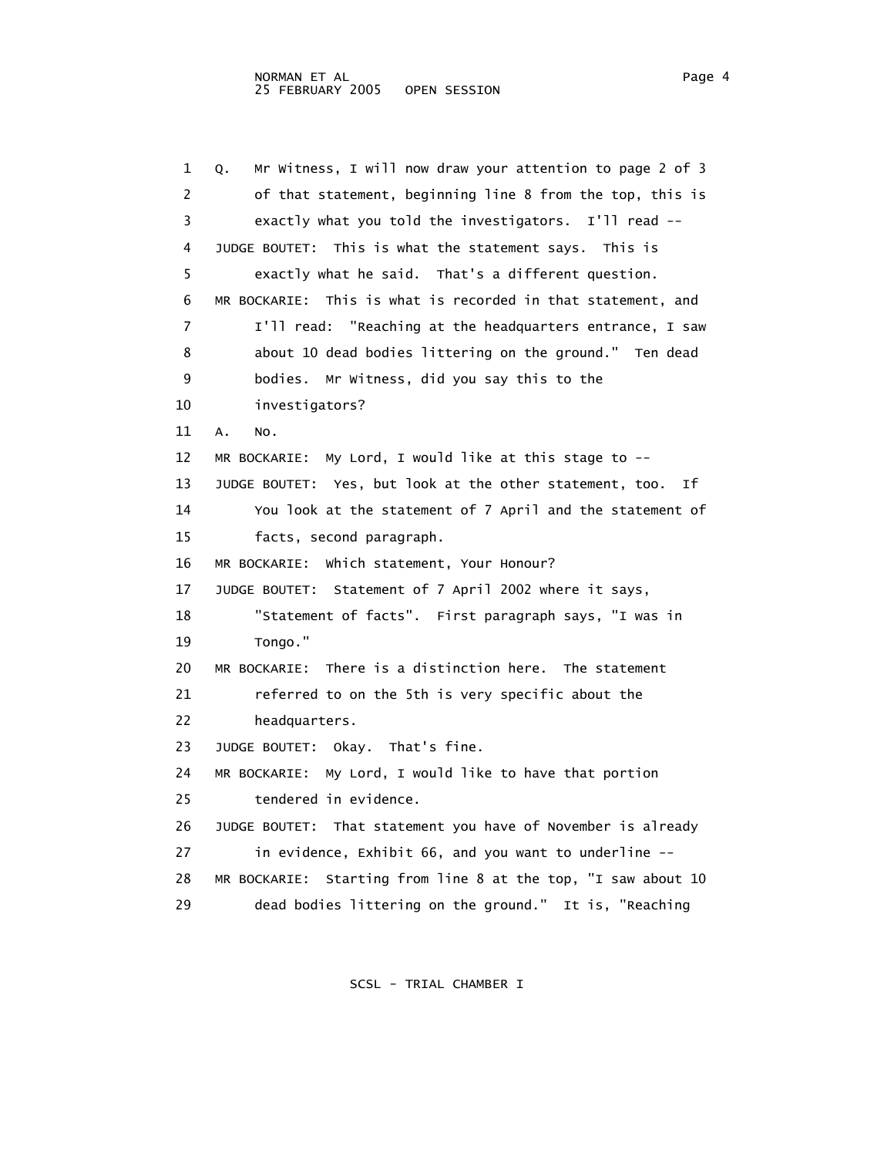1 Q. Mr Witness, I will now draw your attention to page 2 of 3 2 of that statement, beginning line 8 from the top, this is 3 exactly what you told the investigators. I'll read -- 4 JUDGE BOUTET: This is what the statement says. This is 5 exactly what he said. That's a different question. 6 MR BOCKARIE: This is what is recorded in that statement, and 7 I'll read: "Reaching at the headquarters entrance, I saw 8 about 10 dead bodies littering on the ground." Ten dead 9 bodies. Mr Witness, did you say this to the 10 investigators? 11 A. No. 12 MR BOCKARIE: My Lord, I would like at this stage to -- 13 JUDGE BOUTET: Yes, but look at the other statement, too. If 14 You look at the statement of 7 April and the statement of 15 facts, second paragraph. 16 MR BOCKARIE: Which statement, Your Honour? 17 JUDGE BOUTET: Statement of 7 April 2002 where it says, 18 "Statement of facts". First paragraph says, "I was in 19 Tongo." 20 MR BOCKARIE: There is a distinction here. The statement 21 referred to on the 5th is very specific about the 22 headquarters. 23 JUDGE BOUTET: Okay. That's fine. 24 MR BOCKARIE: My Lord, I would like to have that portion 25 tendered in evidence. 26 JUDGE BOUTET: That statement you have of November is already 27 in evidence, Exhibit 66, and you want to underline -- 28 MR BOCKARIE: Starting from line 8 at the top, "I saw about 10 29 dead bodies littering on the ground." It is, "Reaching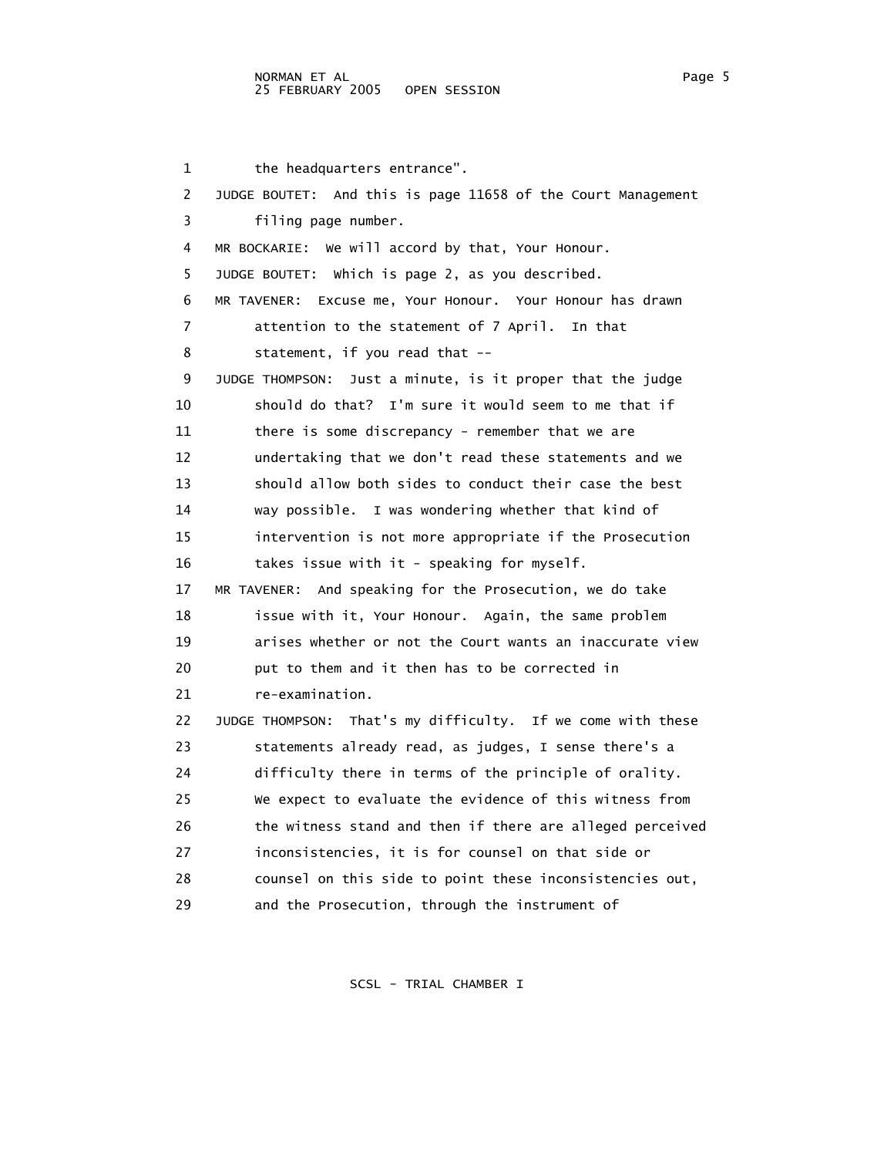### NORMAN ET AL Page 5 25 FEBRUARY 2005

1 the headquarters entrance". 2 JUDGE BOUTET: And this is page 11658 of the Court Management 3 filing page number. 4 MR BOCKARIE: We will accord by that, Your Honour. 5 JUDGE BOUTET: Which is page 2, as you described. 6 MR TAVENER: Excuse me, Your Honour. Your Honour has drawn 7 attention to the statement of 7 April. In that 8 statement, if you read that -- 9 JUDGE THOMPSON: Just a minute, is it proper that the judge 10 should do that? I'm sure it would seem to me that if 11 there is some discrepancy - remember that we are 12 undertaking that we don't read these statements and we 13 should allow both sides to conduct their case the best 14 way possible. I was wondering whether that kind of 15 intervention is not more appropriate if the Prosecution 16 takes issue with it - speaking for myself. 17 MR TAVENER: And speaking for the Prosecution, we do take 18 issue with it, Your Honour. Again, the same problem 19 arises whether or not the Court wants an inaccurate view 20 **put to them and it then has to be corrected in**  21 re-examination. 22 JUDGE THOMPSON: That's my difficulty. If we come with these 23 statements already read, as judges, I sense there's a 24 difficulty there in terms of the principle of orality. 25 We expect to evaluate the evidence of this witness from 26 the witness stand and then if there are alleged perceived 27 inconsistencies, it is for counsel on that side or 28 counsel on this side to point these inconsistencies out, 29 and the Prosecution, through the instrument of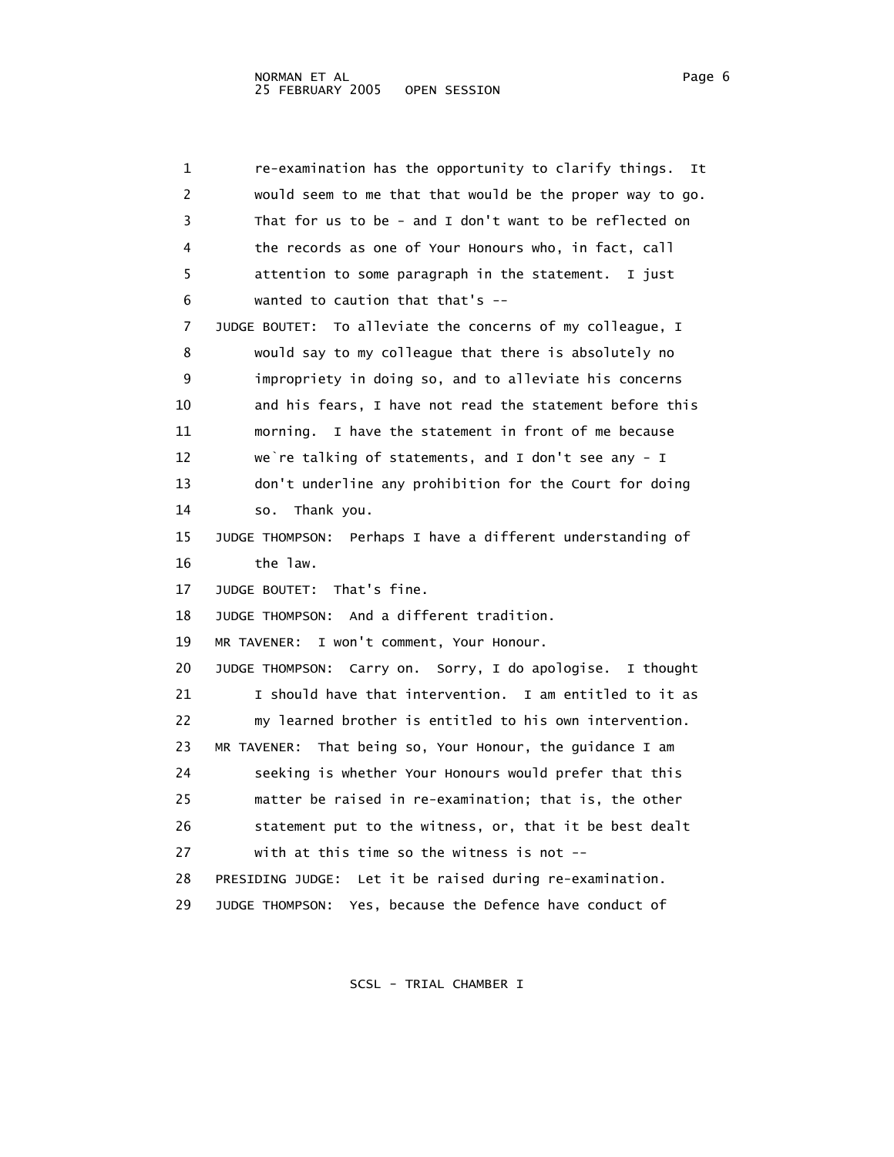1 re-examination has the opportunity to clarify things. It 2 would seem to me that that would be the proper way to go. 3 That for us to be - and I don't want to be reflected on 4 the records as one of Your Honours who, in fact, call 5 attention to some paragraph in the statement. I just 6 wanted to caution that that's -- 7 JUDGE BOUTET: To alleviate the concerns of my colleague, I 8 would say to my colleague that there is absolutely no 9 impropriety in doing so, and to alleviate his concerns 10 and his fears, I have not read the statement before this 11 morning. I have the statement in front of me because 12 we`re talking of statements, and I don't see any - I 13 don't underline any prohibition for the Court for doing 14 so. Thank you. 15 JUDGE THOMPSON: Perhaps I have a different understanding of 16 the law. 17 JUDGE BOUTET: That's fine. 18 JUDGE THOMPSON: And a different tradition. 19 MR TAVENER: I won't comment, Your Honour. 20 JUDGE THOMPSON: Carry on. Sorry, I do apologise. I thought 21 I should have that intervention. I am entitled to it as 22 my learned brother is entitled to his own intervention. 23 MR TAVENER: That being so, Your Honour, the guidance I am 24 seeking is whether Your Honours would prefer that this 25 matter be raised in re-examination; that is, the other 26 statement put to the witness, or, that it be best dealt 27 with at this time so the witness is not -- 28 PRESIDING JUDGE: Let it be raised during re-examination. 29 JUDGE THOMPSON: Yes, because the Defence have conduct of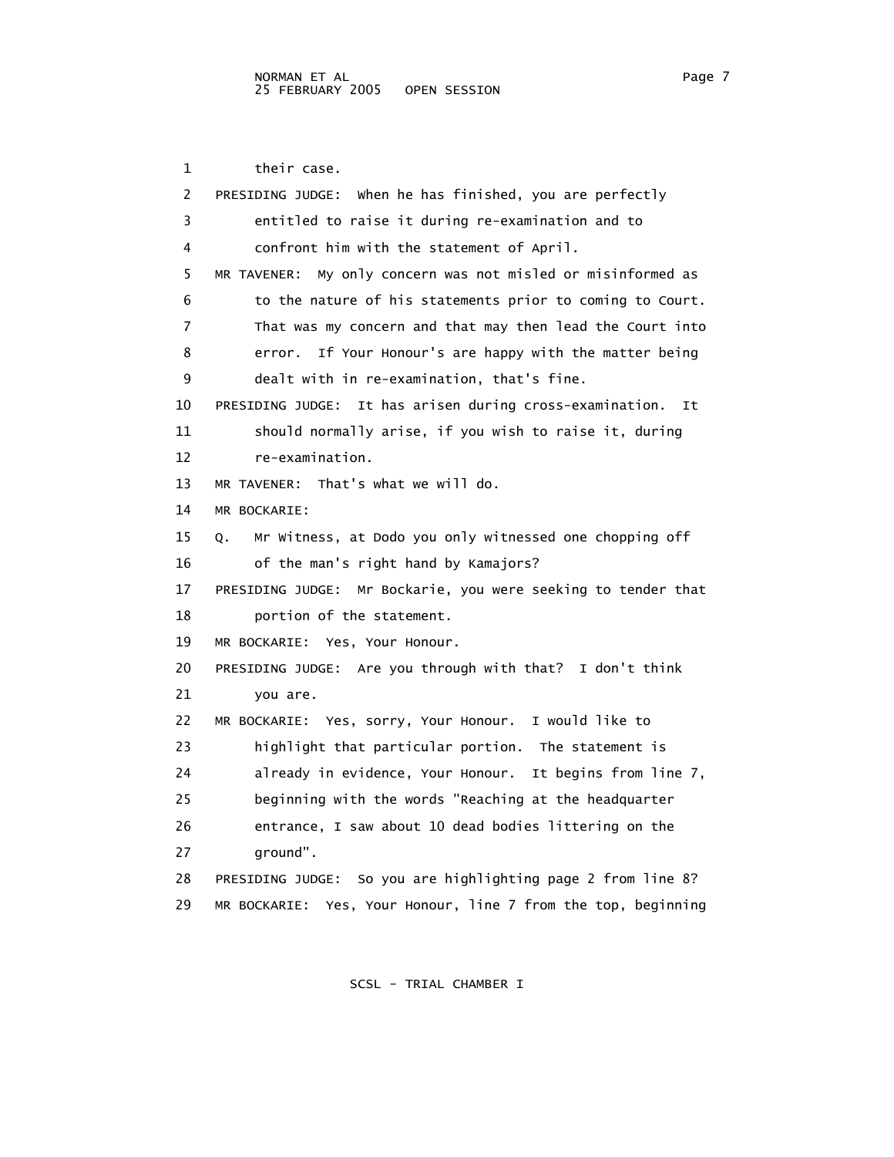1 their case. 2 PRESIDING JUDGE: When he has finished, you are perfectly 3 entitled to raise it during re-examination and to 4 confront him with the statement of April. 5 MR TAVENER: My only concern was not misled or misinformed as 6 to the nature of his statements prior to coming to Court. 7 That was my concern and that may then lead the Court into 8 error. If Your Honour's are happy with the matter being 9 dealt with in re-examination, that's fine. 10 PRESIDING JUDGE: It has arisen during cross-examination. It 11 should normally arise, if you wish to raise it, during 12 re-examination. 13 MR TAVENER: That's what we will do. 14 MR BOCKARIE: 15 Q. Mr Witness, at Dodo you only witnessed one chopping off 16 of the man's right hand by Kamajors? 17 PRESIDING JUDGE: Mr Bockarie, you were seeking to tender that 18 portion of the statement. 19 MR BOCKARIE: Yes, Your Honour. 20 PRESIDING JUDGE: Are you through with that? I don't think 21 you are. 22 MR BOCKARIE: Yes, sorry, Your Honour. I would like to 23 highlight that particular portion. The statement is 24 already in evidence, Your Honour. It begins from line 7, 25 beginning with the words "Reaching at the headquarter 26 entrance, I saw about 10 dead bodies littering on the 27 ground". 28 PRESIDING JUDGE: So you are highlighting page 2 from line 8? 29 MR BOCKARIE: Yes, Your Honour, line 7 from the top, beginning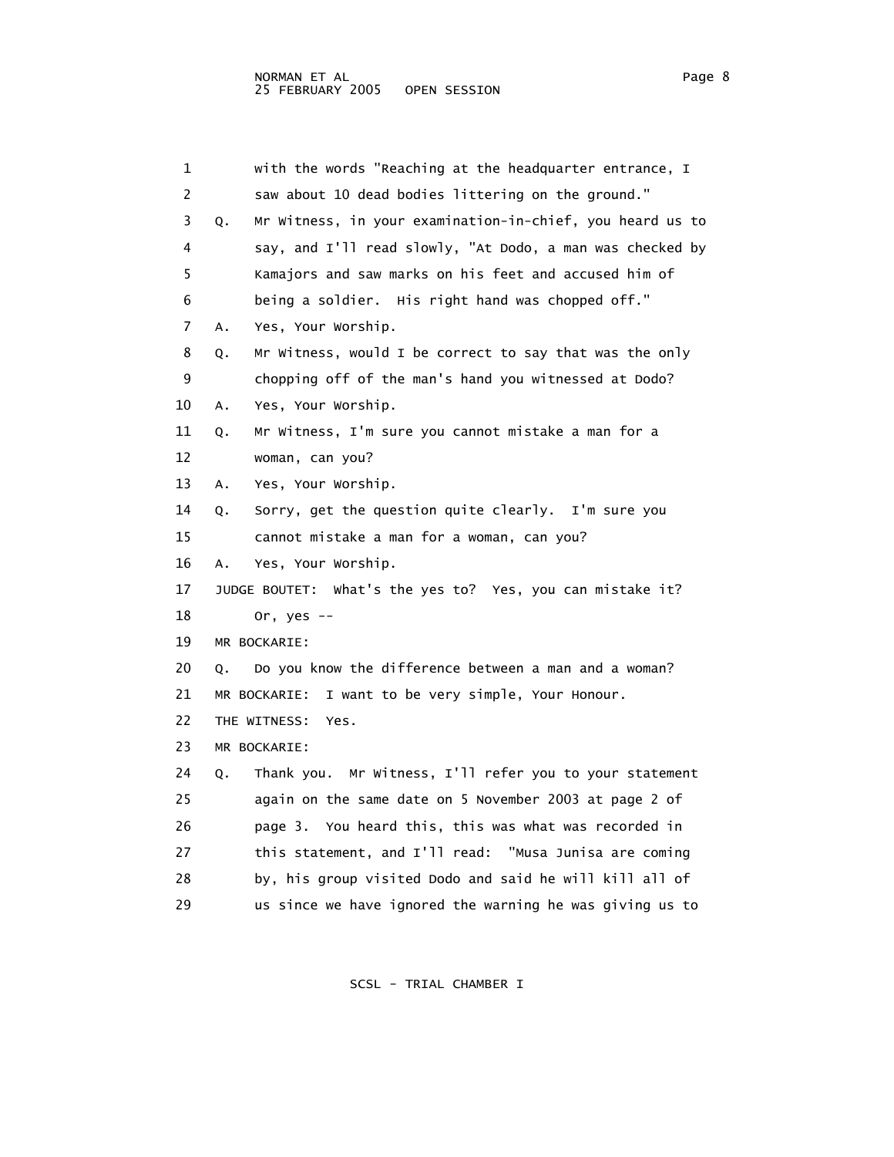| 1  | with the words "Reaching at the headquarter entrance, I         |
|----|-----------------------------------------------------------------|
| 2  | saw about 10 dead bodies littering on the ground."              |
| 3  | Mr Witness, in your examination-in-chief, you heard us to<br>Q. |
| 4  | say, and I'll read slowly, "At Dodo, a man was checked by       |
| 5  | Kamajors and saw marks on his feet and accused him of           |
| 6  | being a soldier. His right hand was chopped off."               |
| 7  | Yes, Your Worship.<br>Α.                                        |
| 8  | Mr Witness, would I be correct to say that was the only<br>Q.   |
| 9  | chopping off of the man's hand you witnessed at Dodo?           |
| 10 | Yes, Your Worship.<br>Α.                                        |
| 11 | Mr Witness, I'm sure you cannot mistake a man for a<br>Q.       |
| 12 | woman, can you?                                                 |
| 13 | Yes, Your Worship.<br>Α.                                        |
| 14 | Sorry, get the question quite clearly. I'm sure you<br>Q.       |
| 15 | cannot mistake a man for a woman, can you?                      |
| 16 | Yes, Your Worship.<br>А.                                        |
| 17 | JUDGE BOUTET: What's the yes to? Yes, you can mistake it?       |
| 18 | Or, yes $--$                                                    |
| 19 | MR BOCKARIE:                                                    |
| 20 | Do you know the difference between a man and a woman?<br>Q.     |
| 21 | I want to be very simple, Your Honour.<br>MR BOCKARIE:          |
| 22 | THE WITNESS:<br>Yes.                                            |
| 23 | MR BOCKARIE:                                                    |
| 24 | Thank you. Mr Witness, I'll refer you to your statement<br>Q.   |
| 25 | again on the same date on 5 November 2003 at page 2 of          |
| 26 | page 3. You heard this, this was what was recorded in           |
| 27 | this statement, and I'll read: "Musa Junisa are coming          |
| 28 | by, his group visited Dodo and said he will kill all of         |
| 29 | us since we have ignored the warning he was giving us to        |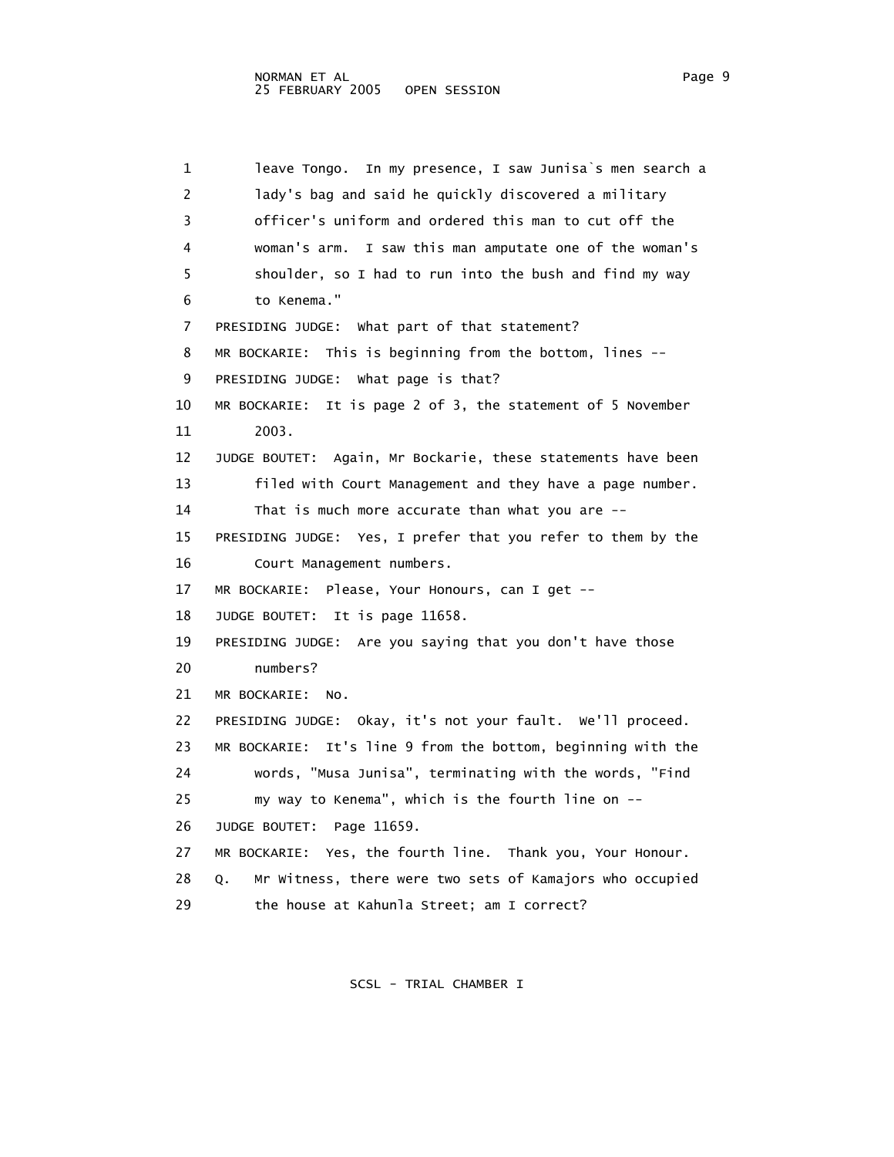1 leave Tongo. In my presence, I saw Junisa`s men search a 2 lady's bag and said he quickly discovered a military 3 officer's uniform and ordered this man to cut off the 4 woman's arm. I saw this man amputate one of the woman's 5 shoulder, so I had to run into the bush and find my way 6 to Kenema." 7 PRESIDING JUDGE: What part of that statement? 8 MR BOCKARIE: This is beginning from the bottom, lines -- 9 PRESIDING JUDGE: What page is that? 10 MR BOCKARIE: It is page 2 of 3, the statement of 5 November 11 2003. 12 JUDGE BOUTET: Again, Mr Bockarie, these statements have been 13 filed with Court Management and they have a page number. 14 That is much more accurate than what you are -- 15 PRESIDING JUDGE: Yes, I prefer that you refer to them by the 16 Court Management numbers. 17 MR BOCKARIE: Please, Your Honours, can I get -- 18 JUDGE BOUTET: It is page 11658. 19 PRESIDING JUDGE: Are you saying that you don't have those 20 numbers? 21 MR BOCKARIE: No. 22 PRESIDING JUDGE: Okay, it's not your fault. We'll proceed. 23 MR BOCKARIE: It's line 9 from the bottom, beginning with the 24 words, "Musa Junisa", terminating with the words, "Find 25 my way to Kenema", which is the fourth line on -- 26 JUDGE BOUTET: Page 11659. 27 MR BOCKARIE: Yes, the fourth line. Thank you, Your Honour. 28 Q. Mr Witness, there were two sets of Kamajors who occupied 29 the house at Kahunla Street; am I correct?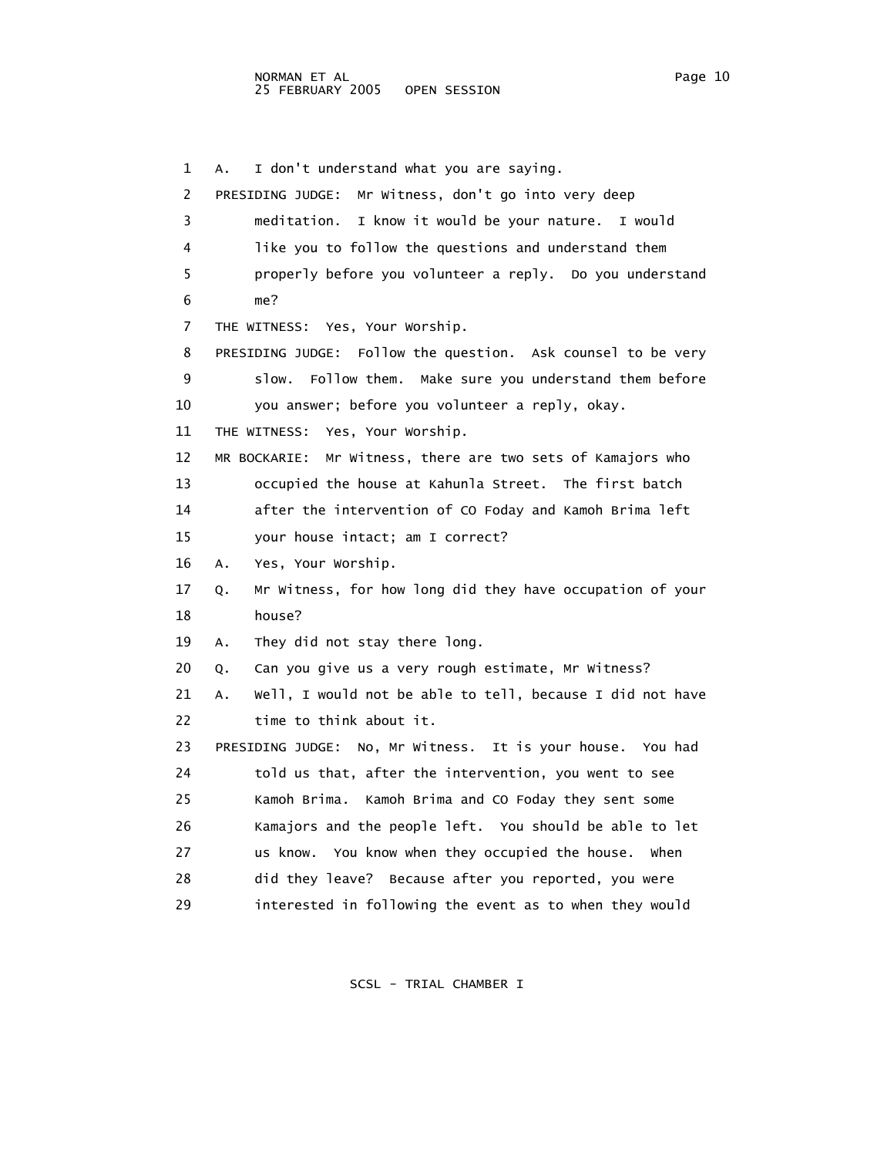1 A. I don't understand what you are saying. 2 PRESIDING JUDGE: Mr Witness, don't go into very deep 3 meditation. I know it would be your nature. I would 4 like you to follow the questions and understand them 5 properly before you volunteer a reply. Do you understand 6 me? 7 THE WITNESS: Yes, Your Worship. 8 PRESIDING JUDGE: Follow the question. Ask counsel to be very 9 slow. Follow them. Make sure you understand them before 10 you answer; before you volunteer a reply, okay. 11 THE WITNESS: Yes, Your Worship. 12 MR BOCKARIE: Mr Witness, there are two sets of Kamajors who 13 occupied the house at Kahunla Street. The first batch 14 after the intervention of CO Foday and Kamoh Brima left 15 your house intact; am I correct? 16 A. Yes, Your Worship. 17 Q. Mr Witness, for how long did they have occupation of your 18 house? 19 A. They did not stay there long. 20 Q. Can you give us a very rough estimate, Mr Witness? 21 A. Well, I would not be able to tell, because I did not have 22 time to think about it. 23 PRESIDING JUDGE: No, Mr Witness. It is your house. You had 24 told us that, after the intervention, you went to see 25 Kamoh Brima. Kamoh Brima and CO Foday they sent some 26 Kamajors and the people left. You should be able to let 27 us know. You know when they occupied the house. When 28 did they leave? Because after you reported, you were 29 interested in following the event as to when they would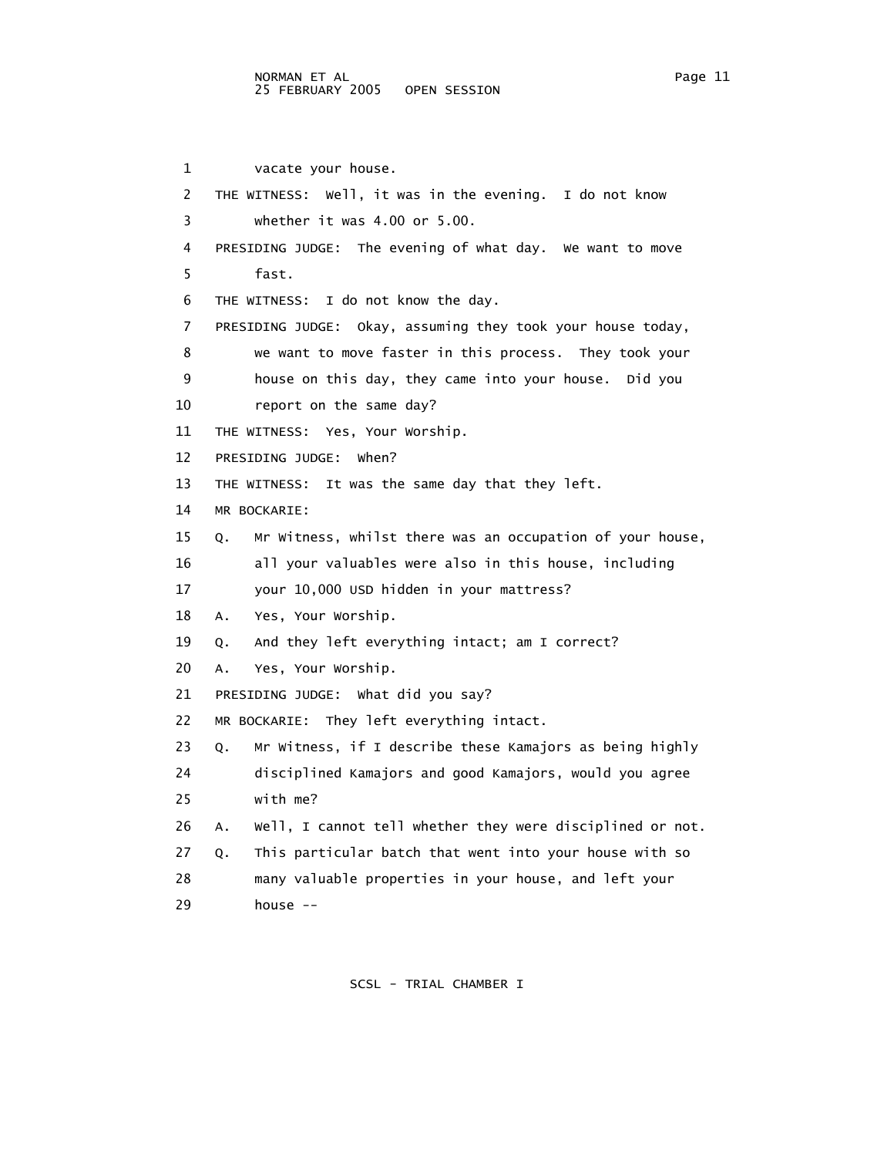1 vacate your house. 2 THE WITNESS: Well, it was in the evening. I do not know 3 whether it was 4.00 or 5.00. 4 PRESIDING JUDGE: The evening of what day. We want to move 5 fast. 6 THE WITNESS: I do not know the day. 7 PRESIDING JUDGE: Okay, assuming they took your house today, 8 we want to move faster in this process. They took your 9 house on this day, they came into your house. Did you 10 report on the same day? 11 THE WITNESS: Yes, Your Worship. 12 PRESIDING JUDGE: When? 13 THE WITNESS: It was the same day that they left. 14 MR BOCKARIE: 15 Q. Mr Witness, whilst there was an occupation of your house, 16 all your valuables were also in this house, including 17 your 10,000 USD hidden in your mattress? 18 A. Yes, Your Worship. 19 Q. And they left everything intact; am I correct? 20 A. Yes, Your Worship. 21 PRESIDING JUDGE: What did you say? 22 MR BOCKARIE: They left everything intact. 23 Q. Mr Witness, if I describe these Kamajors as being highly 24 disciplined Kamajors and good Kamajors, would you agree 25 with me? 26 A. Well, I cannot tell whether they were disciplined or not. 27 Q. This particular batch that went into your house with so 28 many valuable properties in your house, and left your 29 house --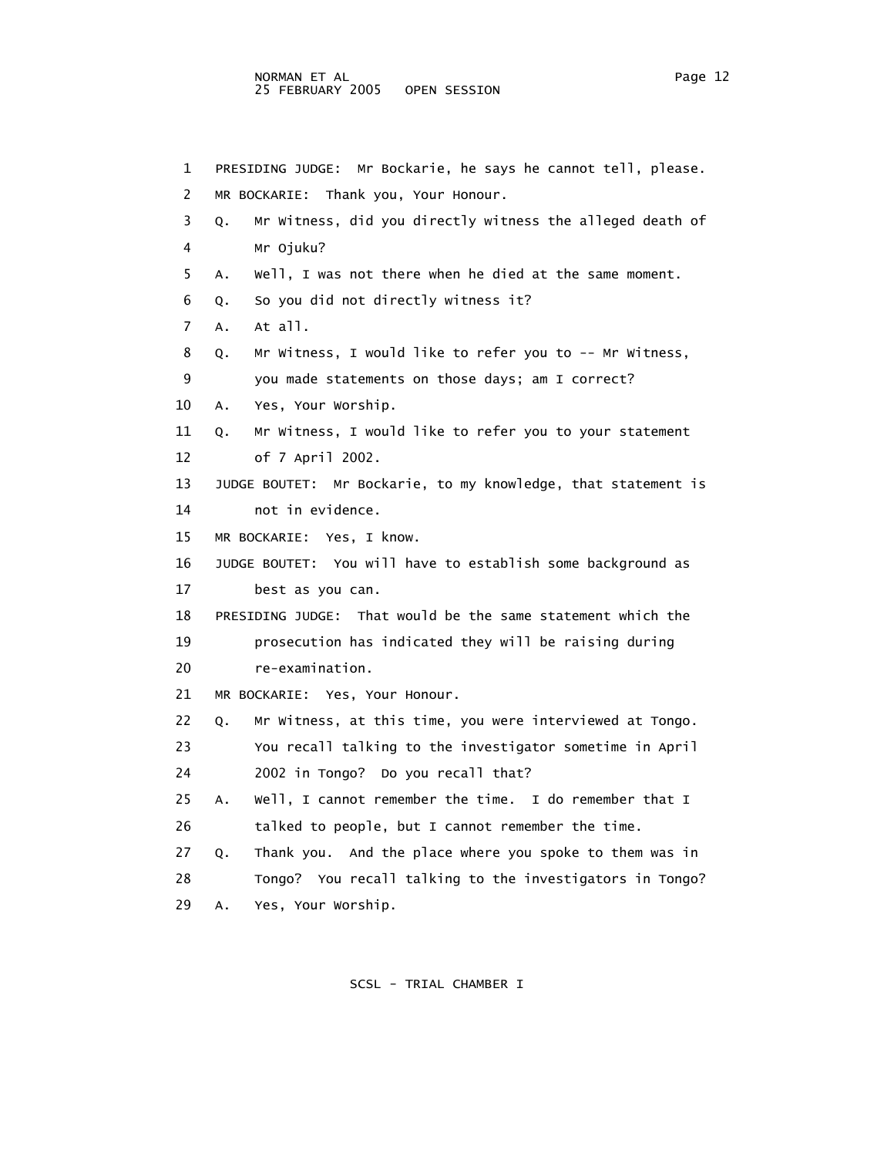1 PRESIDING JUDGE: Mr Bockarie, he says he cannot tell, please. 2 MR BOCKARIE: Thank you, Your Honour. 3 Q. Mr Witness, did you directly witness the alleged death of 4 Mr Ojuku? 5 A. Well, I was not there when he died at the same moment. 6 Q. So you did not directly witness it? 7 A. At all. 8 Q. Mr Witness, I would like to refer you to -- Mr Witness, 9 you made statements on those days; am I correct? 10 A. Yes, Your Worship. 11 Q. Mr Witness, I would like to refer you to your statement 12 of 7 April 2002. 13 JUDGE BOUTET: Mr Bockarie, to my knowledge, that statement is 14 not in evidence. 15 MR BOCKARIE: Yes, I know. 16 JUDGE BOUTET: You will have to establish some background as 17 best as you can. 18 PRESIDING JUDGE: That would be the same statement which the 19 prosecution has indicated they will be raising during 20 re-examination. 21 MR BOCKARIE: Yes, Your Honour. 22 Q. Mr Witness, at this time, you were interviewed at Tongo. 23 You recall talking to the investigator sometime in April 24 2002 in Tongo? Do you recall that? 25 A. Well, I cannot remember the time. I do remember that I 26 talked to people, but I cannot remember the time. 27 Q. Thank you. And the place where you spoke to them was in 28 Tongo? You recall talking to the investigators in Tongo? 29 A. Yes, Your Worship.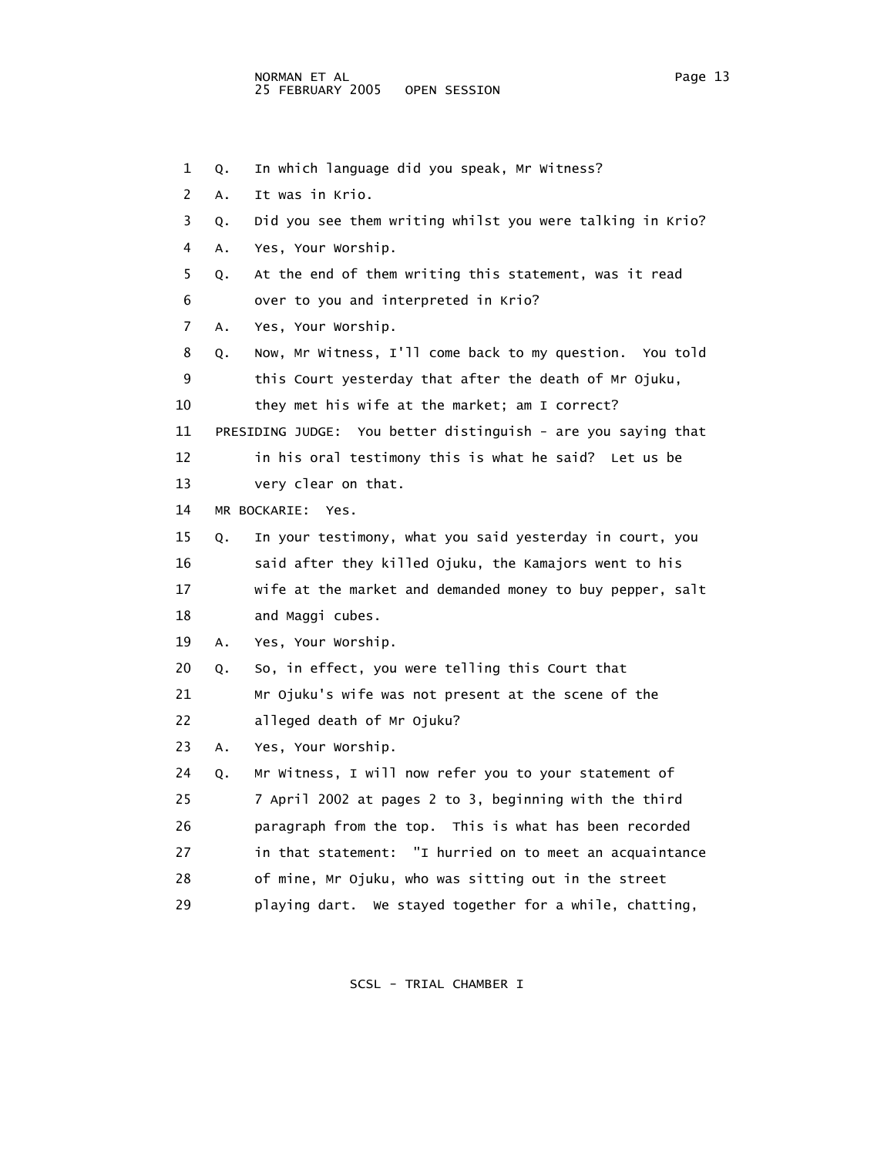1 Q. In which language did you speak, Mr Witness? 2 A. It was in Krio. 3 Q. Did you see them writing whilst you were talking in Krio? 4 A. Yes, Your Worship. 5 Q. At the end of them writing this statement, was it read 6 over to you and interpreted in Krio? 7 A. Yes, Your Worship. 8 Q. Now, Mr Witness, I'll come back to my question. You told 9 this Court yesterday that after the death of Mr Ojuku, 10 they met his wife at the market; am I correct? 11 PRESIDING JUDGE: You better distinguish - are you saying that 12 in his oral testimony this is what he said? Let us be 13 very clear on that. 14 MR BOCKARIE: Yes. 15 Q. In your testimony, what you said yesterday in court, you 16 said after they killed Ojuku, the Kamajors went to his 17 wife at the market and demanded money to buy pepper, salt 18 and Maggi cubes. 19 A. Yes, Your Worship. 20 Q. So, in effect, you were telling this Court that 21 Mr Ojuku's wife was not present at the scene of the 22 alleged death of Mr Ojuku? 23 A. Yes, Your Worship. 24 Q. Mr Witness, I will now refer you to your statement of 25 7 April 2002 at pages 2 to 3, beginning with the third 26 paragraph from the top. This is what has been recorded 27 in that statement: "I hurried on to meet an acquaintance 28 of mine, Mr Ojuku, who was sitting out in the street

29 playing dart. We stayed together for a while, chatting,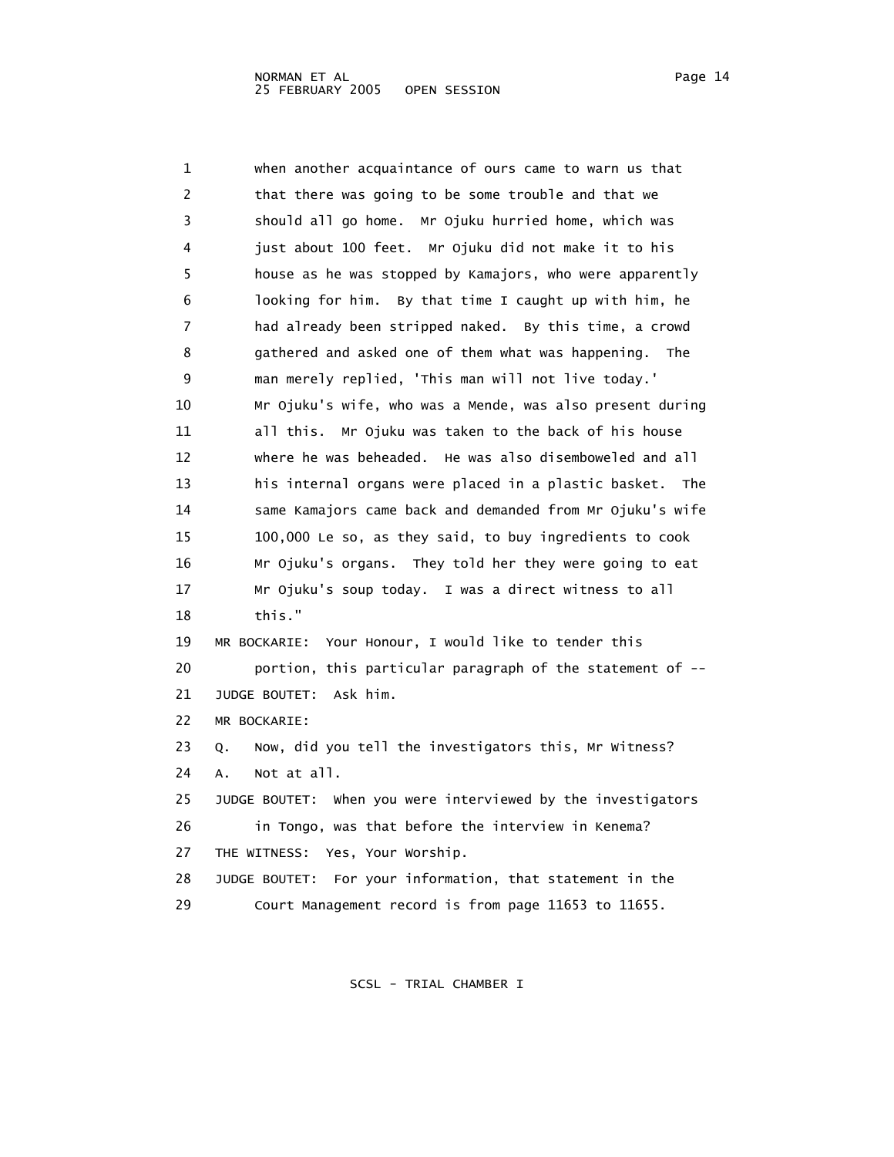| 1  | when another acquaintance of ours came to warn us that       |
|----|--------------------------------------------------------------|
| 2  | that there was going to be some trouble and that we          |
| 3  | should all go home. Mr Ojuku hurried home, which was         |
| 4  | just about 100 feet. Mr Ojuku did not make it to his         |
| 5  | house as he was stopped by Kamajors, who were apparently     |
| 6  | looking for him. By that time I caught up with him, he       |
| 7  | had already been stripped naked. By this time, a crowd       |
| 8  | gathered and asked one of them what was happening. The       |
| 9  | man merely replied, 'This man will not live today.'          |
| 10 | Mr Ojuku's wife, who was a Mende, was also present during    |
| 11 | all this. Mr Ojuku was taken to the back of his house        |
| 12 | where he was beheaded. He was also disemboweled and all      |
| 13 | his internal organs were placed in a plastic basket.<br>The  |
| 14 | same Kamajors came back and demanded from Mr Ojuku's wife    |
| 15 | 100,000 Le so, as they said, to buy ingredients to cook      |
| 16 | Mr Ojuku's organs. They told her they were going to eat      |
| 17 | Mr Ojuku's soup today. I was a direct witness to all         |
| 18 | this."                                                       |
| 19 | MR BOCKARIE: Your Honour, I would like to tender this        |
| 20 | portion, this particular paragraph of the statement of --    |
| 21 | JUDGE BOUTET:<br>Ask him.                                    |
| 22 | MR BOCKARIE:                                                 |
| 23 | Now, did you tell the investigators this, Mr Witness?<br>Q.  |
| 24 | Not at all.<br>А.                                            |
| 25 | JUDGE BOUTET: When you were interviewed by the investigators |
| 26 | in Tongo, was that before the interview in Kenema?           |

27 THE WITNESS: Yes, Your Worship.

 28 JUDGE BOUTET: For your information, that statement in the 29 Court Management record is from page 11653 to 11655.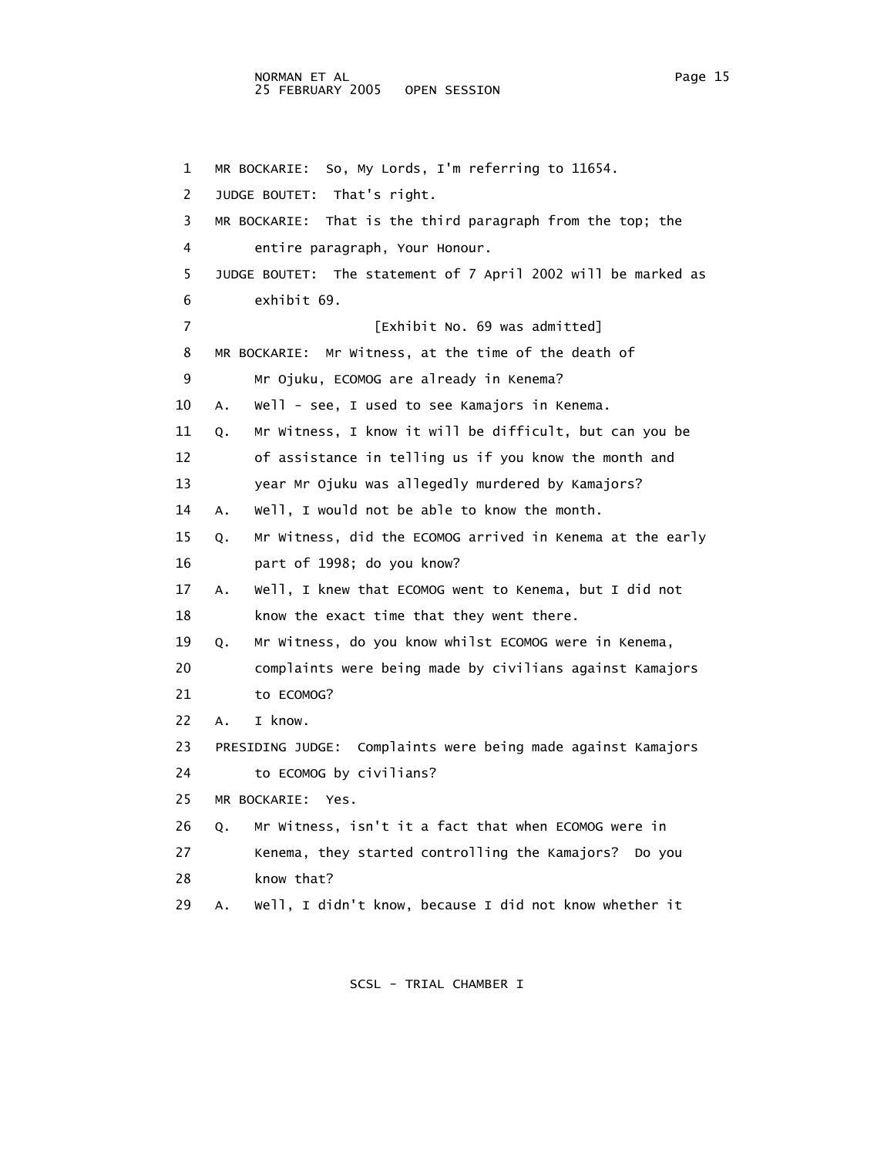## NORMAN ET AL Page 15 25 FEBRUARY 2005 OPEN SESSION

 1 MR BOCKARIE: So, My Lords, I'm referring to 11654. 2 JUDGE BOUTET: That's right. 3 MR BOCKARIE: That is the third paragraph from the top; the 4 entire paragraph, Your Honour. 5 JUDGE BOUTET: The statement of 7 April 2002 will be marked as 6 exhibit 69. 7 **Exhibit No. 69 was admitted**] 8 MR BOCKARIE: Mr Witness, at the time of the death of 9 Mr Ojuku, ECOMOG are already in Kenema? 10 A. Well - see, I used to see Kamajors in Kenema. 11 Q. Mr Witness, I know it will be difficult, but can you be 12 of assistance in telling us if you know the month and 13 year Mr Ojuku was allegedly murdered by Kamajors? 14 A. Well, I would not be able to know the month. 15 Q. Mr Witness, did the ECOMOG arrived in Kenema at the early 16 part of 1998; do you know? 17 A. Well, I knew that ECOMOG went to Kenema, but I did not 18 know the exact time that they went there. 19 Q. Mr Witness, do you know whilst ECOMOG were in Kenema, 20 complaints were being made by civilians against Kamajors 21 to ECOMOG? 22 A. I know. 23 PRESIDING JUDGE: Complaints were being made against Kamajors 24 to ECOMOG by civilians? 25 MR BOCKARIE: Yes. 26 Q. Mr Witness, isn't it a fact that when ECOMOG were in 27 Kenema, they started controlling the Kamajors? Do you 28 know that?

29 A. Well, I didn't know, because I did not know whether it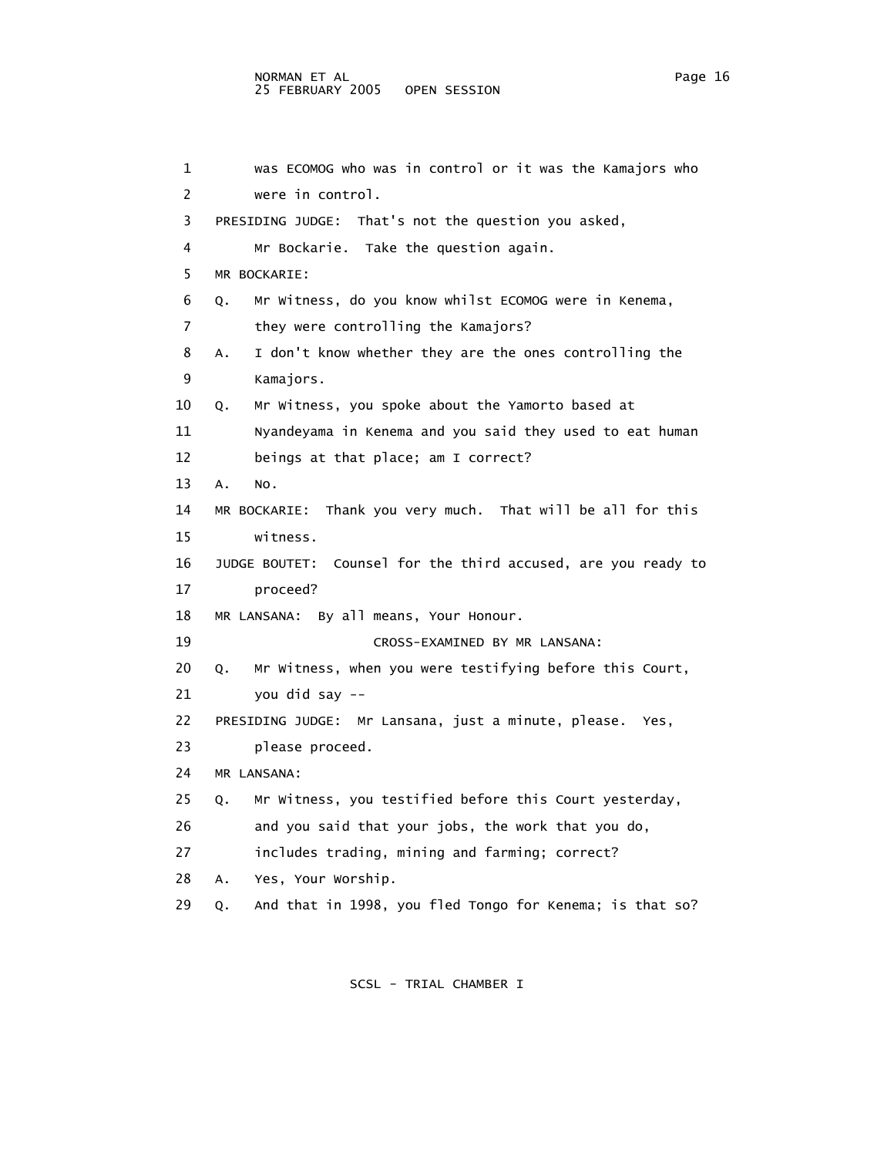#### NORMAN ET AL Page 16 Page 16 25 FEBRUARY 2005 OPEN SESSION

| 1              | was ECOMOG who was in control or it was the Kamajors who       |
|----------------|----------------------------------------------------------------|
| $\overline{2}$ | were in control.                                               |
| 3              | PRESIDING JUDGE: That's not the question you asked,            |
| 4              | Mr Bockarie. Take the question again.                          |
| 5              | MR BOCKARIE:                                                   |
| 6              | Mr Witness, do you know whilst ECOMOG were in Kenema,<br>Q.    |
| 7              | they were controlling the Kamajors?                            |
| 8              | I don't know whether they are the ones controlling the<br>Α.   |
| 9              | Kamajors.                                                      |
| 10             | Mr Witness, you spoke about the Yamorto based at<br>Q.         |
| 11             | Nyandeyama in Kenema and you said they used to eat human       |
| 12             | beings at that place; am I correct?                            |
| 13             | NO.<br>Α.                                                      |
| 14             | MR BOCKARIE: Thank you very much. That will be all for this    |
| 15             | witness.                                                       |
| 16             | JUDGE BOUTET: Counsel for the third accused, are you ready to  |
| 17             | proceed?                                                       |
| 18             | MR LANSANA: By all means, Your Honour.                         |
| 19             | CROSS-EXAMINED BY MR LANSANA:                                  |
| 20             | Mr Witness, when you were testifying before this Court,<br>О.  |
| 21             | you did say --                                                 |
| 22             | PRESIDING JUDGE: Mr Lansana, just a minute, please. Yes,       |
| 23             | please proceed.                                                |
| 24             | MR LANSANA:                                                    |
| 25             | Mr Witness, you testified before this Court yesterday,<br>0.   |
| 26             | and you said that your jobs, the work that you do,             |
| 27             | includes trading, mining and farming; correct?                 |
| 28             | Yes, Your Worship.<br>А.                                       |
| 29             | And that in 1998, you fled Tongo for Kenema; is that so?<br>Q. |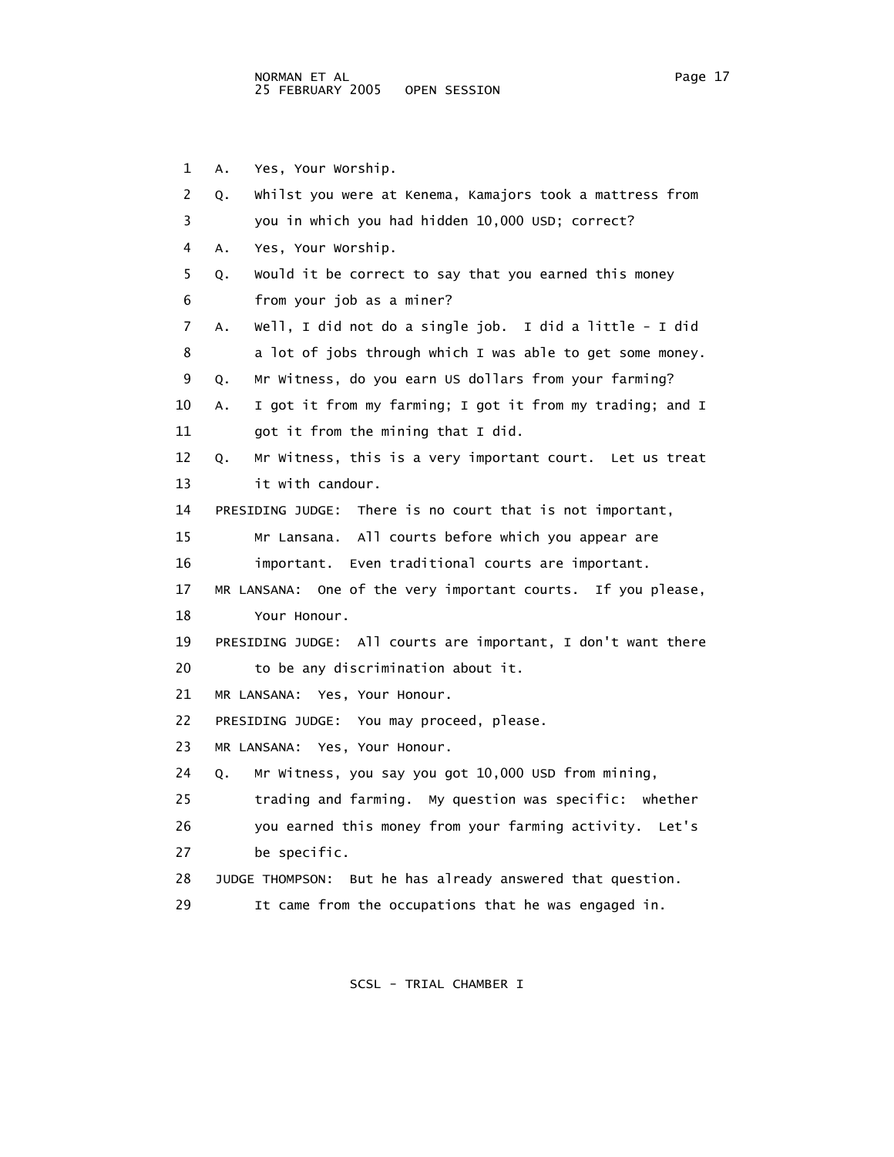1 A. Yes, Your Worship. 2 Q. Whilst you were at Kenema, Kamajors took a mattress from 3 you in which you had hidden 10,000 USD; correct? 4 A. Yes, Your Worship. 5 Q. Would it be correct to say that you earned this money 6 from your job as a miner? 7 A. Well, I did not do a single job. I did a little - I did 8 a lot of jobs through which I was able to get some money. 9 Q. Mr Witness, do you earn US dollars from your farming? 10 A. I got it from my farming; I got it from my trading; and I 11 got it from the mining that I did. 12 Q. Mr Witness, this is a very important court. Let us treat 13 it with candour. 14 PRESIDING JUDGE: There is no court that is not important, 15 Mr Lansana. All courts before which you appear are 16 important. Even traditional courts are important. 17 MR LANSANA: One of the very important courts. If you please, 18 Your Honour. 19 PRESIDING JUDGE: All courts are important, I don't want there 20 to be any discrimination about it. 21 MR LANSANA: Yes, Your Honour. 22 PRESIDING JUDGE: You may proceed, please. 23 MR LANSANA: Yes, Your Honour. 24 Q. Mr Witness, you say you got 10,000 USD from mining, 25 trading and farming. My question was specific: whether 26 you earned this money from your farming activity. Let's 27 be specific. 28 JUDGE THOMPSON: But he has already answered that question. 29 It came from the occupations that he was engaged in.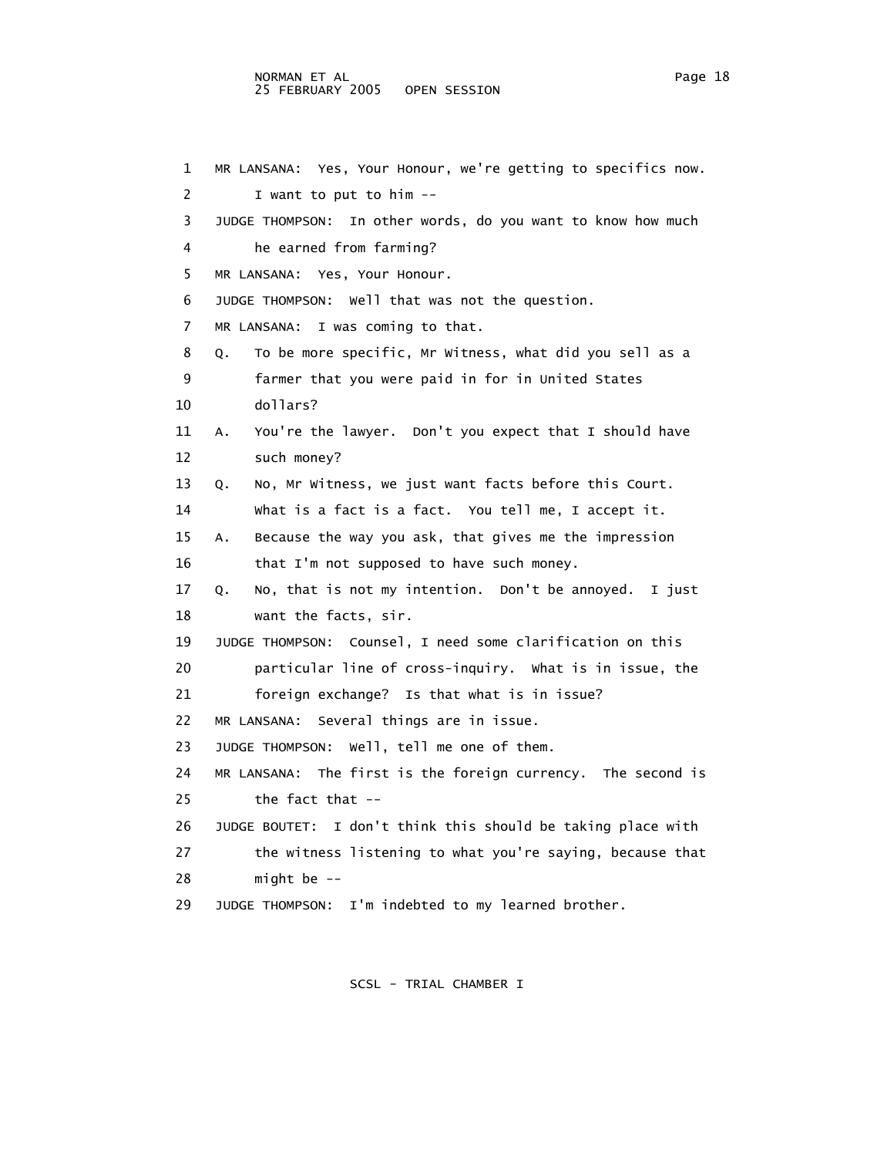1 MR LANSANA: Yes, Your Honour, we're getting to specifics now. 2 I want to put to him -- 3 JUDGE THOMPSON: In other words, do you want to know how much 4 he earned from farming? 5 MR LANSANA: Yes, Your Honour. 6 JUDGE THOMPSON: Well that was not the question. 7 MR LANSANA: I was coming to that. 8 Q. To be more specific, Mr Witness, what did you sell as a 9 farmer that you were paid in for in United States 10 dollars? 11 A. You're the lawyer. Don't you expect that I should have 12 such money? 13 Q. No, Mr Witness, we just want facts before this Court. 14 What is a fact is a fact. You tell me, I accept it. 15 A. Because the way you ask, that gives me the impression 16 that I'm not supposed to have such money. 17 Q. No, that is not my intention. Don't be annoyed. I just 18 want the facts, sir. 19 JUDGE THOMPSON: Counsel, I need some clarification on this 20 particular line of cross-inquiry. What is in issue, the 21 foreign exchange? Is that what is in issue? 22 MR LANSANA: Several things are in issue. 23 JUDGE THOMPSON: Well, tell me one of them. 24 MR LANSANA: The first is the foreign currency. The second is 25 the fact that -- 26 JUDGE BOUTET: I don't think this should be taking place with 27 the witness listening to what you're saying, because that 28 might be -- 29 JUDGE THOMPSON: I'm indebted to my learned brother.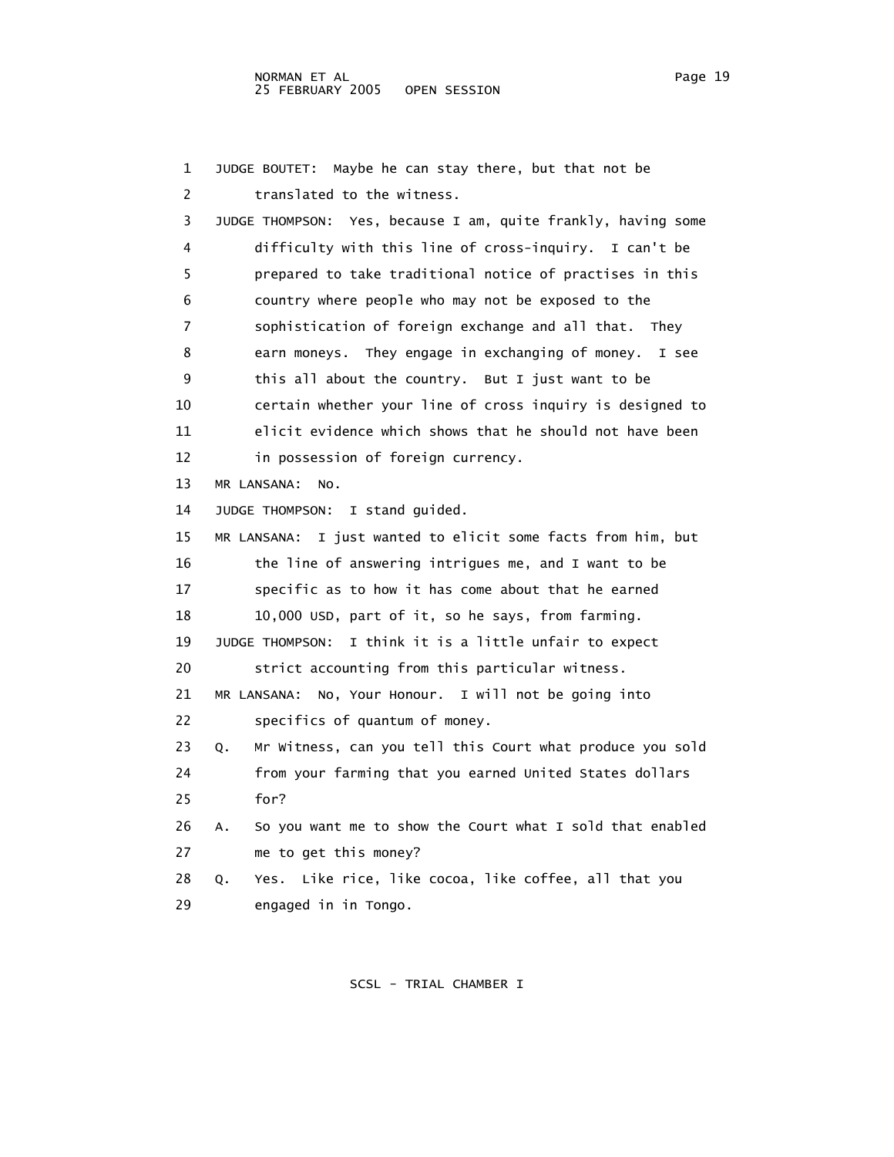1 JUDGE BOUTET: Maybe he can stay there, but that not be 2 translated to the witness. 3 JUDGE THOMPSON: Yes, because I am, quite frankly, having some 4 difficulty with this line of cross-inquiry. I can't be 5 prepared to take traditional notice of practises in this 6 country where people who may not be exposed to the 7 sophistication of foreign exchange and all that. They 8 earn moneys. They engage in exchanging of money. I see 9 this all about the country. But I just want to be 10 certain whether your line of cross inquiry is designed to 11 elicit evidence which shows that he should not have been 12 in possession of foreign currency. 13 MR LANSANA: No. 14 JUDGE THOMPSON: I stand guided. 15 MR LANSANA: I just wanted to elicit some facts from him, but 16 the line of answering intrigues me, and I want to be 17 specific as to how it has come about that he earned 18 10,000 USD, part of it, so he says, from farming. 19 JUDGE THOMPSON: I think it is a little unfair to expect 20 strict accounting from this particular witness. 21 MR LANSANA: No, Your Honour. I will not be going into 22 specifics of quantum of money. 23 Q. Mr Witness, can you tell this Court what produce you sold 24 from your farming that you earned United States dollars 25 for? 26 A. So you want me to show the Court what I sold that enabled 27 me to get this money? 28 Q. Yes. Like rice, like cocoa, like coffee, all that you 29 engaged in in Tongo.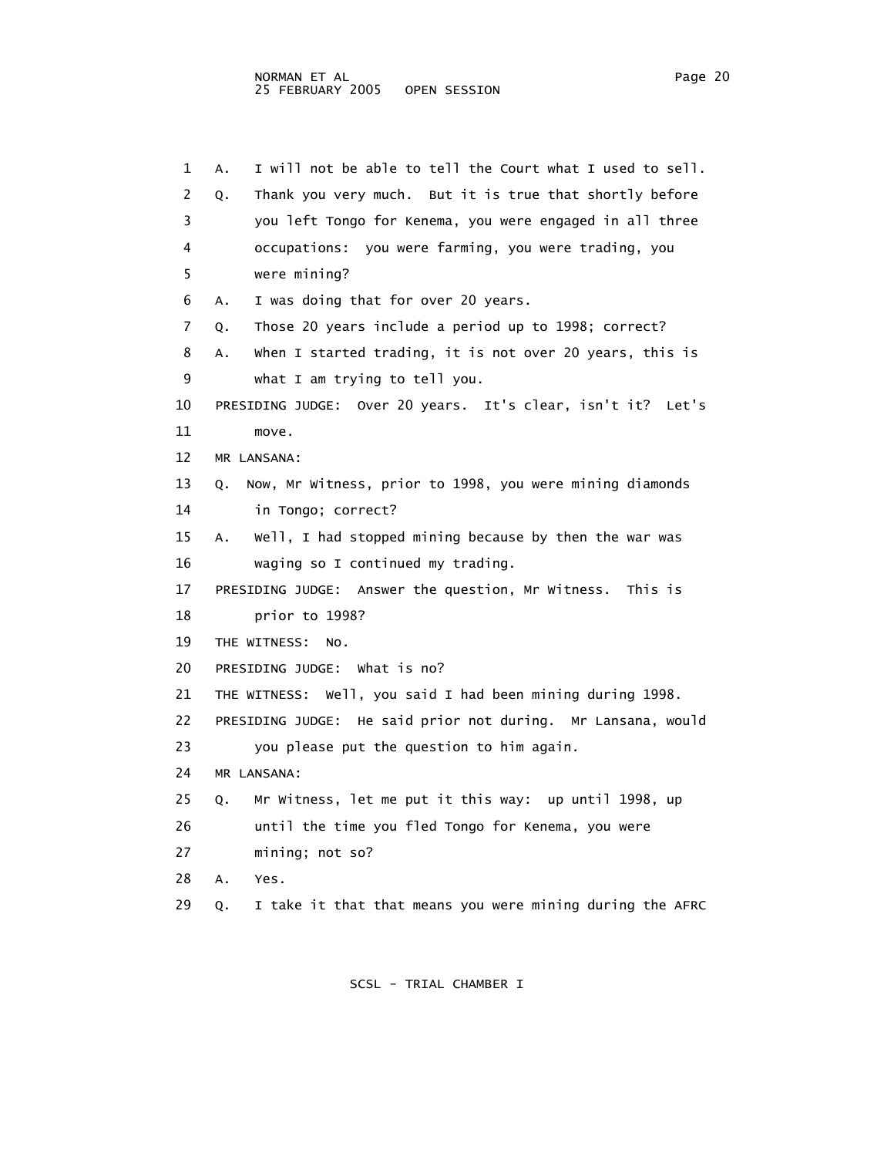| 1  | I will not be able to tell the Court what I used to sell.<br>Α. |
|----|-----------------------------------------------------------------|
| 2  | Thank you very much. But it is true that shortly before<br>Q.   |
| 3  | you left Tongo for Kenema, you were engaged in all three        |
| 4  | occupations: you were farming, you were trading, you            |
| 5  | were mining?                                                    |
| 6  | I was doing that for over 20 years.<br>Α.                       |
| 7  | Those 20 years include a period up to 1998; correct?<br>Q.      |
| 8  | when I started trading, it is not over 20 years, this is<br>Α.  |
| 9  | what I am trying to tell you.                                   |
| 10 | PRESIDING JUDGE: Over 20 years. It's clear, isn't it? Let's     |
| 11 | move.                                                           |
| 12 | MR LANSANA:                                                     |
| 13 | Now, Mr Witness, prior to 1998, you were mining diamonds<br>Q.  |
| 14 | in Tongo; correct?                                              |
| 15 | Well, I had stopped mining because by then the war was<br>Α.    |
| 16 | waging so I continued my trading.                               |
| 17 | PRESIDING JUDGE: Answer the question, Mr Witness. This is       |
| 18 | prior to 1998?                                                  |
| 19 | THE WITNESS:<br>NO.                                             |
| 20 | PRESIDING JUDGE: What is no?                                    |
| 21 | THE WITNESS: Well, you said I had been mining during 1998.      |
| 22 | PRESIDING JUDGE: He said prior not during. Mr Lansana, would    |
| 23 | you please put the question to him again.                       |
| 24 | MR LANSANA:                                                     |
| 25 | Mr Witness, let me put it this way: up until 1998, up<br>Q.     |
| 26 | until the time you fled Tongo for Kenema, you were              |
| 27 | mining; not so?                                                 |
| 28 | Α.<br>Yes.                                                      |
| 29 | I take it that that means you were mining during the AFRC<br>Q. |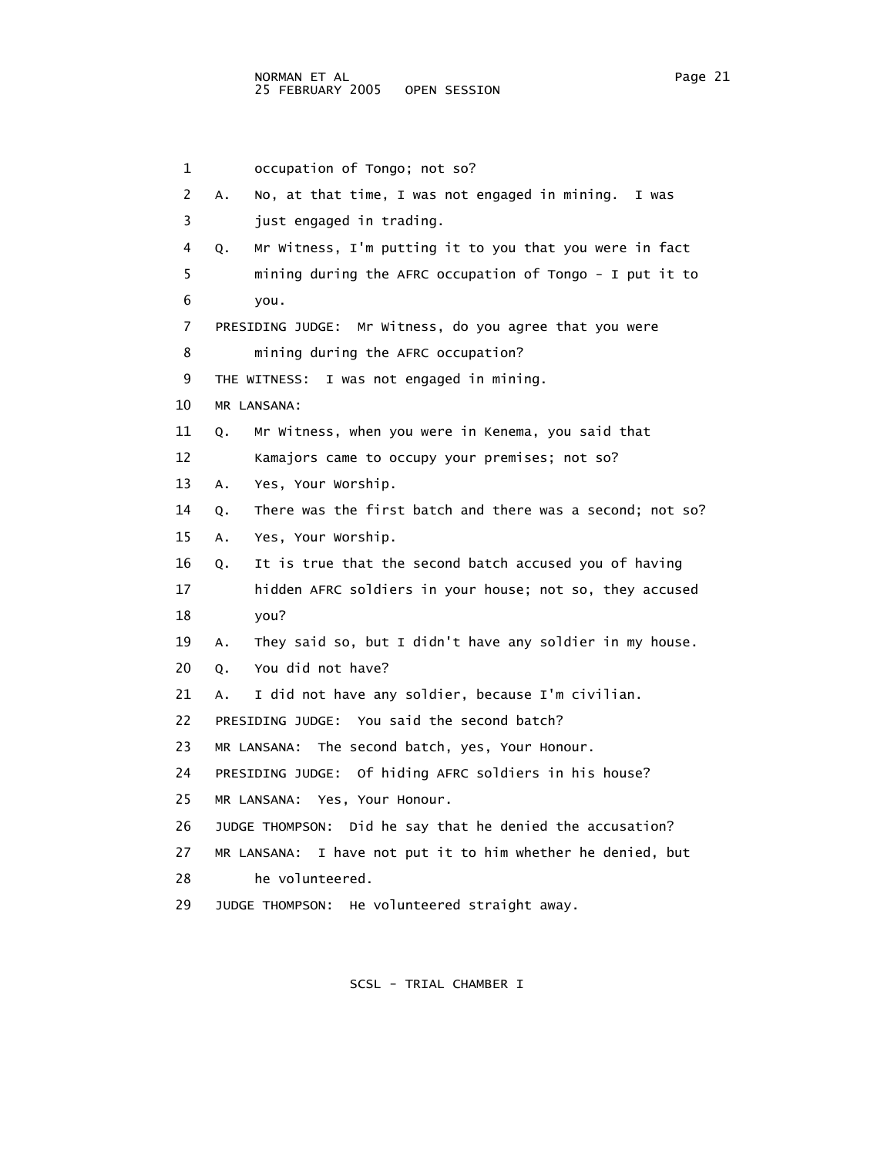1 occupation of Tongo; not so? 2 A. No, at that time, I was not engaged in mining. I was 3 just engaged in trading. 4 Q. Mr Witness, I'm putting it to you that you were in fact 5 mining during the AFRC occupation of Tongo - I put it to 6 you. 7 PRESIDING JUDGE: Mr Witness, do you agree that you were 8 mining during the AFRC occupation? 9 THE WITNESS: I was not engaged in mining. 10 MR LANSANA: 11 Q. Mr Witness, when you were in Kenema, you said that 12 Kamajors came to occupy your premises; not so? 13 A. Yes, Your Worship. 14 Q. There was the first batch and there was a second; not so? 15 A. Yes, Your Worship. 16 Q. It is true that the second batch accused you of having 17 hidden AFRC soldiers in your house; not so, they accused 18 you? 19 A. They said so, but I didn't have any soldier in my house. 20 Q. You did not have? 21 A. I did not have any soldier, because I'm civilian. 22 PRESIDING JUDGE: You said the second batch? 23 MR LANSANA: The second batch, yes, Your Honour. 24 PRESIDING JUDGE: Of hiding AFRC soldiers in his house? 25 MR LANSANA: Yes, Your Honour. 26 JUDGE THOMPSON: Did he say that he denied the accusation? 27 MR LANSANA: I have not put it to him whether he denied, but 28 he volunteered. 29 JUDGE THOMPSON: He volunteered straight away.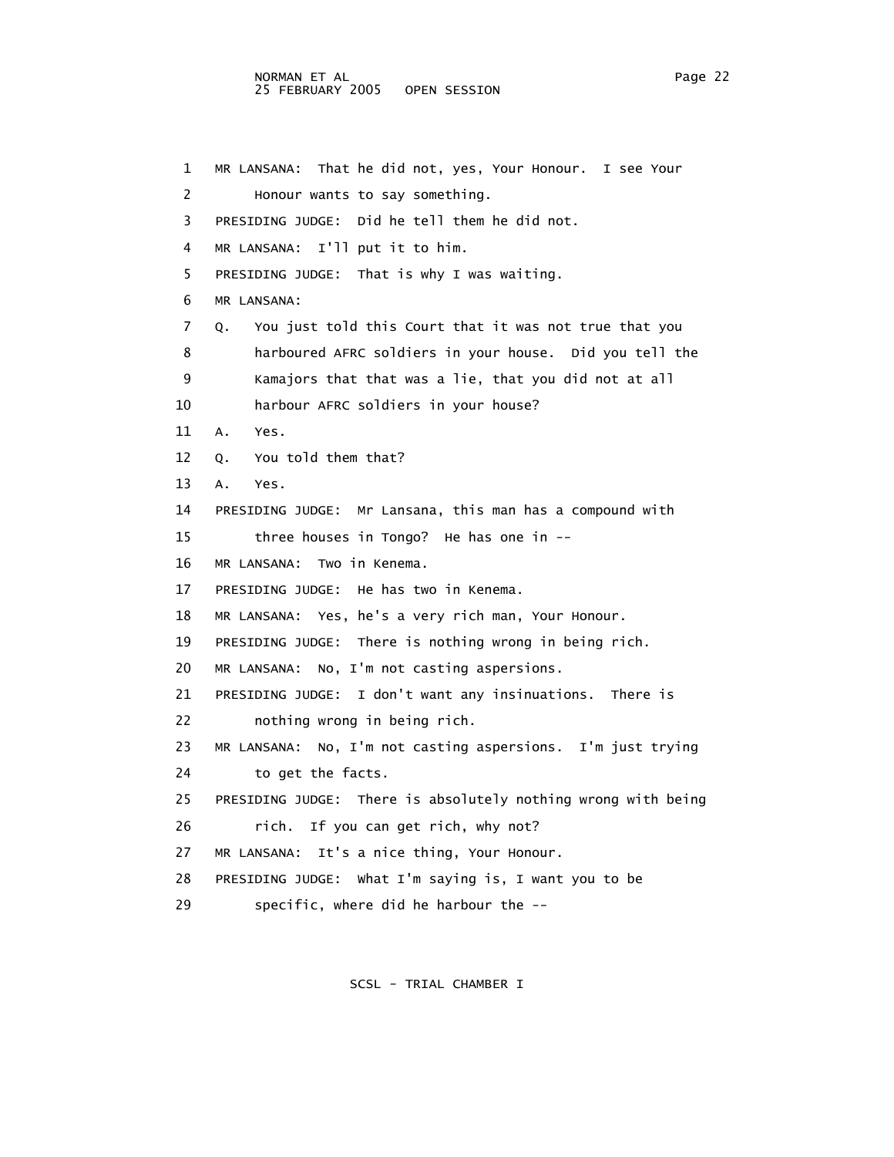1 MR LANSANA: That he did not, yes, Your Honour. I see Your 2 Honour wants to say something. 3 PRESIDING JUDGE: Did he tell them he did not. 4 MR LANSANA: I'll put it to him. 5 PRESIDING JUDGE: That is why I was waiting. 6 MR LANSANA: 7 Q. You just told this Court that it was not true that you 8 harboured AFRC soldiers in your house. Did you tell the 9 Kamajors that that was a lie, that you did not at all 10 harbour AFRC soldiers in your house? 11 A. Yes. 12 Q. You told them that? 13 A. Yes. 14 PRESIDING JUDGE: Mr Lansana, this man has a compound with 15 three houses in Tongo? He has one in -- 16 MR LANSANA: Two in Kenema. 17 PRESIDING JUDGE: He has two in Kenema. 18 MR LANSANA: Yes, he's a very rich man, Your Honour. 19 PRESIDING JUDGE: There is nothing wrong in being rich. 20 MR LANSANA: No, I'm not casting aspersions. 21 PRESIDING JUDGE: I don't want any insinuations. There is 22 nothing wrong in being rich. 23 MR LANSANA: No, I'm not casting aspersions. I'm just trying 24 to get the facts. 25 PRESIDING JUDGE: There is absolutely nothing wrong with being 26 rich. If you can get rich, why not? 27 MR LANSANA: It's a nice thing, Your Honour. 28 PRESIDING JUDGE: What I'm saying is, I want you to be 29 specific, where did he harbour the --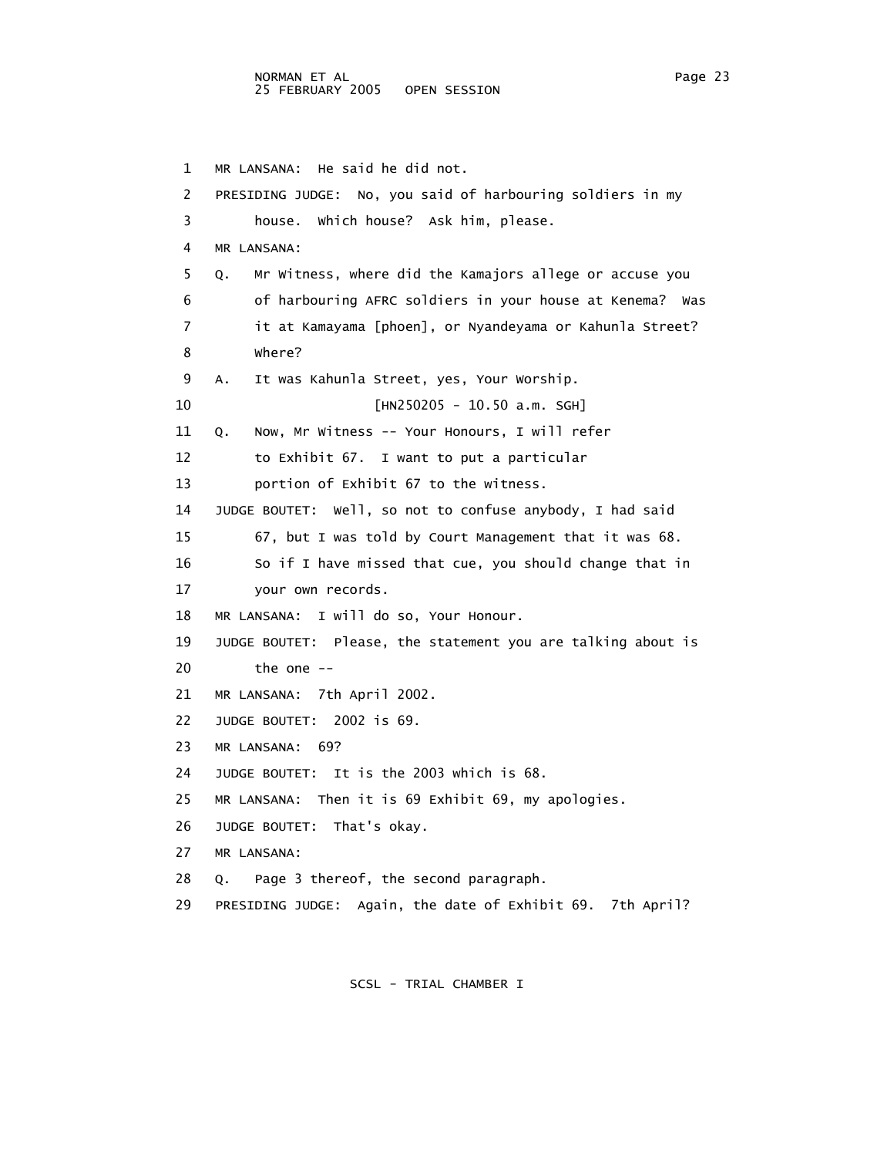1 MR LANSANA: He said he did not. 2 PRESIDING JUDGE: No, you said of harbouring soldiers in my 3 house. Which house? Ask him, please. 4 MR LANSANA: 5 Q. Mr Witness, where did the Kamajors allege or accuse you 6 of harbouring AFRC soldiers in your house at Kenema? Was 7 it at Kamayama [phoen], or Nyandeyama or Kahunla Street? 8 Where? 9 A. It was Kahunla Street, yes, Your Worship. 10 [HN250205 - 10.50 a.m. SGH] 11 Q. Now, Mr Witness -- Your Honours, I will refer 12 to Exhibit 67. I want to put a particular 13 portion of Exhibit 67 to the witness. 14 JUDGE BOUTET: Well, so not to confuse anybody, I had said 15 67, but I was told by Court Management that it was 68. 16 So if I have missed that cue, you should change that in 17 your own records. 18 MR LANSANA: I will do so, Your Honour. 19 JUDGE BOUTET: Please, the statement you are talking about is 20 the one -- 21 MR LANSANA: 7th April 2002. 22 JUDGE BOUTET: 2002 is 69. 23 MR LANSANA: 69? 24 JUDGE BOUTET: It is the 2003 which is 68. 25 MR LANSANA: Then it is 69 Exhibit 69, my apologies. 26 JUDGE BOUTET: That's okay. 27 MR LANSANA: 28 Q. Page 3 thereof, the second paragraph. 29 PRESIDING JUDGE: Again, the date of Exhibit 69. 7th April?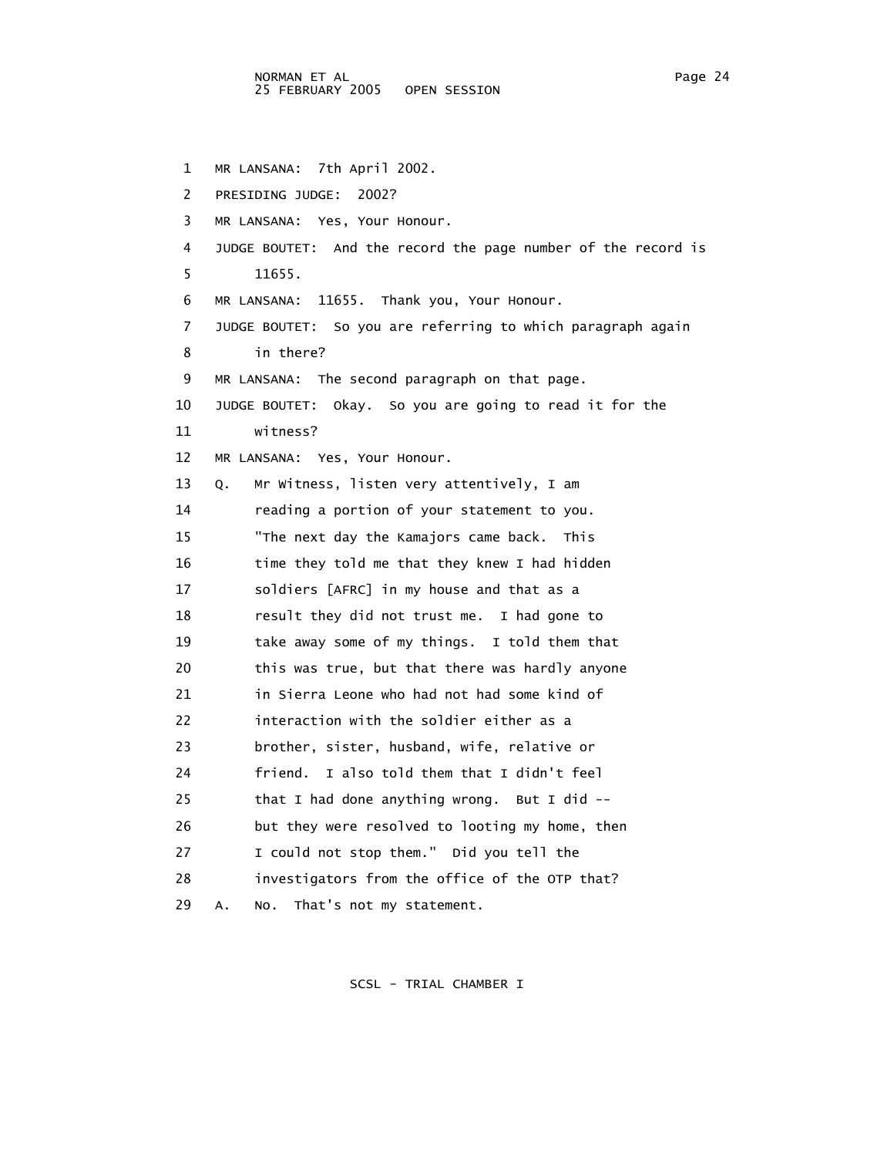1 MR LANSANA: 7th April 2002. 2 PRESIDING JUDGE: 2002? 3 MR LANSANA: Yes, Your Honour. 4 JUDGE BOUTET: And the record the page number of the record is 5 11655. 6 MR LANSANA: 11655. Thank you, Your Honour. 7 JUDGE BOUTET: So you are referring to which paragraph again 8 in there? 9 MR LANSANA: The second paragraph on that page. 10 JUDGE BOUTET: Okay. So you are going to read it for the 11 witness? 12 MR LANSANA: Yes, Your Honour. 13 Q. Mr Witness, listen very attentively, I am 14 reading a portion of your statement to you. 15 "The next day the Kamajors came back. This 16 time they told me that they knew I had hidden 17 soldiers [AFRC] in my house and that as a 18 result they did not trust me. I had gone to 19 take away some of my things. I told them that 20 this was true, but that there was hardly anyone 21 in Sierra Leone who had not had some kind of 22 interaction with the soldier either as a 23 brother, sister, husband, wife, relative or 24 friend. I also told them that I didn't feel 25 that I had done anything wrong. But I did -- 26 but they were resolved to looting my home, then 27 I could not stop them." Did you tell the 28 investigators from the office of the OTP that? 29 A. No. That's not my statement.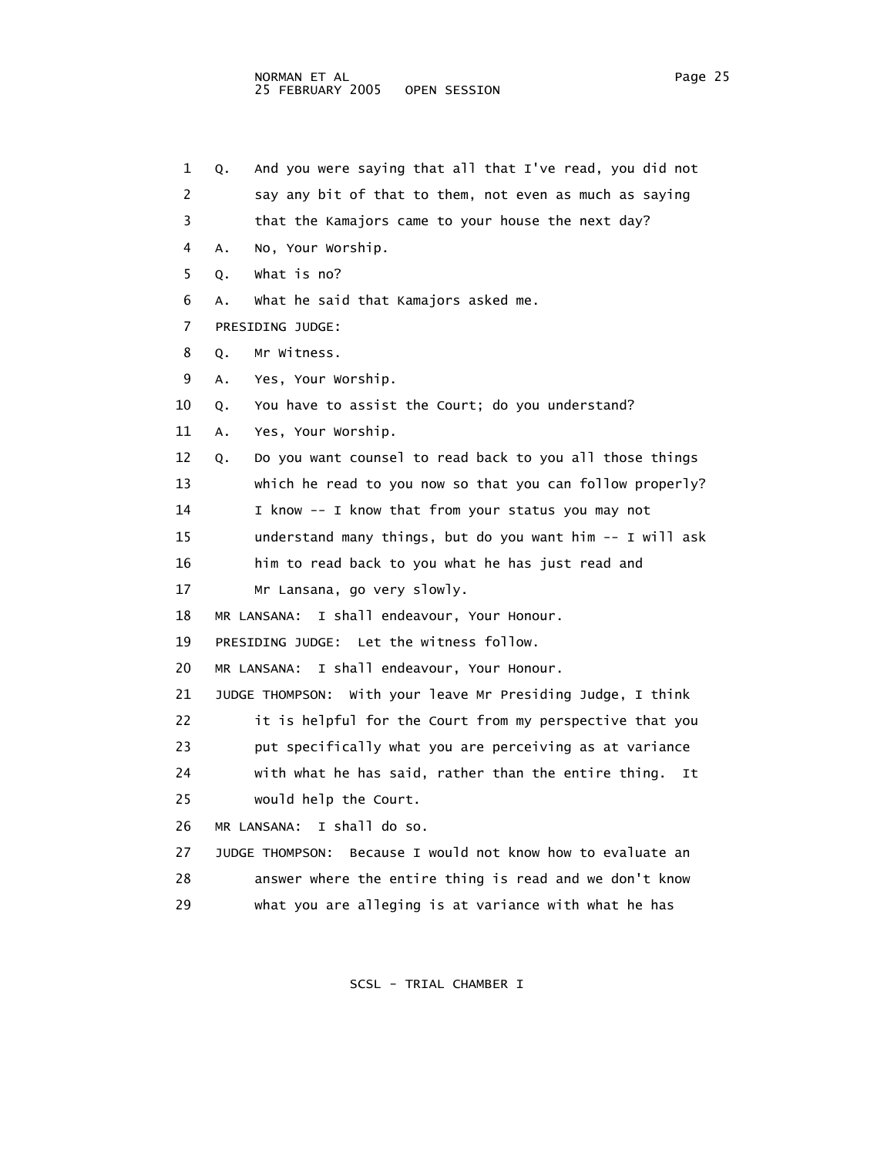1 Q. And you were saying that all that I've read, you did not 2 say any bit of that to them, not even as much as saying 3 that the Kamajors came to your house the next day? 4 A. No, Your Worship. 5 Q. What is no? 6 A. What he said that Kamajors asked me. 7 PRESIDING JUDGE: 8 Q. Mr Witness. 9 A. Yes, Your Worship. 10 Q. You have to assist the Court; do you understand? 11 A. Yes, Your Worship. 12 Q. Do you want counsel to read back to you all those things 13 which he read to you now so that you can follow properly? 14 I know -- I know that from your status you may not 15 understand many things, but do you want him -- I will ask 16 him to read back to you what he has just read and 17 Mr Lansana, go very slowly. 18 MR LANSANA: I shall endeavour, Your Honour. 19 PRESIDING JUDGE: Let the witness follow. 20 MR LANSANA: I shall endeavour, Your Honour. 21 JUDGE THOMPSON: With your leave Mr Presiding Judge, I think 22 it is helpful for the Court from my perspective that you 23 put specifically what you are perceiving as at variance 24 with what he has said, rather than the entire thing. It 25 would help the Court. 26 MR LANSANA: I shall do so. 27 JUDGE THOMPSON: Because I would not know how to evaluate an 28 answer where the entire thing is read and we don't know 29 what you are alleging is at variance with what he has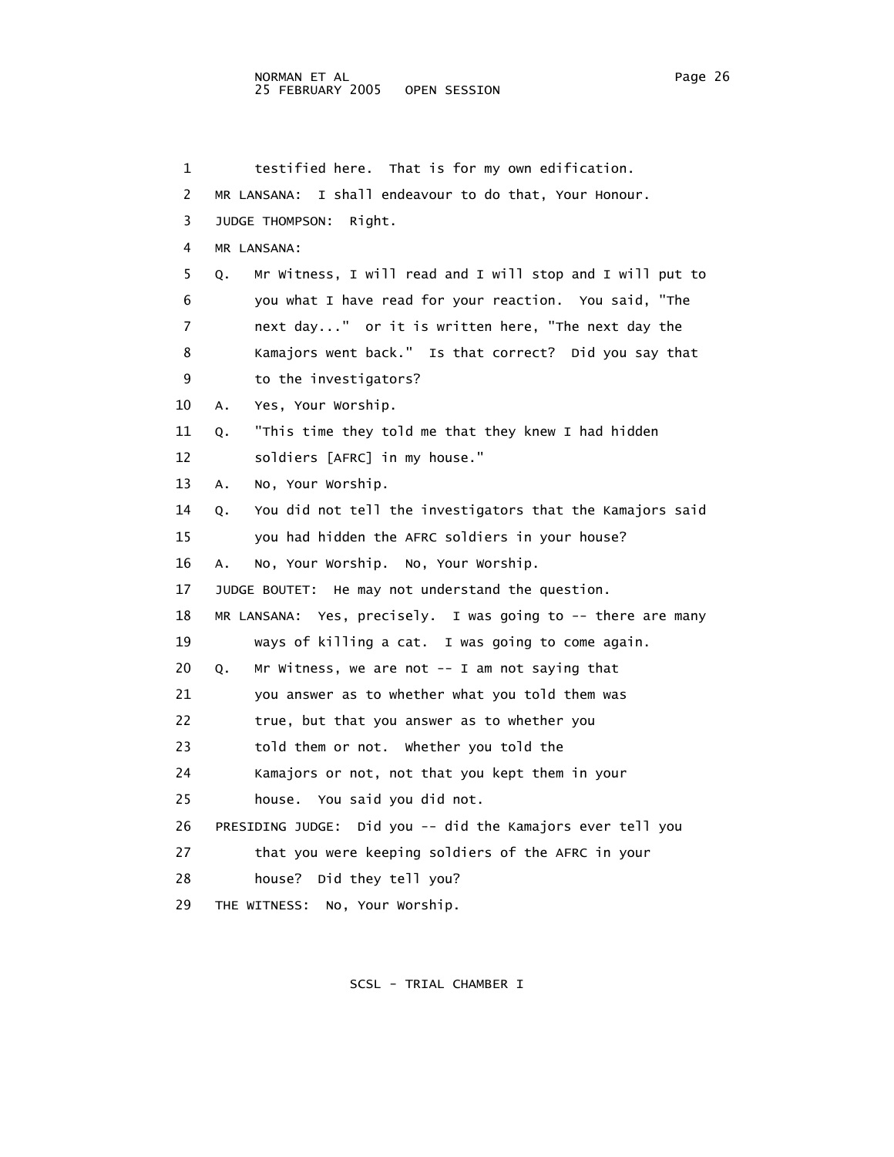1 testified here. That is for my own edification. 2 MR LANSANA: I shall endeavour to do that, Your Honour. 3 JUDGE THOMPSON: Right. 4 MR LANSANA: 5 Q. Mr Witness, I will read and I will stop and I will put to 6 you what I have read for your reaction. You said, "The 7 next day..." or it is written here, "The next day the 8 Kamajors went back." Is that correct? Did you say that 9 to the investigators? 10 A. Yes, Your Worship. 11 Q. "This time they told me that they knew I had hidden 12 soldiers [AFRC] in my house." 13 A. No, Your Worship. 14 Q. You did not tell the investigators that the Kamajors said 15 you had hidden the AFRC soldiers in your house? 16 A. No, Your Worship. No, Your Worship. 17 JUDGE BOUTET: He may not understand the question. 18 MR LANSANA: Yes, precisely. I was going to -- there are many 19 ways of killing a cat. I was going to come again. 20 Q. Mr Witness, we are not -- I am not saying that 21 you answer as to whether what you told them was 22 true, but that you answer as to whether you 23 told them or not. Whether you told the 24 Kamajors or not, not that you kept them in your 25 house. You said you did not. 26 PRESIDING JUDGE: Did you -- did the Kamajors ever tell you 27 that you were keeping soldiers of the AFRC in your 28 house? Did they tell you? 29 THE WITNESS: No, Your Worship.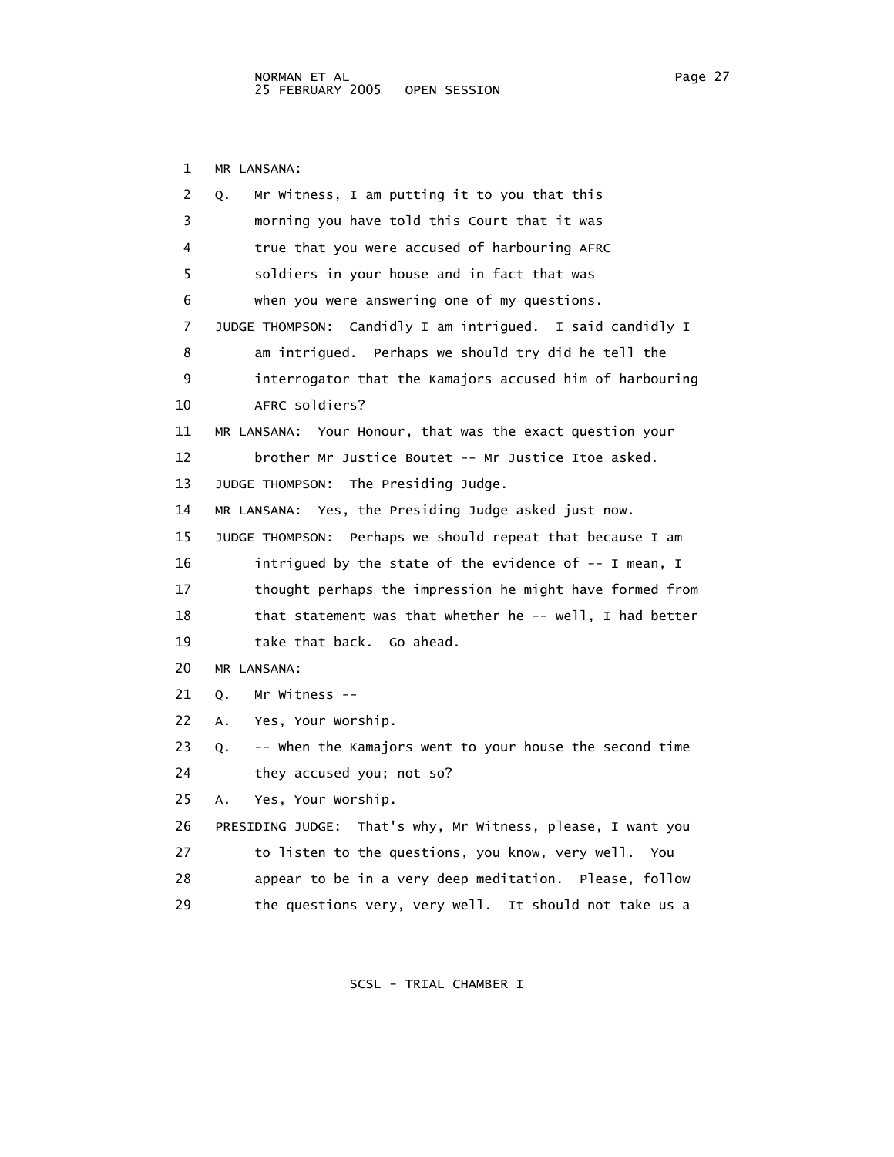1 MR LANSANA:

| 2  | Mr Witness, I am putting it to you that this<br>Q.            |
|----|---------------------------------------------------------------|
| 3  | morning you have told this Court that it was                  |
| 4  | true that you were accused of harbouring AFRC                 |
| 5  | soldiers in your house and in fact that was                   |
| 6  | when you were answering one of my questions.                  |
| 7  | JUDGE THOMPSON: Candidly I am intrigued. I said candidly I    |
| 8  | am intrigued. Perhaps we should try did he tell the           |
| 9  | interrogator that the Kamajors accused him of harbouring      |
| 10 | AFRC soldiers?                                                |
| 11 | MR LANSANA: Your Honour, that was the exact question your     |
| 12 | brother Mr Justice Boutet -- Mr Justice Itoe asked.           |
| 13 | JUDGE THOMPSON: The Presiding Judge.                          |
| 14 | MR LANSANA: Yes, the Presiding Judge asked just now.          |
| 15 | JUDGE THOMPSON: Perhaps we should repeat that because I am    |
| 16 | intrigued by the state of the evidence of -- I mean, I        |
| 17 | thought perhaps the impression he might have formed from      |
| 18 | that statement was that whether he -- well, I had better      |
| 19 | take that back. Go ahead.                                     |
| 20 | MR LANSANA:                                                   |
| 21 | Mr Witness $--$<br>Q.                                         |
| 22 | Yes, Your Worship.<br>Α.                                      |
| 23 | -- when the Kamajors went to your house the second time<br>Q. |
| 24 | they accused you; not so?                                     |
| 25 | Yes, Your Worship.<br>А.                                      |
| 26 | PRESIDING JUDGE: That's why, Mr Witness, please, I want you   |
| 27 | to listen to the questions, you know, very well.<br>You       |
| 28 | appear to be in a very deep meditation. Please, follow        |
| 29 | the questions very, very well. It should not take us a        |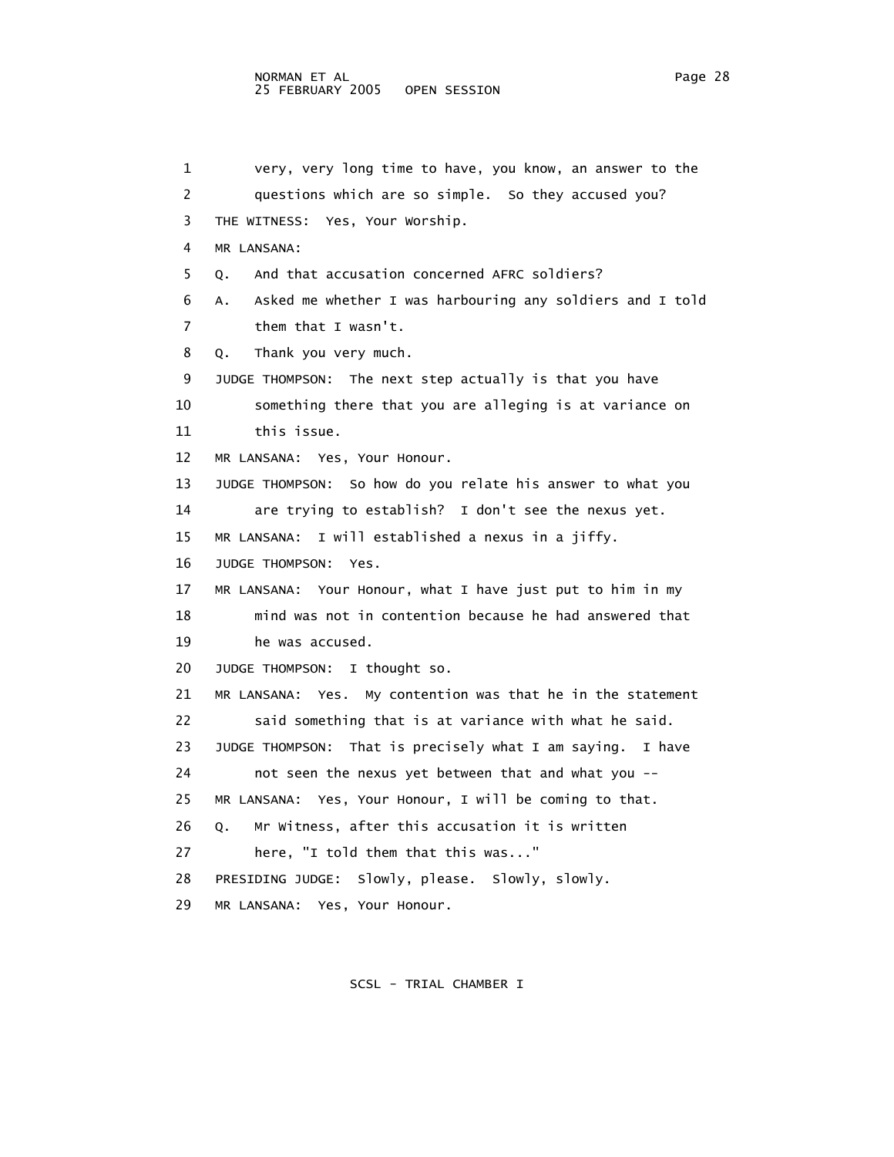1 very, very long time to have, you know, an answer to the 2 questions which are so simple. So they accused you? 3 THE WITNESS: Yes, Your Worship. 4 MR LANSANA: 5 Q. And that accusation concerned AFRC soldiers? 6 A. Asked me whether I was harbouring any soldiers and I told 7 them that I wasn't. 8 Q. Thank you very much. 9 JUDGE THOMPSON: The next step actually is that you have 10 something there that you are alleging is at variance on 11 this issue. 12 MR LANSANA: Yes, Your Honour. 13 JUDGE THOMPSON: So how do you relate his answer to what you 14 are trying to establish? I don't see the nexus yet. 15 MR LANSANA: I will established a nexus in a jiffy. 16 JUDGE THOMPSON: Yes. 17 MR LANSANA: Your Honour, what I have just put to him in my 18 mind was not in contention because he had answered that 19 he was accused. 20 JUDGE THOMPSON: I thought so. 21 MR LANSANA: Yes. My contention was that he in the statement 22 said something that is at variance with what he said. 23 JUDGE THOMPSON: That is precisely what I am saying. I have 24 not seen the nexus yet between that and what you -- 25 MR LANSANA: Yes, Your Honour, I will be coming to that. 26 Q. Mr Witness, after this accusation it is written 27 here, "I told them that this was..." 28 PRESIDING JUDGE: Slowly, please. Slowly, slowly. 29 MR LANSANA: Yes, Your Honour.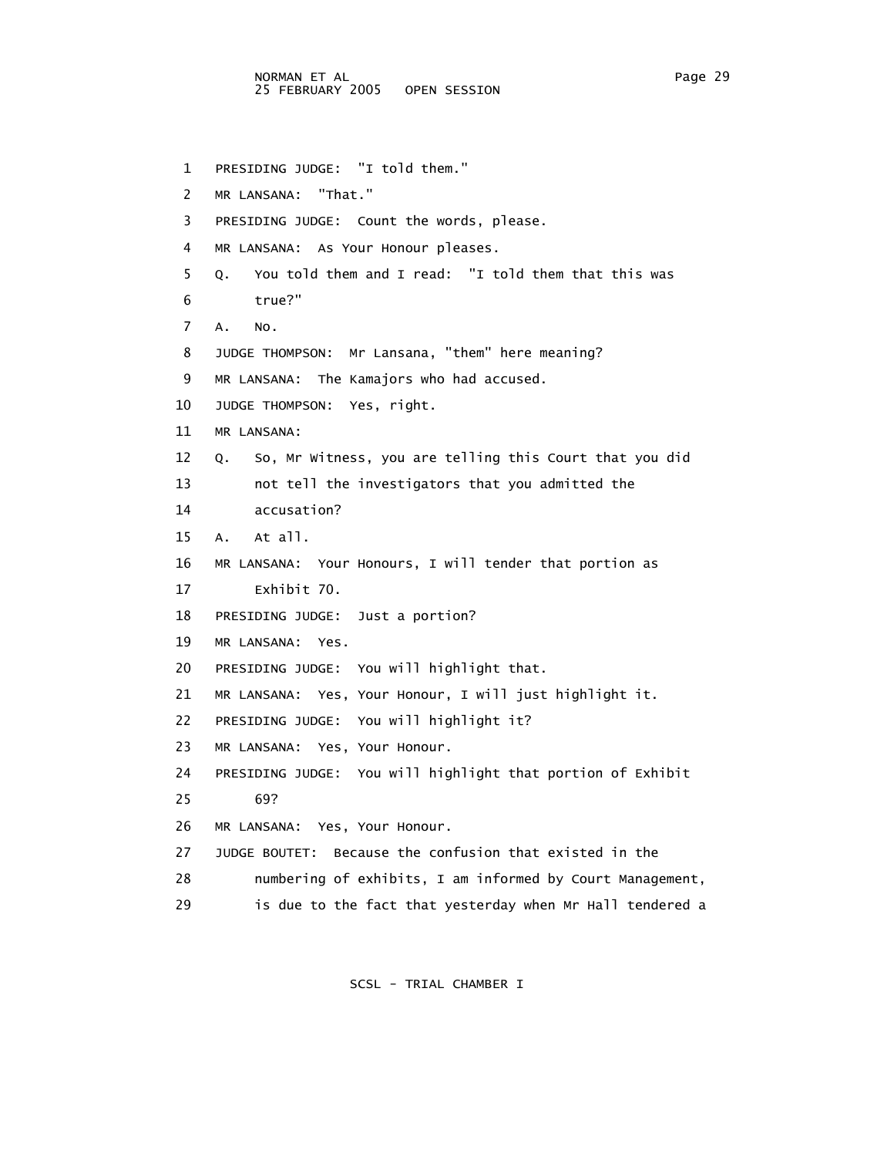1 PRESIDING JUDGE: "I told them." 2 MR LANSANA: "That." 3 PRESIDING JUDGE: Count the words, please. 4 MR LANSANA: As Your Honour pleases. 5 Q. You told them and I read: "I told them that this was 6 true?" 7 A. No. 8 JUDGE THOMPSON: Mr Lansana, "them" here meaning? 9 MR LANSANA: The Kamajors who had accused. 10 JUDGE THOMPSON: Yes, right. 11 MR LANSANA: 12 Q. So, Mr Witness, you are telling this Court that you did 13 not tell the investigators that you admitted the 14 accusation? 15 A. At all. 16 MR LANSANA: Your Honours, I will tender that portion as 17 Exhibit 70. 18 PRESIDING JUDGE: Just a portion? 19 MR LANSANA: Yes. 20 PRESIDING JUDGE: You will highlight that. 21 MR LANSANA: Yes, Your Honour, I will just highlight it. 22 PRESIDING JUDGE: You will highlight it? 23 MR LANSANA: Yes, Your Honour. 24 PRESIDING JUDGE: You will highlight that portion of Exhibit 25 69? 26 MR LANSANA: Yes, Your Honour. 27 JUDGE BOUTET: Because the confusion that existed in the 28 numbering of exhibits, I am informed by Court Management, 29 is due to the fact that yesterday when Mr Hall tendered a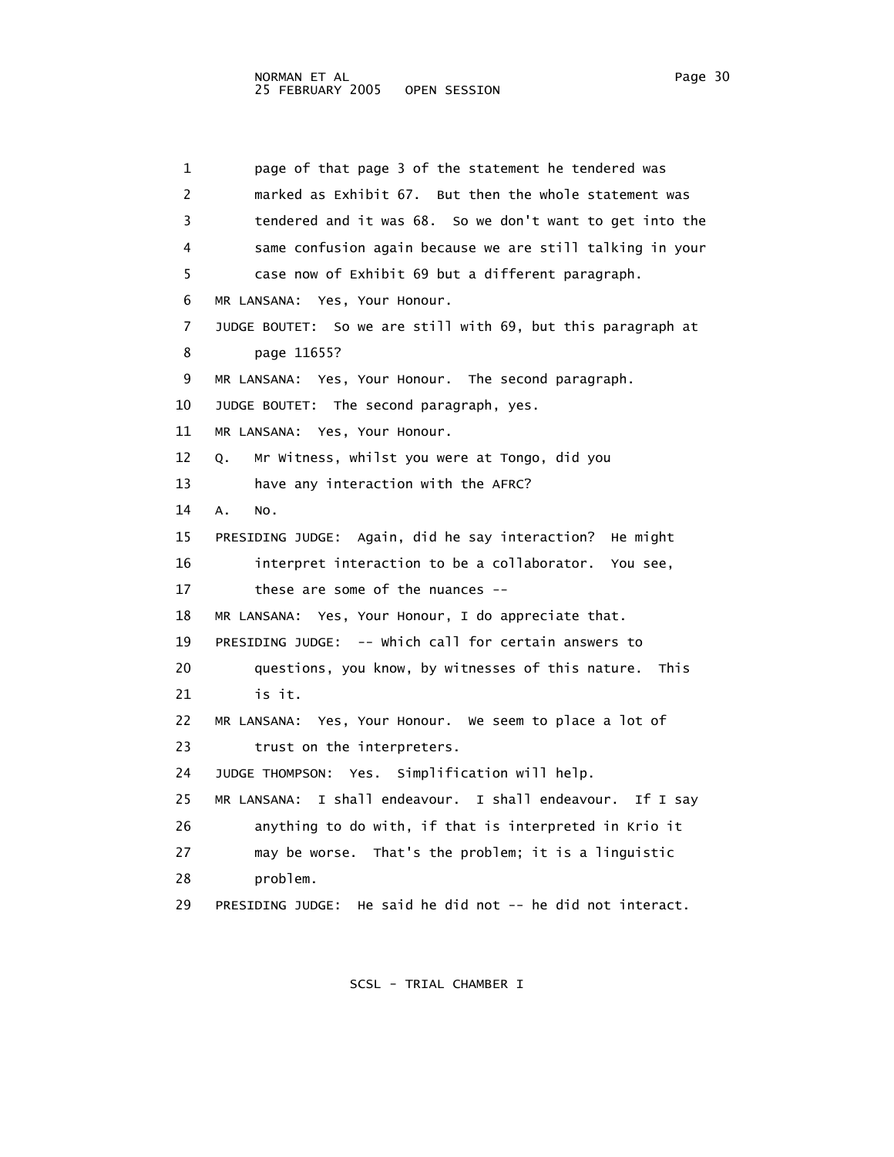1 page of that page 3 of the statement he tendered was 2 marked as Exhibit 67. But then the whole statement was 3 tendered and it was 68. So we don't want to get into the 4 same confusion again because we are still talking in your 5 case now of Exhibit 69 but a different paragraph. 6 MR LANSANA: Yes, Your Honour. 7 JUDGE BOUTET: So we are still with 69, but this paragraph at 8 page 11655? 9 MR LANSANA: Yes, Your Honour. The second paragraph. 10 JUDGE BOUTET: The second paragraph, yes. 11 MR LANSANA: Yes, Your Honour. 12 Q. Mr Witness, whilst you were at Tongo, did you 13 have any interaction with the AFRC? 14 A. No. 15 PRESIDING JUDGE: Again, did he say interaction? He might 16 interpret interaction to be a collaborator. You see, 17 these are some of the nuances -- 18 MR LANSANA: Yes, Your Honour, I do appreciate that. 19 PRESIDING JUDGE: -- Which call for certain answers to 20 questions, you know, by witnesses of this nature. This 21 is it. 22 MR LANSANA: Yes, Your Honour. We seem to place a lot of 23 trust on the interpreters. 24 JUDGE THOMPSON: Yes. Simplification will help. 25 MR LANSANA: I shall endeavour. I shall endeavour. If I say 26 anything to do with, if that is interpreted in Krio it 27 may be worse. That's the problem; it is a linguistic 28 problem. 29 PRESIDING JUDGE: He said he did not -- he did not interact.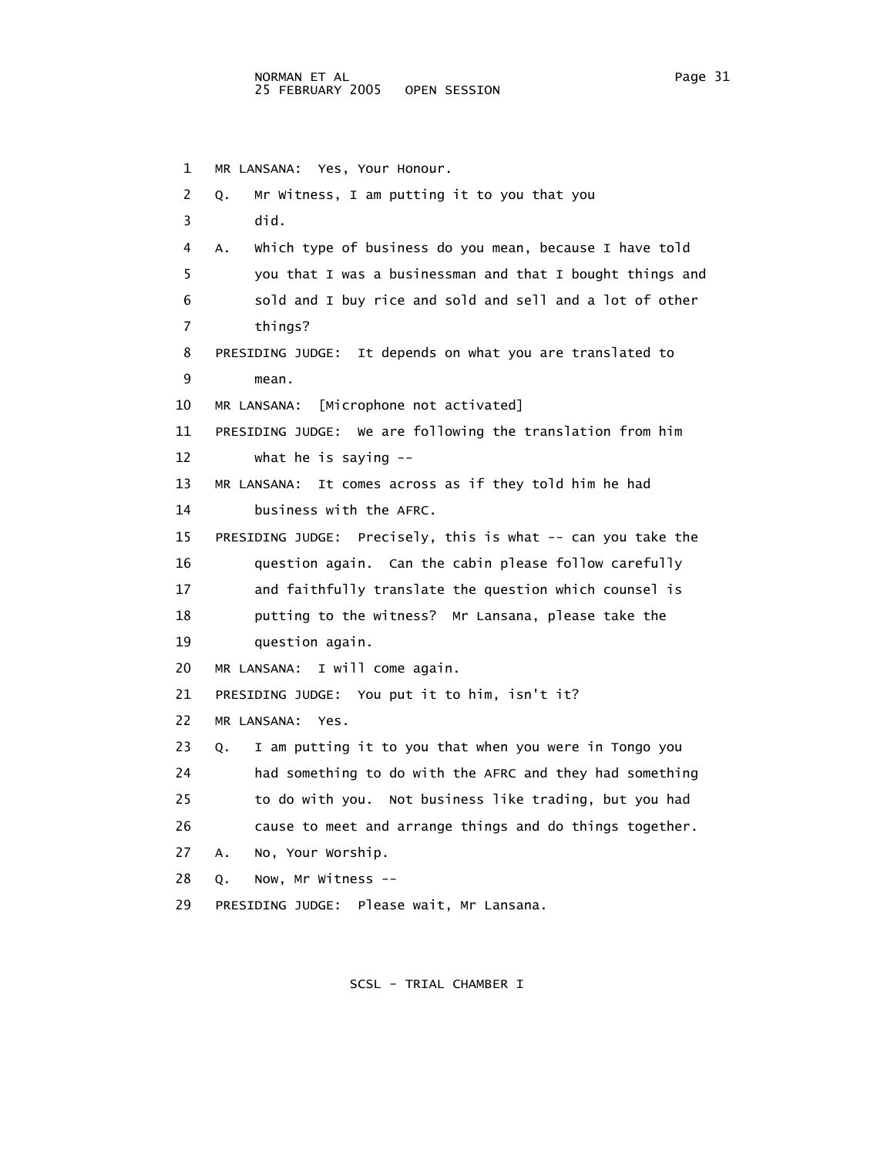1 MR LANSANA: Yes, Your Honour. 2 Q. Mr Witness, I am putting it to you that you 3 did. 4 A. Which type of business do you mean, because I have told 5 you that I was a businessman and that I bought things and 6 sold and I buy rice and sold and sell and a lot of other 7 things? 8 PRESIDING JUDGE: It depends on what you are translated to 9 mean. 10 MR LANSANA: [Microphone not activated] 11 PRESIDING JUDGE: We are following the translation from him 12 what he is saying -- 13 MR LANSANA: It comes across as if they told him he had 14 business with the AFRC. 15 PRESIDING JUDGE: Precisely, this is what -- can you take the 16 question again. Can the cabin please follow carefully 17 and faithfully translate the question which counsel is 18 putting to the witness? Mr Lansana, please take the 19 question again. 20 MR LANSANA: I will come again. 21 PRESIDING JUDGE: You put it to him, isn't it? 22 MR LANSANA: Yes. 23 Q. I am putting it to you that when you were in Tongo you 24 had something to do with the AFRC and they had something 25 to do with you. Not business like trading, but you had 26 cause to meet and arrange things and do things together. 27 A. No, Your Worship. 28 Q. Now, Mr Witness -- 29 PRESIDING JUDGE: Please wait, Mr Lansana.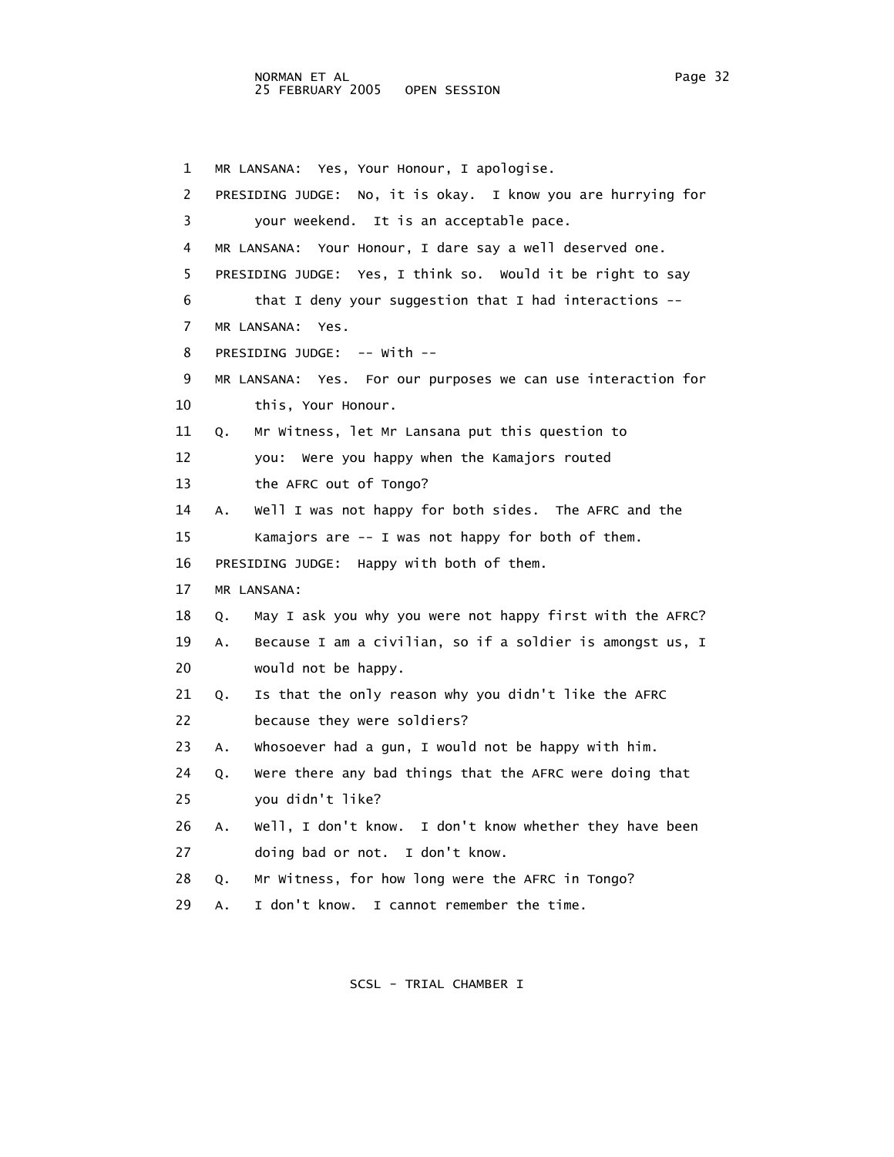1 MR LANSANA: Yes, Your Honour, I apologise. 2 PRESIDING JUDGE: No, it is okay. I know you are hurrying for 3 your weekend. It is an acceptable pace. 4 MR LANSANA: Your Honour, I dare say a well deserved one. 5 PRESIDING JUDGE: Yes, I think so. Would it be right to say 6 that I deny your suggestion that I had interactions -- 7 MR LANSANA: Yes. 8 PRESIDING JUDGE: -- With -- 9 MR LANSANA: Yes. For our purposes we can use interaction for 10 this, Your Honour. 11 Q. Mr Witness, let Mr Lansana put this question to 12 you: Were you happy when the Kamajors routed 13 the AFRC out of Tongo? 14 A. Well I was not happy for both sides. The AFRC and the 15 Kamajors are -- I was not happy for both of them. 16 PRESIDING JUDGE: Happy with both of them. 17 MR LANSANA: 18 Q. May I ask you why you were not happy first with the AFRC? 19 A. Because I am a civilian, so if a soldier is amongst us, I 20 would not be happy. 21 Q. Is that the only reason why you didn't like the AFRC 22 because they were soldiers? 23 A. Whosoever had a gun, I would not be happy with him. 24 Q. Were there any bad things that the AFRC were doing that 25 you didn't like? 26 A. Well, I don't know. I don't know whether they have been 27 doing bad or not. I don't know. 28 Q. Mr Witness, for how long were the AFRC in Tongo? 29 A. I don't know. I cannot remember the time.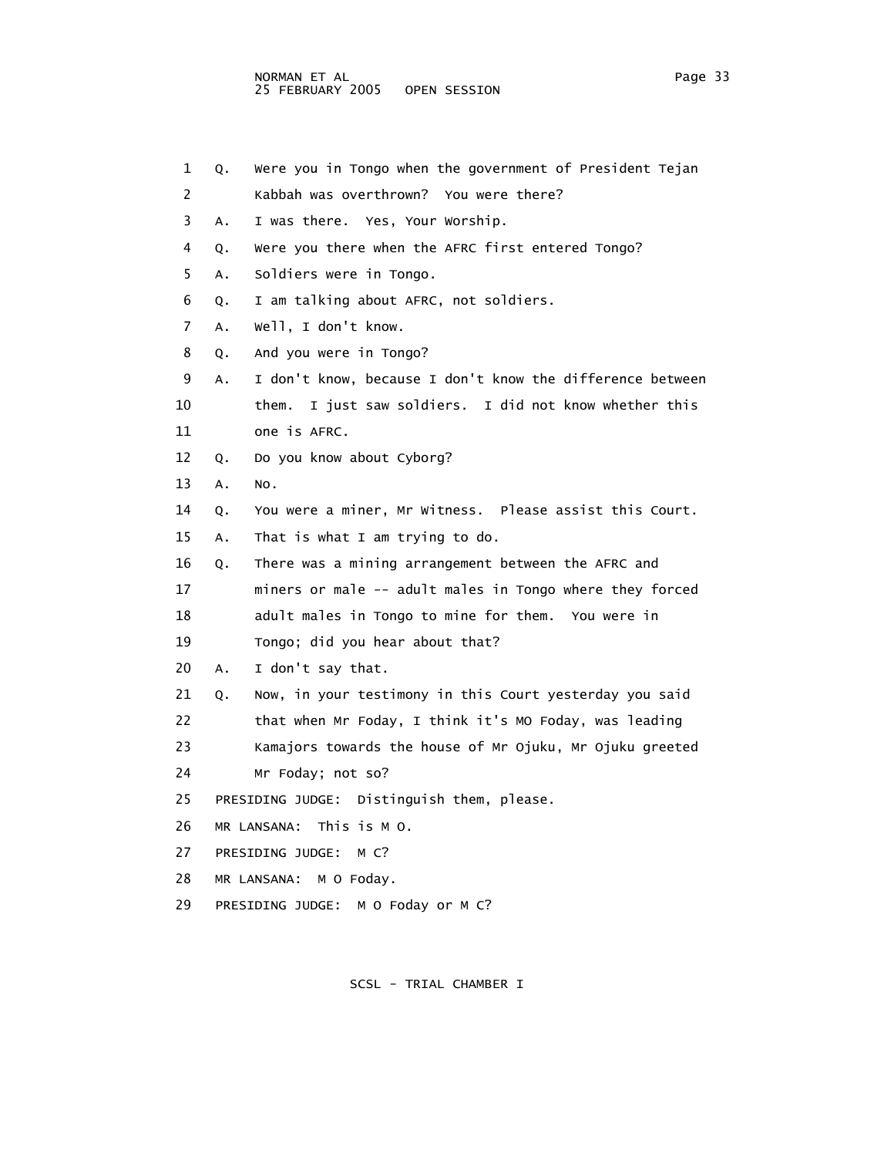| 1  | Q. | Were you in Tongo when the government of President Tejan  |
|----|----|-----------------------------------------------------------|
| 2  |    | Kabbah was overthrown? You were there?                    |
| 3  | Α. | I was there. Yes, Your Worship.                           |
| 4  | Q. | Were you there when the AFRC first entered Tongo?         |
| 5  | Α. | Soldiers were in Tongo.                                   |
| 6  | Q. | I am talking about AFRC, not soldiers.                    |
| 7  | A. | well, I don't know.                                       |
| 8  | Q. | And you were in Tongo?                                    |
| 9  | Α. | I don't know, because I don't know the difference between |
| 10 |    | I just saw soldiers. I did not know whether this<br>them. |
| 11 |    | one is AFRC.                                              |
| 12 | Q. | Do you know about Cyborg?                                 |
| 13 | Α. | NO.                                                       |
| 14 | Q. | You were a miner, Mr Witness. Please assist this Court.   |
| 15 | Α. | That is what I am trying to do.                           |
| 16 | Q. | There was a mining arrangement between the AFRC and       |
| 17 |    | miners or male -- adult males in Tongo where they forced  |
| 18 |    | adult males in Tongo to mine for them. You were in        |
| 19 |    | Tongo; did you hear about that?                           |
| 20 | Α. | I don't say that.                                         |
| 21 | Q. | Now, in your testimony in this Court yesterday you said   |
| 22 |    | that when Mr Foday, I think it's MO Foday, was leading    |
| 23 |    | Kamajors towards the house of Mr Ojuku, Mr Ojuku greeted  |
| 24 |    | Mr Foday; not so?                                         |
| 25 |    | PRESIDING JUDGE: Distinguish them, please.                |
| 26 |    | MR LANSANA: This is M O.                                  |
| 27 |    | PRESIDING JUDGE:<br>M C?                                  |
| 28 |    | MR LANSANA: M O Foday.                                    |
| 29 |    | PRESIDING JUDGE:<br>M O Foday or M C?                     |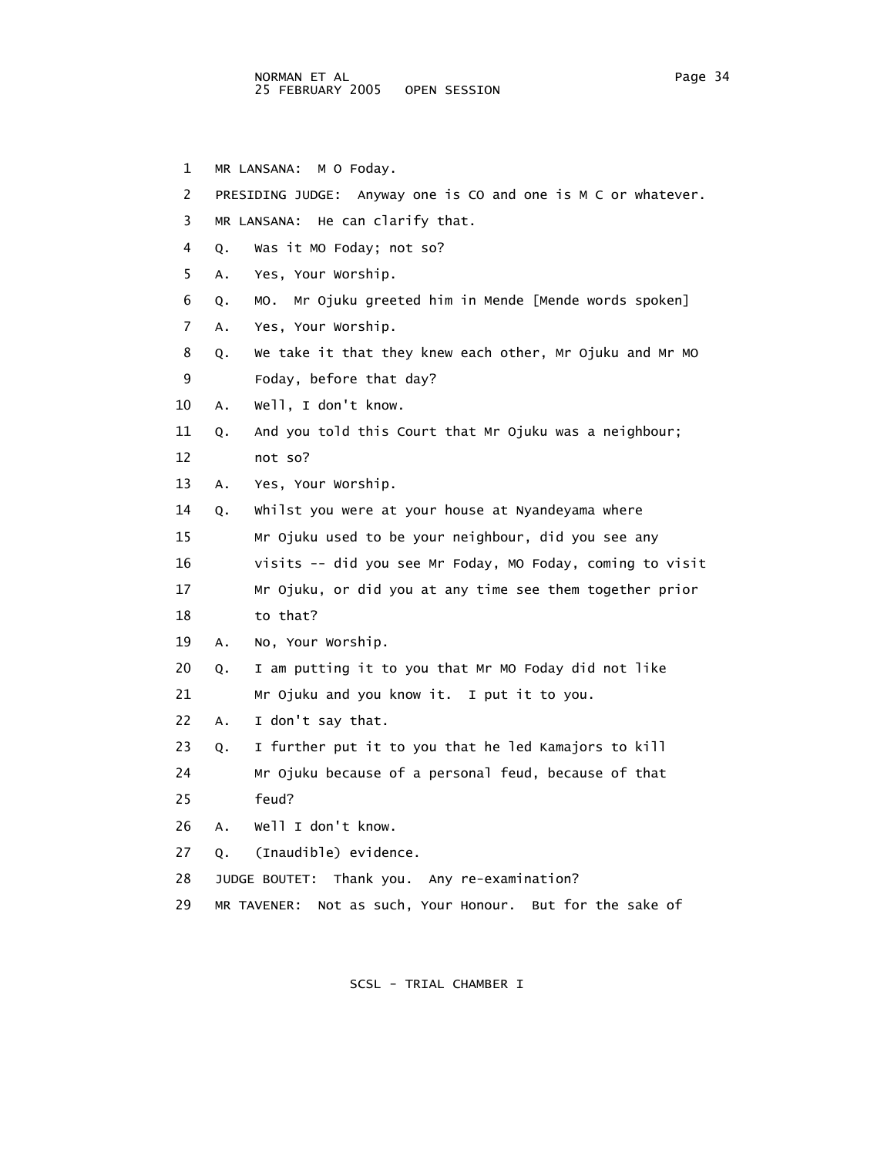- 1 MR LANSANA: M O Foday.
- 2 PRESIDING JUDGE: Anyway one is CO and one is M C or whatever.

3 MR LANSANA: He can clarify that.

- 4 Q. Was it MO Foday; not so?
- 5 A. Yes, Your Worship.
- 6 Q. MO. Mr Ojuku greeted him in Mende [Mende words spoken]
- 7 A. Yes, Your Worship.
- 8 Q. We take it that they knew each other, Mr Ojuku and Mr MO 9 Foday, before that day?
- 10 A. Well, I don't know.
- 11 Q. And you told this Court that Mr Ojuku was a neighbour;
- 12 not so?
- 13 A. Yes, Your Worship.

 14 Q. Whilst you were at your house at Nyandeyama where 15 Mr Ojuku used to be your neighbour, did you see any 16 visits -- did you see Mr Foday, MO Foday, coming to visit 17 Mr Ojuku, or did you at any time see them together prior

18 to that?

19 A. No, Your Worship.

- 20 Q. I am putting it to you that Mr MO Foday did not like
- 21 Mr Ojuku and you know it. I put it to you.
- 22 A. I don't say that.
- 23 Q. I further put it to you that he led Kamajors to kill
- 24 Mr Ojuku because of a personal feud, because of that 25 feud?
- 26 A. Well I don't know.
- 27 Q. (Inaudible) evidence.
- 28 JUDGE BOUTET: Thank you. Any re-examination?
- 29 MR TAVENER: Not as such, Your Honour. But for the sake of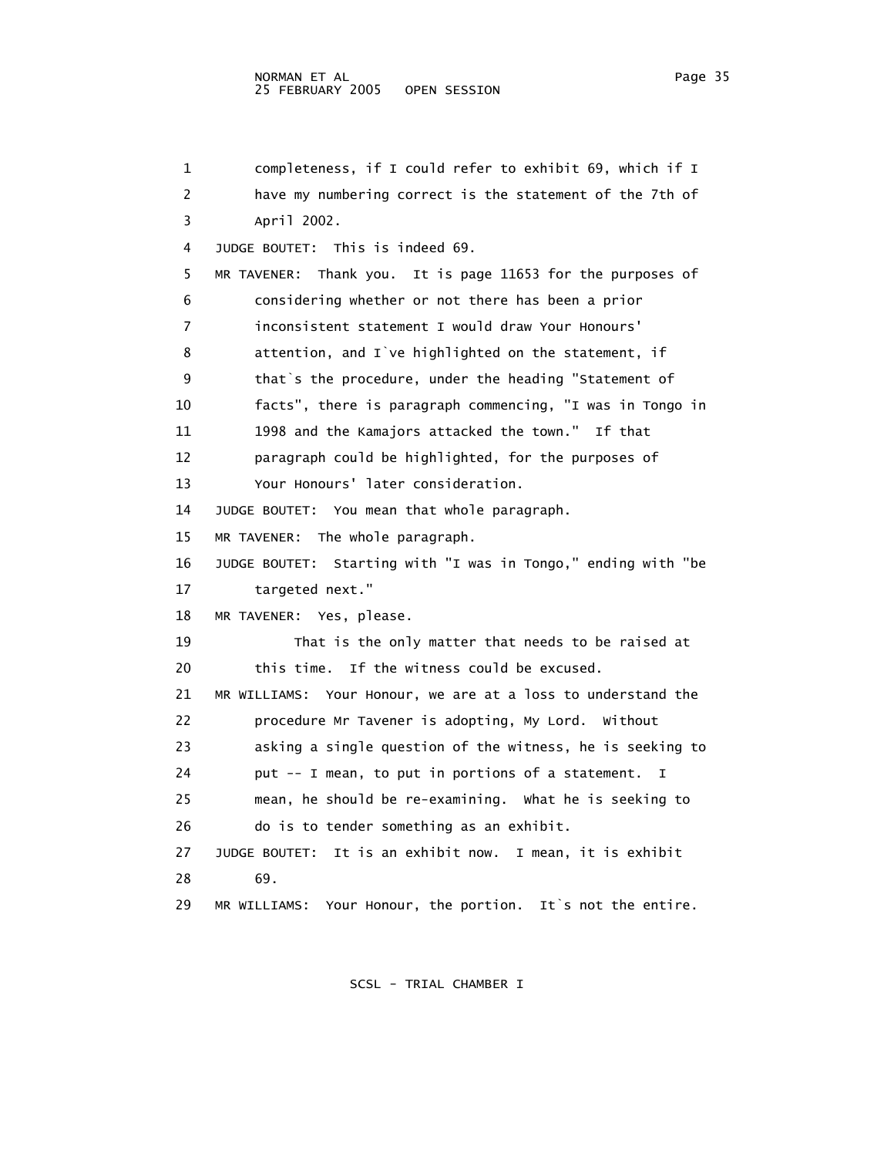### NORMAN ET AL<br>25 FEBRUARY 2005 OPEN SESSION PAGE PAGE PAGE 35 25 FEBRUARY 2005

 1 completeness, if I could refer to exhibit 69, which if I 2 have my numbering correct is the statement of the 7th of 3 April 2002. 4 JUDGE BOUTET: This is indeed 69. 5 MR TAVENER: Thank you. It is page 11653 for the purposes of 6 considering whether or not there has been a prior 7 inconsistent statement I would draw Your Honours' 8 attention, and I`ve highlighted on the statement, if 9 that`s the procedure, under the heading "Statement of 10 facts", there is paragraph commencing, "I was in Tongo in 11 1998 and the Kamajors attacked the town." If that 12 paragraph could be highlighted, for the purposes of 13 Your Honours' later consideration. 14 JUDGE BOUTET: You mean that whole paragraph. 15 MR TAVENER: The whole paragraph. 16 JUDGE BOUTET: Starting with "I was in Tongo," ending with "be 17 targeted next." 18 MR TAVENER: Yes, please. 19 That is the only matter that needs to be raised at 20 this time. If the witness could be excused. 21 MR WILLIAMS: Your Honour, we are at a loss to understand the 22 procedure Mr Tavener is adopting, My Lord. Without 23 asking a single question of the witness, he is seeking to 24 put -- I mean, to put in portions of a statement. I 25 mean, he should be re-examining. What he is seeking to 26 do is to tender something as an exhibit. 27 JUDGE BOUTET: It is an exhibit now. I mean, it is exhibit 28 69. 29 MR WILLIAMS: Your Honour, the portion. It`s not the entire.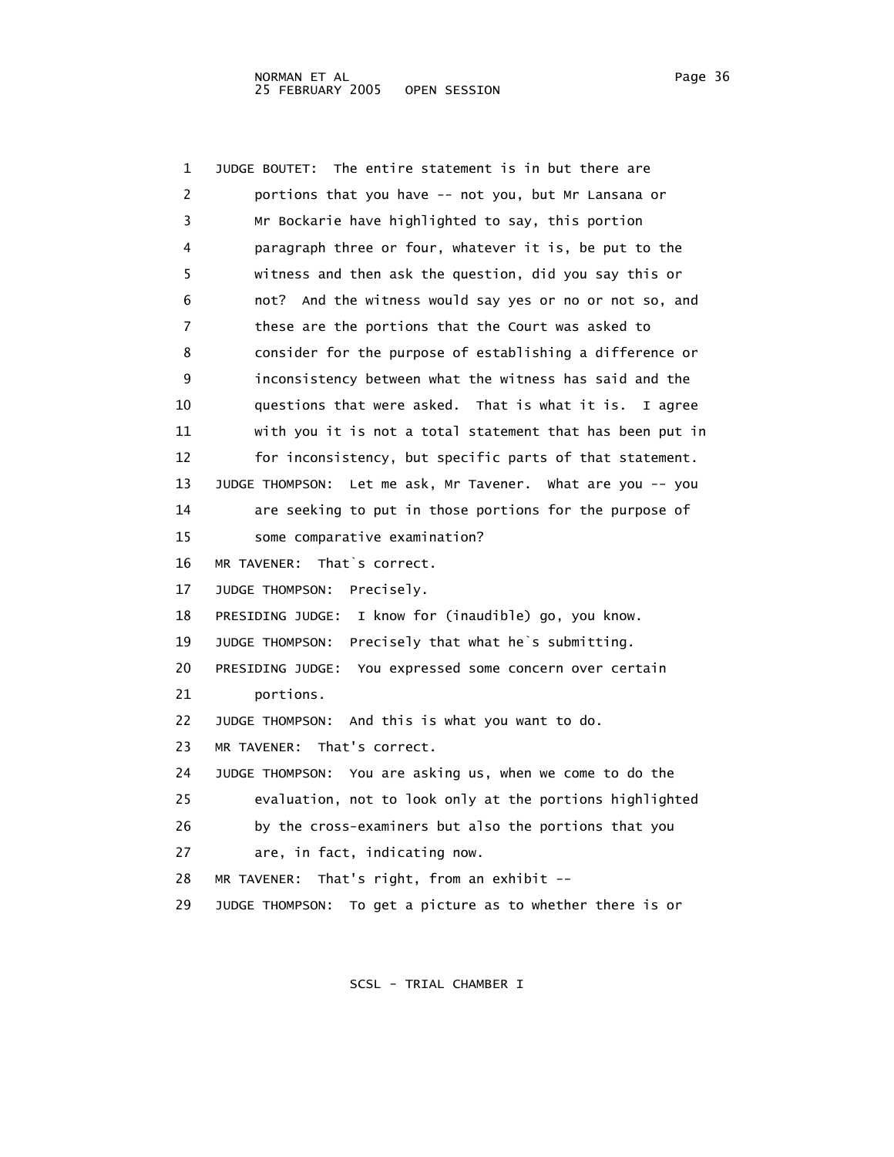1 JUDGE BOUTET: The entire statement is in but there are 2 portions that you have -- not you, but Mr Lansana or 3 Mr Bockarie have highlighted to say, this portion 4 paragraph three or four, whatever it is, be put to the 5 witness and then ask the question, did you say this or 6 not? And the witness would say yes or no or not so, and 7 these are the portions that the Court was asked to 8 consider for the purpose of establishing a difference or 9 inconsistency between what the witness has said and the 10 questions that were asked. That is what it is. I agree 11 with you it is not a total statement that has been put in 12 for inconsistency, but specific parts of that statement. 13 JUDGE THOMPSON: Let me ask, Mr Tavener. What are you -- you 14 are seeking to put in those portions for the purpose of 15 some comparative examination? 16 MR TAVENER: That`s correct. 17 JUDGE THOMPSON: Precisely. 18 PRESIDING JUDGE: I know for (inaudible) go, you know. 19 JUDGE THOMPSON: Precisely that what he`s submitting. 20 PRESIDING JUDGE: You expressed some concern over certain 21 portions. 22 JUDGE THOMPSON: And this is what you want to do. 23 MR TAVENER: That's correct. 24 JUDGE THOMPSON: You are asking us, when we come to do the 25 evaluation, not to look only at the portions highlighted 26 by the cross-examiners but also the portions that you 27 are, in fact, indicating now. 28 MR TAVENER: That's right, from an exhibit -- 29 JUDGE THOMPSON: To get a picture as to whether there is or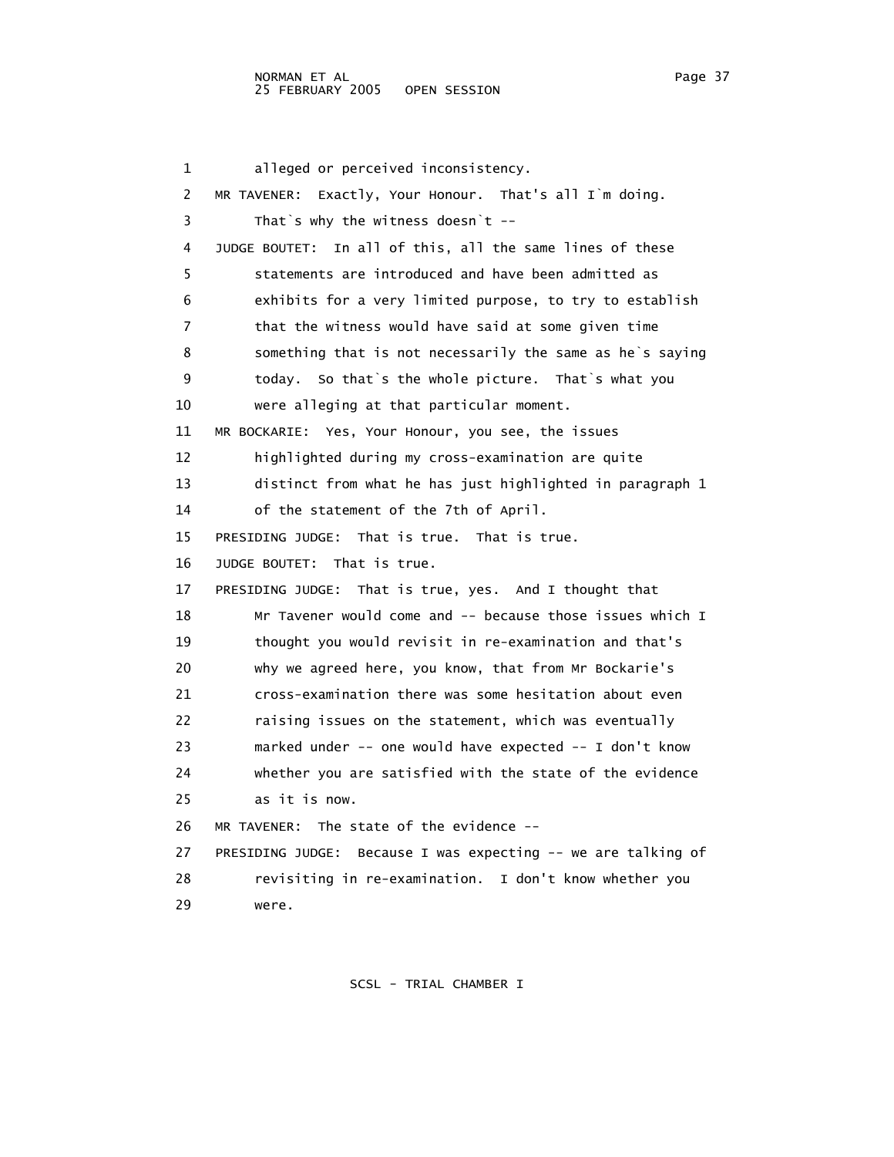1 alleged or perceived inconsistency. 2 MR TAVENER: Exactly, Your Honour. That's all I`m doing. 3 That`s why the witness doesn`t -- 4 JUDGE BOUTET: In all of this, all the same lines of these 5 statements are introduced and have been admitted as 6 exhibits for a very limited purpose, to try to establish 7 that the witness would have said at some given time 8 something that is not necessarily the same as he`s saying 9 today. So that`s the whole picture. That`s what you 10 were alleging at that particular moment. 11 MR BOCKARIE: Yes, Your Honour, you see, the issues 12 highlighted during my cross-examination are quite 13 distinct from what he has just highlighted in paragraph 1 14 of the statement of the 7th of April. 15 PRESIDING JUDGE: That is true. That is true. 16 JUDGE BOUTET: That is true. 17 PRESIDING JUDGE: That is true, yes. And I thought that 18 Mr Tavener would come and -- because those issues which I 19 thought you would revisit in re-examination and that's 20 why we agreed here, you know, that from Mr Bockarie's 21 cross-examination there was some hesitation about even 22 raising issues on the statement, which was eventually 23 marked under -- one would have expected -- I don't know 24 whether you are satisfied with the state of the evidence 25 as it is now. 26 MR TAVENER: The state of the evidence -- 27 PRESIDING JUDGE: Because I was expecting -- we are talking of 28 revisiting in re-examination. I don't know whether you 29 were.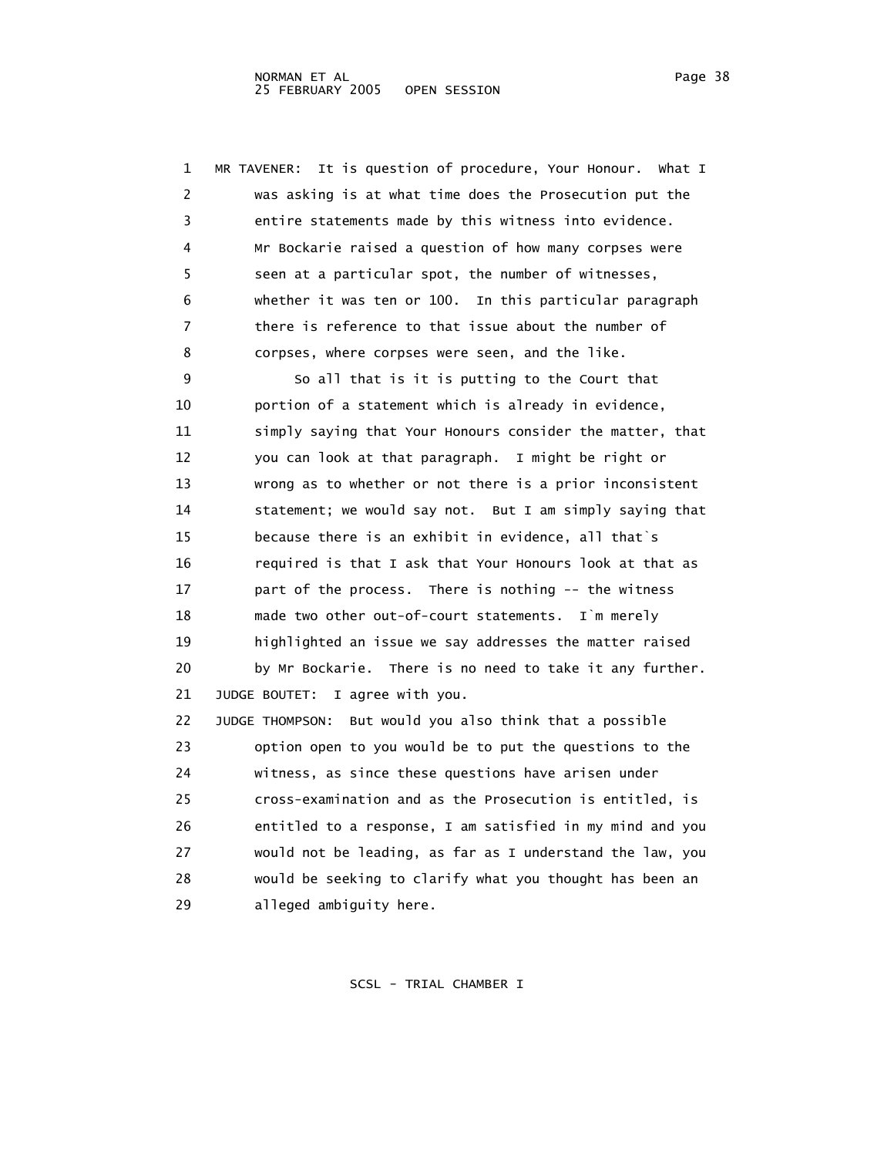1 MR TAVENER: It is question of procedure, Your Honour. What I 2 was asking is at what time does the Prosecution put the 3 entire statements made by this witness into evidence. 4 Mr Bockarie raised a question of how many corpses were 5 seen at a particular spot, the number of witnesses, 6 whether it was ten or 100. In this particular paragraph 7 there is reference to that issue about the number of 8 corpses, where corpses were seen, and the like. 9 So all that is it is putting to the Court that 10 portion of a statement which is already in evidence, 11 simply saying that Your Honours consider the matter, that 12 you can look at that paragraph. I might be right or 13 wrong as to whether or not there is a prior inconsistent 14 statement; we would say not. But I am simply saying that 15 because there is an exhibit in evidence, all that`s 16 required is that I ask that Your Honours look at that as 17 part of the process. There is nothing -- the witness 18 made two other out-of-court statements. I`m merely 19 highlighted an issue we say addresses the matter raised 20 by Mr Bockarie. There is no need to take it any further. 21 JUDGE BOUTET: I agree with you. 22 JUDGE THOMPSON: But would you also think that a possible 23 option open to you would be to put the questions to the 24 witness, as since these questions have arisen under 25 cross-examination and as the Prosecution is entitled, is 26 entitled to a response, I am satisfied in my mind and you 27 would not be leading, as far as I understand the law, you 28 would be seeking to clarify what you thought has been an 29 alleged ambiguity here.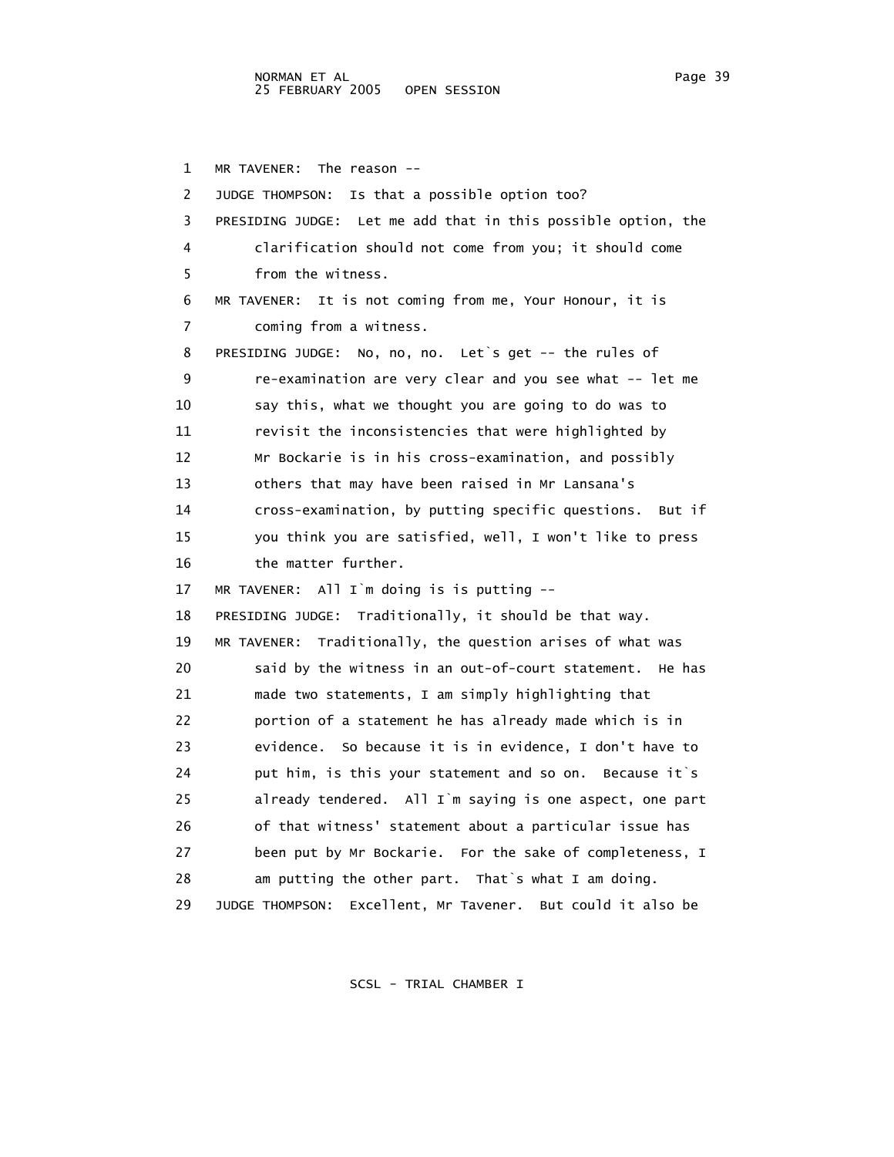1 MR TAVENER: The reason -- 2 JUDGE THOMPSON: Is that a possible option too? 3 PRESIDING JUDGE: Let me add that in this possible option, the 4 clarification should not come from you; it should come 5 from the witness. 6 MR TAVENER: It is not coming from me, Your Honour, it is 7 coming from a witness. 8 PRESIDING JUDGE: No, no, no. Let`s get -- the rules of 9 re-examination are very clear and you see what -- let me 10 say this, what we thought you are going to do was to 11 revisit the inconsistencies that were highlighted by 12 Mr Bockarie is in his cross-examination, and possibly 13 others that may have been raised in Mr Lansana's 14 cross-examination, by putting specific questions. But if 15 you think you are satisfied, well, I won't like to press 16 the matter further. 17 MR TAVENER: All I`m doing is is putting -- 18 PRESIDING JUDGE: Traditionally, it should be that way. 19 MR TAVENER: Traditionally, the question arises of what was 20 said by the witness in an out-of-court statement. He has 21 made two statements, I am simply highlighting that 22 portion of a statement he has already made which is in 23 evidence. So because it is in evidence, I don't have to 24 put him, is this your statement and so on. Because it`s 25 already tendered. All I`m saying is one aspect, one part 26 of that witness' statement about a particular issue has 27 been put by Mr Bockarie. For the sake of completeness, I 28 am putting the other part. That`s what I am doing. 29 JUDGE THOMPSON: Excellent, Mr Tavener. But could it also be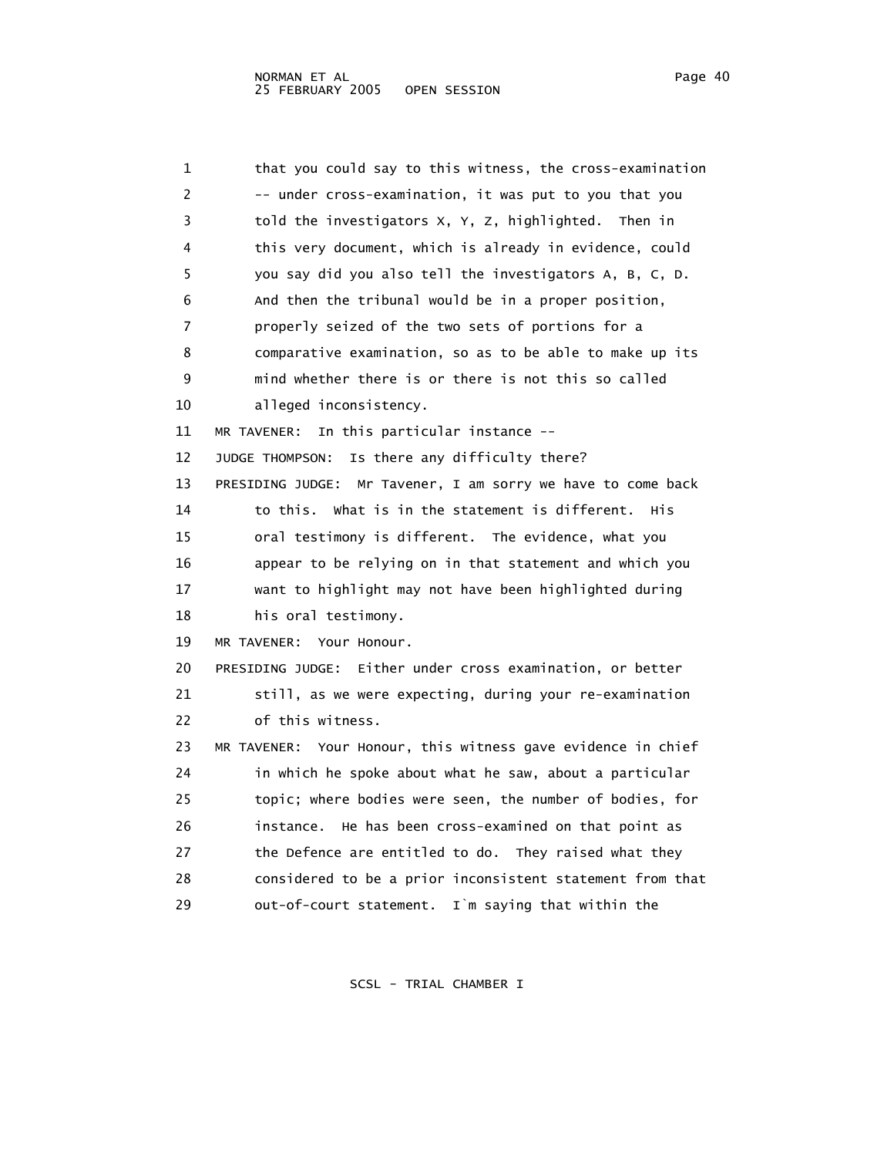| 1  | that you could say to this witness, the cross-examination     |
|----|---------------------------------------------------------------|
| 2  | -- under cross-examination, it was put to you that you        |
| 3  | told the investigators X, Y, Z, highlighted. Then in          |
| 4  | this very document, which is already in evidence, could       |
| 5  | you say did you also tell the investigators A, B, C, D.       |
| 6  | And then the tribunal would be in a proper position,          |
| 7  | properly seized of the two sets of portions for a             |
| 8  | comparative examination, so as to be able to make up its      |
| 9  | mind whether there is or there is not this so called          |
| 10 | alleged inconsistency.                                        |
| 11 | In this particular instance --<br>MR TAVENER:                 |
| 12 | JUDGE THOMPSON:<br>Is there any difficulty there?             |
| 13 | PRESIDING JUDGE: Mr Tavener, I am sorry we have to come back  |
| 14 | to this.<br>what is in the statement is different.<br>His     |
| 15 | oral testimony is different. The evidence, what you           |
| 16 | appear to be relying on in that statement and which you       |
| 17 | want to highlight may not have been highlighted during        |
| 18 | his oral testimony.                                           |
| 19 | MR TAVENER: Your Honour.                                      |
| 20 | Either under cross examination, or better<br>PRESIDING JUDGE: |
| 21 | still, as we were expecting, during your re-examination       |
| 22 | of this witness.                                              |
| 23 | MR TAVENER: Your Honour, this witness gave evidence in chief  |
| 24 | in which he spoke about what he saw, about a particular       |
| 25 | topic; where bodies were seen, the number of bodies, for      |
| 26 | He has been cross-examined on that point as<br>instance.      |
| 27 | the Defence are entitled to do. They raised what they         |
| 28 | considered to be a prior inconsistent statement from that     |
| 29 | out-of-court statement. I'm saying that within the            |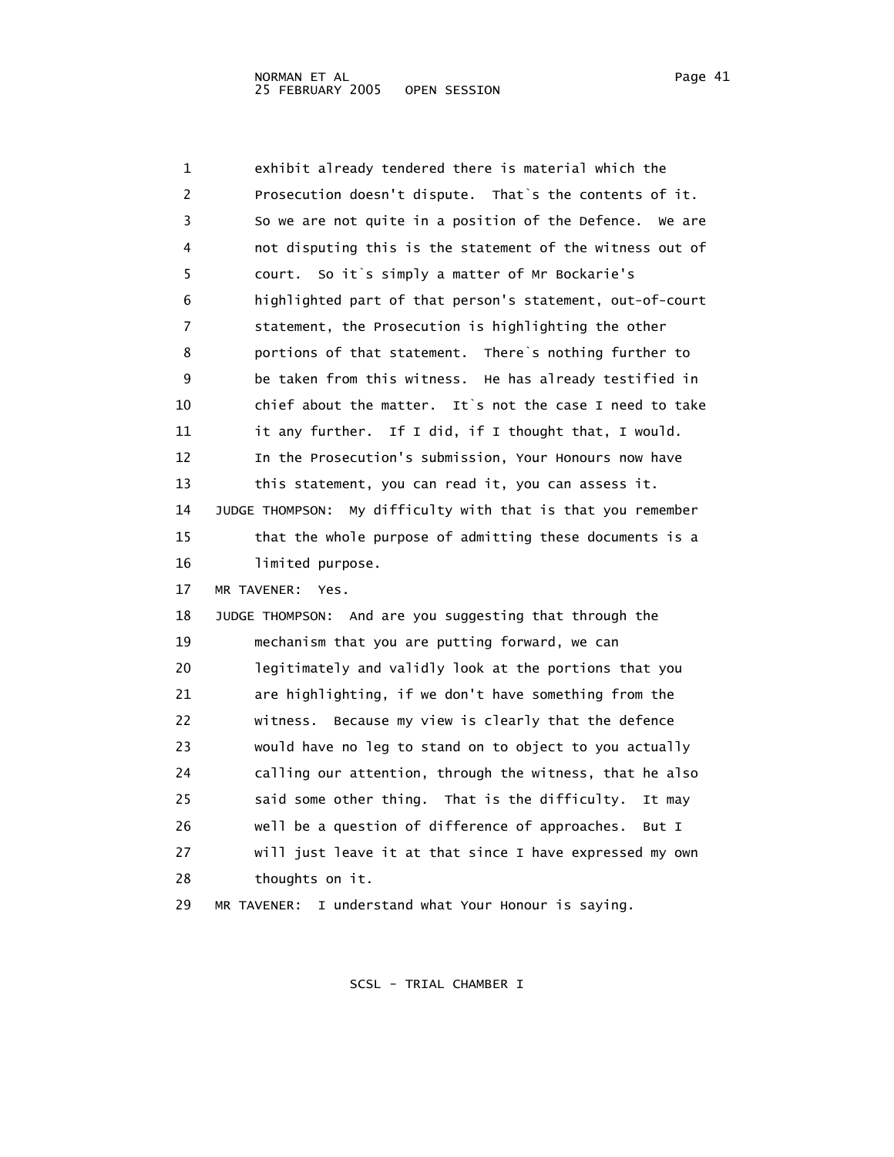| 1  | exhibit already tendered there is material which the            |
|----|-----------------------------------------------------------------|
| 2  | Prosecution doesn't dispute. That's the contents of it.         |
| 3  | So we are not quite in a position of the Defence.<br>We are     |
| 4  | not disputing this is the statement of the witness out of       |
| 5  | court. So it's simply a matter of Mr Bockarie's                 |
| 6  | highlighted part of that person's statement, out-of-court       |
| 7  | statement, the Prosecution is highlighting the other            |
| 8  | portions of that statement. There's nothing further to          |
| 9  | be taken from this witness. He has already testified in         |
| 10 | chief about the matter. It's not the case I need to take        |
| 11 | it any further. If I did, if I thought that, I would.           |
| 12 | In the Prosecution's submission, Your Honours now have          |
| 13 | this statement, you can read it, you can assess it.             |
| 14 | My difficulty with that is that you remember<br>JUDGE THOMPSON: |
| 15 | that the whole purpose of admitting these documents is a        |
| 16 | limited purpose.                                                |
| 17 | MR TAVENER:<br>Yes.                                             |
| 18 | JUDGE THOMPSON: And are you suggesting that through the         |
| 19 | mechanism that you are putting forward, we can                  |
| 20 | legitimately and validly look at the portions that you          |
| 21 | are highlighting, if we don't have something from the           |
| 22 | witness. Because my view is clearly that the defence            |
| 23 | would have no leg to stand on to object to you actually         |
| 24 | calling our attention, through the witness, that he also        |
| 25 | said some other thing. That is the difficulty.<br>It may        |
| 26 | well be a question of difference of approaches.<br>But I        |
| 27 | will just leave it at that since I have expressed my own        |
| 28 | thoughts on it.                                                 |
| 29 | I understand what Your Honour is saying.<br>MR TAVENER:         |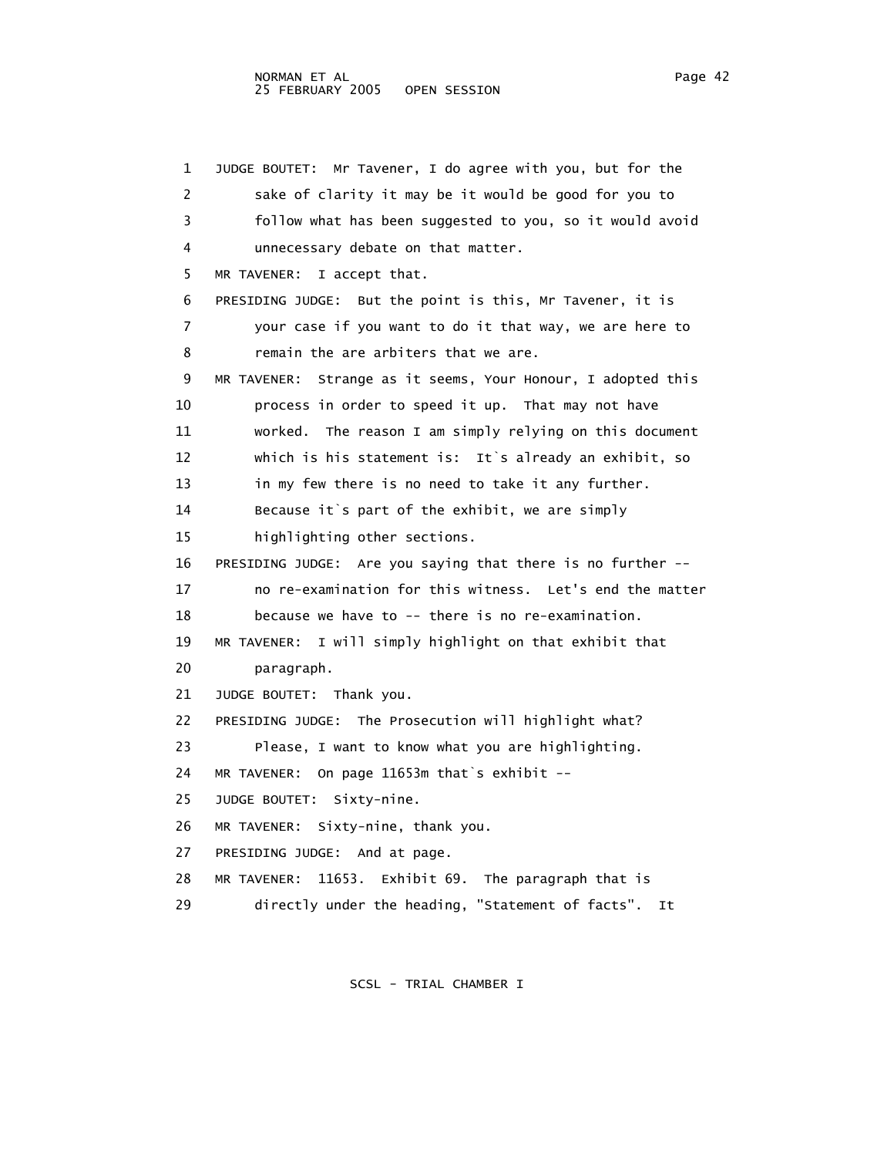1 JUDGE BOUTET: Mr Tavener, I do agree with you, but for the 2 sake of clarity it may be it would be good for you to 3 follow what has been suggested to you, so it would avoid 4 unnecessary debate on that matter. 5 MR TAVENER: I accept that. 6 PRESIDING JUDGE: But the point is this, Mr Tavener, it is 7 your case if you want to do it that way, we are here to 8 remain the are arbiters that we are. 9 MR TAVENER: Strange as it seems, Your Honour, I adopted this 10 process in order to speed it up. That may not have 11 worked. The reason I am simply relying on this document 12 which is his statement is: It`s already an exhibit, so 13 in my few there is no need to take it any further. 14 Because it`s part of the exhibit, we are simply 15 highlighting other sections. 16 PRESIDING JUDGE: Are you saying that there is no further -- 17 no re-examination for this witness. Let's end the matter 18 because we have to -- there is no re-examination. 19 MR TAVENER: I will simply highlight on that exhibit that 20 paragraph. 21 JUDGE BOUTET: Thank you. 22 PRESIDING JUDGE: The Prosecution will highlight what? 23 Please, I want to know what you are highlighting. 24 MR TAVENER: On page 11653m that`s exhibit -- 25 JUDGE BOUTET: Sixty-nine. 26 MR TAVENER: Sixty-nine, thank you. 27 PRESIDING JUDGE: And at page. 28 MR TAVENER: 11653. Exhibit 69. The paragraph that is 29 directly under the heading, "Statement of facts". It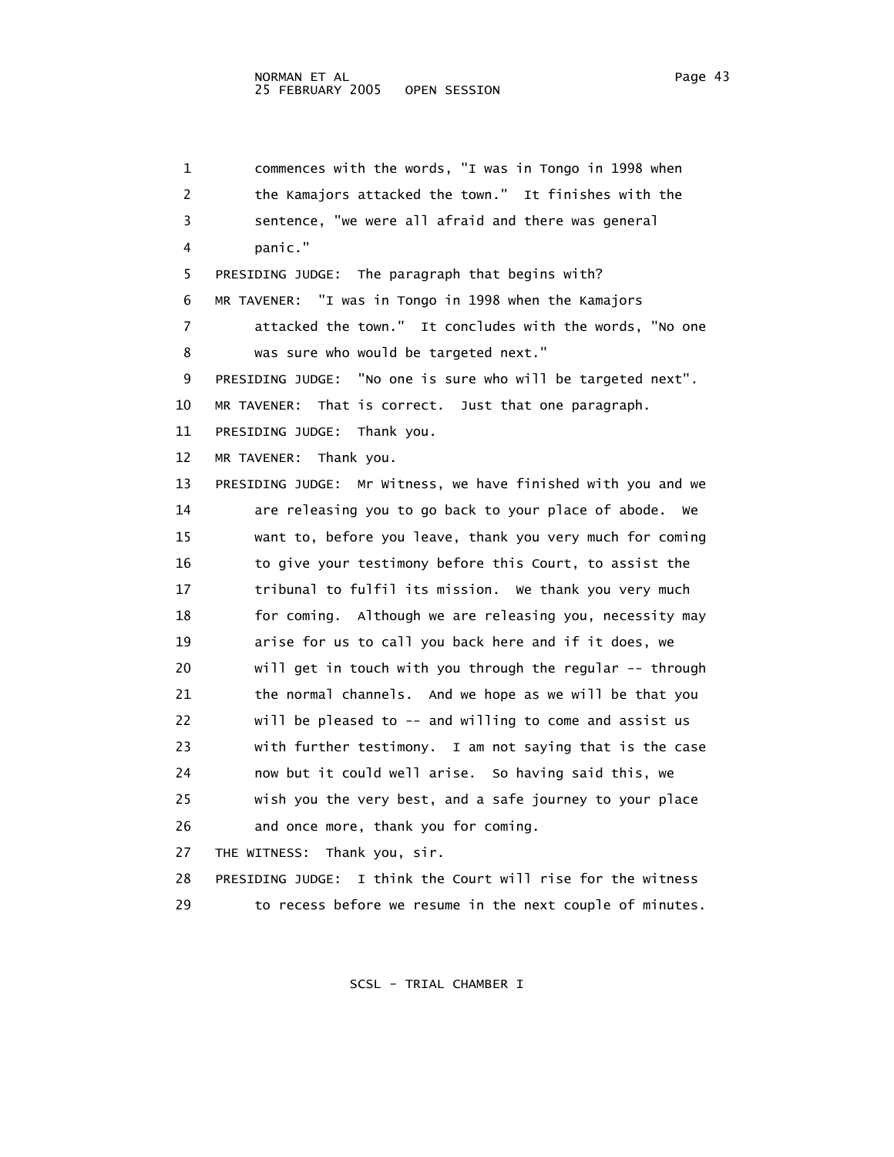1 commences with the words, "I was in Tongo in 1998 when 2 the Kamajors attacked the town." It finishes with the 3 sentence, "we were all afraid and there was general 4 panic." 5 PRESIDING JUDGE: The paragraph that begins with? 6 MR TAVENER: "I was in Tongo in 1998 when the Kamajors 7 attacked the town." It concludes with the words, "No one 8 was sure who would be targeted next." 9 PRESIDING JUDGE: "No one is sure who will be targeted next". 10 MR TAVENER: That is correct. Just that one paragraph. 11 PRESIDING JUDGE: Thank you. 12 MR TAVENER: Thank you. 13 PRESIDING JUDGE: Mr Witness, we have finished with you and we 14 are releasing you to go back to your place of abode. We 15 want to, before you leave, thank you very much for coming 16 to give your testimony before this Court, to assist the 17 tribunal to fulfil its mission. We thank you very much 18 for coming. Although we are releasing you, necessity may 19 arise for us to call you back here and if it does, we 20 will get in touch with you through the regular -- through 21 the normal channels. And we hope as we will be that you 22 will be pleased to -- and willing to come and assist us 23 with further testimony. I am not saying that is the case 24 now but it could well arise. So having said this, we 25 wish you the very best, and a safe journey to your place 26 and once more, thank you for coming. 27 THE WITNESS: Thank you, sir.

 28 PRESIDING JUDGE: I think the Court will rise for the witness 29 to recess before we resume in the next couple of minutes.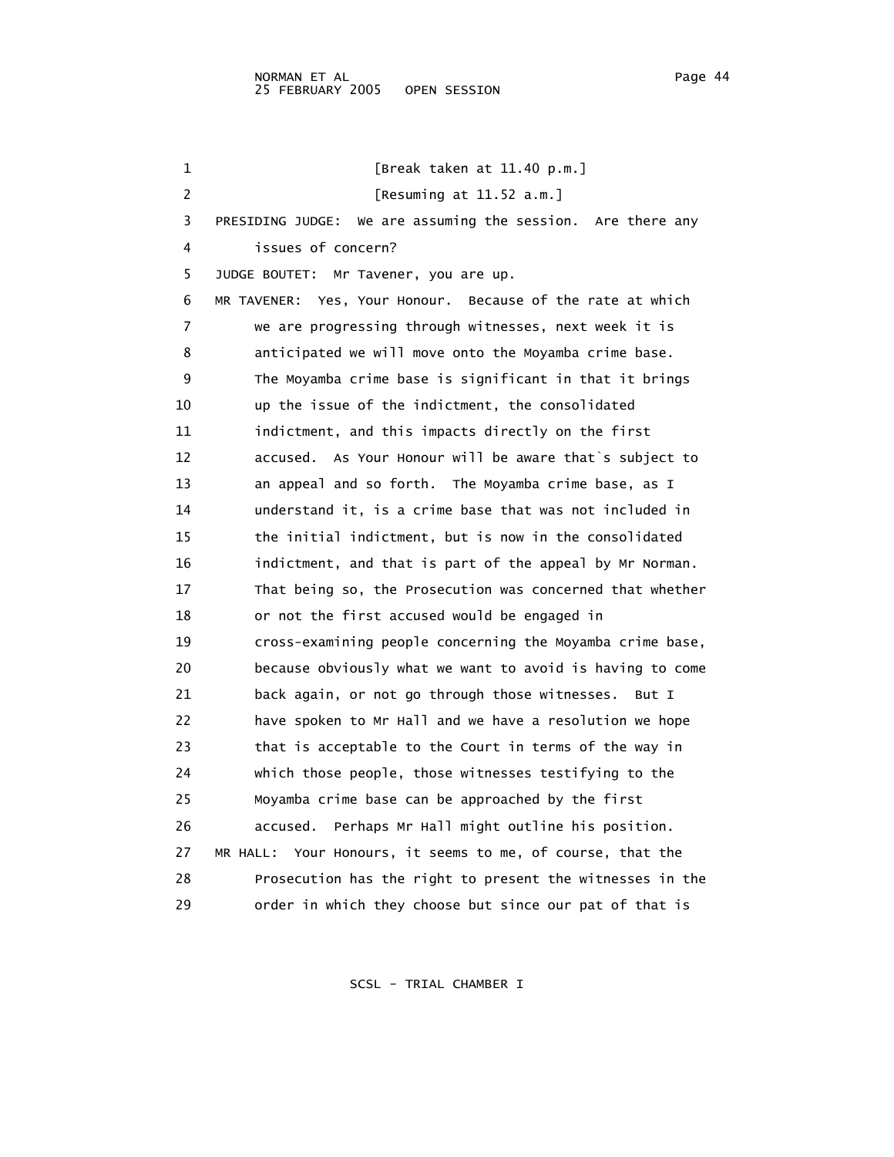1 [Break taken at 11.40 p.m.] 2 [Resuming at 11.52 a.m.] 3 PRESIDING JUDGE: We are assuming the session. Are there any 4 issues of concern? 5 JUDGE BOUTET: Mr Tavener, you are up. 6 MR TAVENER: Yes, Your Honour. Because of the rate at which 7 we are progressing through witnesses, next week it is 8 anticipated we will move onto the Moyamba crime base. 9 The Moyamba crime base is significant in that it brings 10 up the issue of the indictment, the consolidated 11 indictment, and this impacts directly on the first 12 accused. As Your Honour will be aware that`s subject to 13 an appeal and so forth. The Moyamba crime base, as I 14 understand it, is a crime base that was not included in 15 the initial indictment, but is now in the consolidated 16 indictment, and that is part of the appeal by Mr Norman. 17 That being so, the Prosecution was concerned that whether 18 or not the first accused would be engaged in 19 cross-examining people concerning the Moyamba crime base, 20 because obviously what we want to avoid is having to come 21 back again, or not go through those witnesses. But I 22 have spoken to Mr Hall and we have a resolution we hope 23 that is acceptable to the Court in terms of the way in 24 which those people, those witnesses testifying to the 25 Moyamba crime base can be approached by the first 26 accused. Perhaps Mr Hall might outline his position. 27 MR HALL: Your Honours, it seems to me, of course, that the 28 Prosecution has the right to present the witnesses in the 29 order in which they choose but since our pat of that is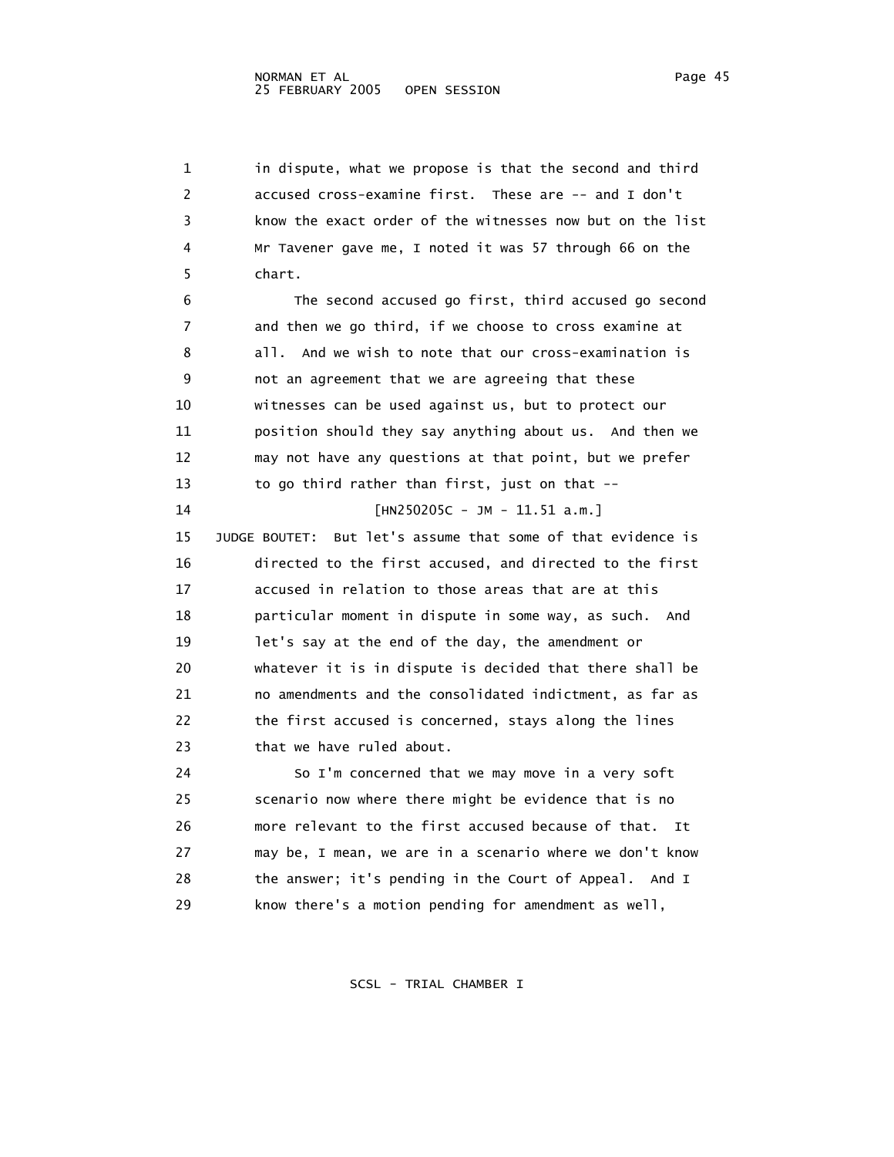1 in dispute, what we propose is that the second and third 2 accused cross-examine first. These are -- and I don't 3 know the exact order of the witnesses now but on the list 4 Mr Tavener gave me, I noted it was 57 through 66 on the 5 chart. 6 The second accused go first, third accused go second 7 and then we go third, if we choose to cross examine at 8 all. And we wish to note that our cross-examination is 9 not an agreement that we are agreeing that these 10 witnesses can be used against us, but to protect our 11 position should they say anything about us. And then we 12 may not have any questions at that point, but we prefer 13 to go third rather than first, just on that -- 14 [HN250205C - JM - 11.51 a.m.] 15 JUDGE BOUTET: But let's assume that some of that evidence is 16 directed to the first accused, and directed to the first 17 accused in relation to those areas that are at this 18 particular moment in dispute in some way, as such. And 19 let's say at the end of the day, the amendment or 20 whatever it is in dispute is decided that there shall be 21 no amendments and the consolidated indictment, as far as 22 the first accused is concerned, stays along the lines 23 that we have ruled about. 24 So I'm concerned that we may move in a very soft 25 scenario now where there might be evidence that is no 26 more relevant to the first accused because of that. It 27 may be, I mean, we are in a scenario where we don't know 28 the answer; it's pending in the Court of Appeal. And I 29 know there's a motion pending for amendment as well,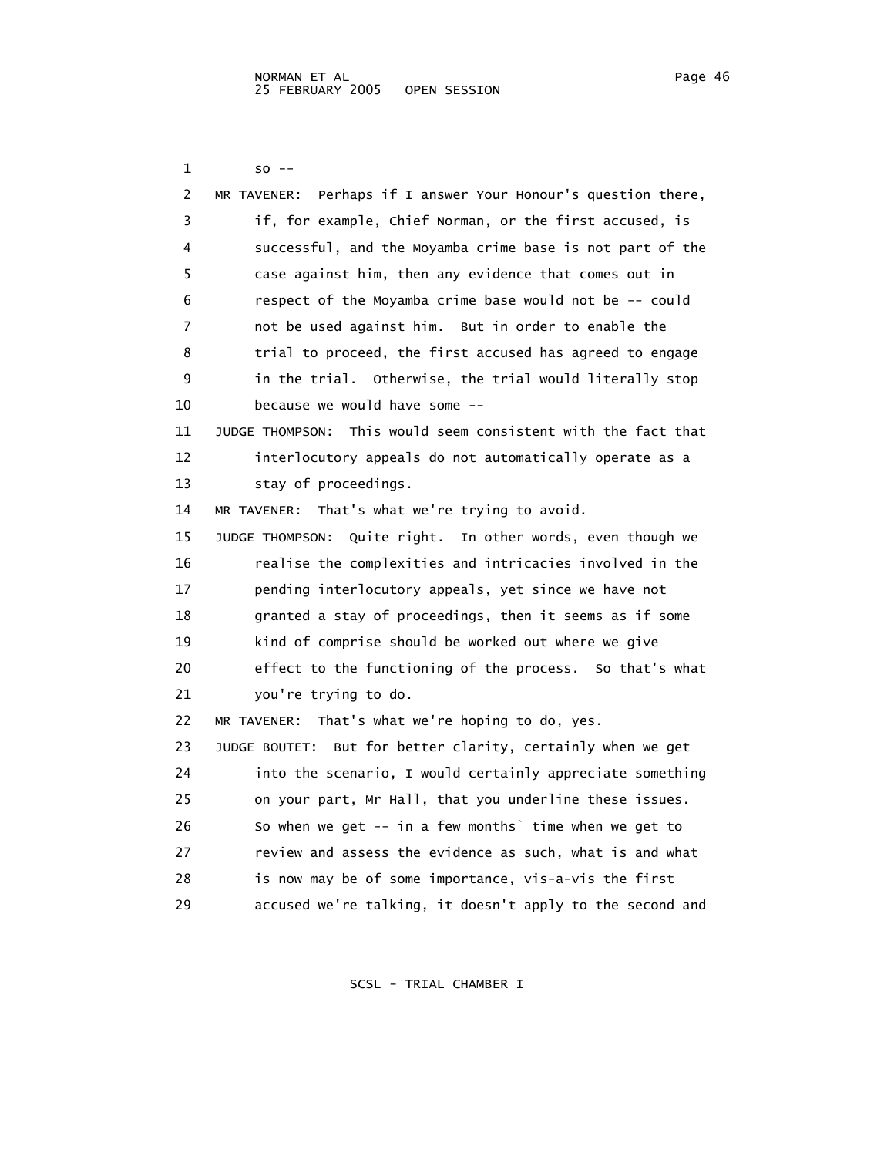1 so -- 2 MR TAVENER: Perhaps if I answer Your Honour's question there, 3 if, for example, Chief Norman, or the first accused, is 4 successful, and the Moyamba crime base is not part of the 5 case against him, then any evidence that comes out in 6 respect of the Moyamba crime base would not be -- could 7 not be used against him. But in order to enable the 8 trial to proceed, the first accused has agreed to engage 9 in the trial. Otherwise, the trial would literally stop 10 because we would have some -- 11 JUDGE THOMPSON: This would seem consistent with the fact that 12 interlocutory appeals do not automatically operate as a 13 stay of proceedings. 14 MR TAVENER: That's what we're trying to avoid. 15 JUDGE THOMPSON: Quite right. In other words, even though we 16 realise the complexities and intricacies involved in the 17 pending interlocutory appeals, yet since we have not 18 granted a stay of proceedings, then it seems as if some 19 kind of comprise should be worked out where we give 20 effect to the functioning of the process. So that's what 21 you're trying to do. 22 MR TAVENER: That's what we're hoping to do, yes. 23 JUDGE BOUTET: But for better clarity, certainly when we get 24 into the scenario, I would certainly appreciate something 25 on your part, Mr Hall, that you underline these issues. 26 So when we get -- in a few months` time when we get to 27 review and assess the evidence as such, what is and what 28 is now may be of some importance, vis-a-vis the first 29 accused we're talking, it doesn't apply to the second and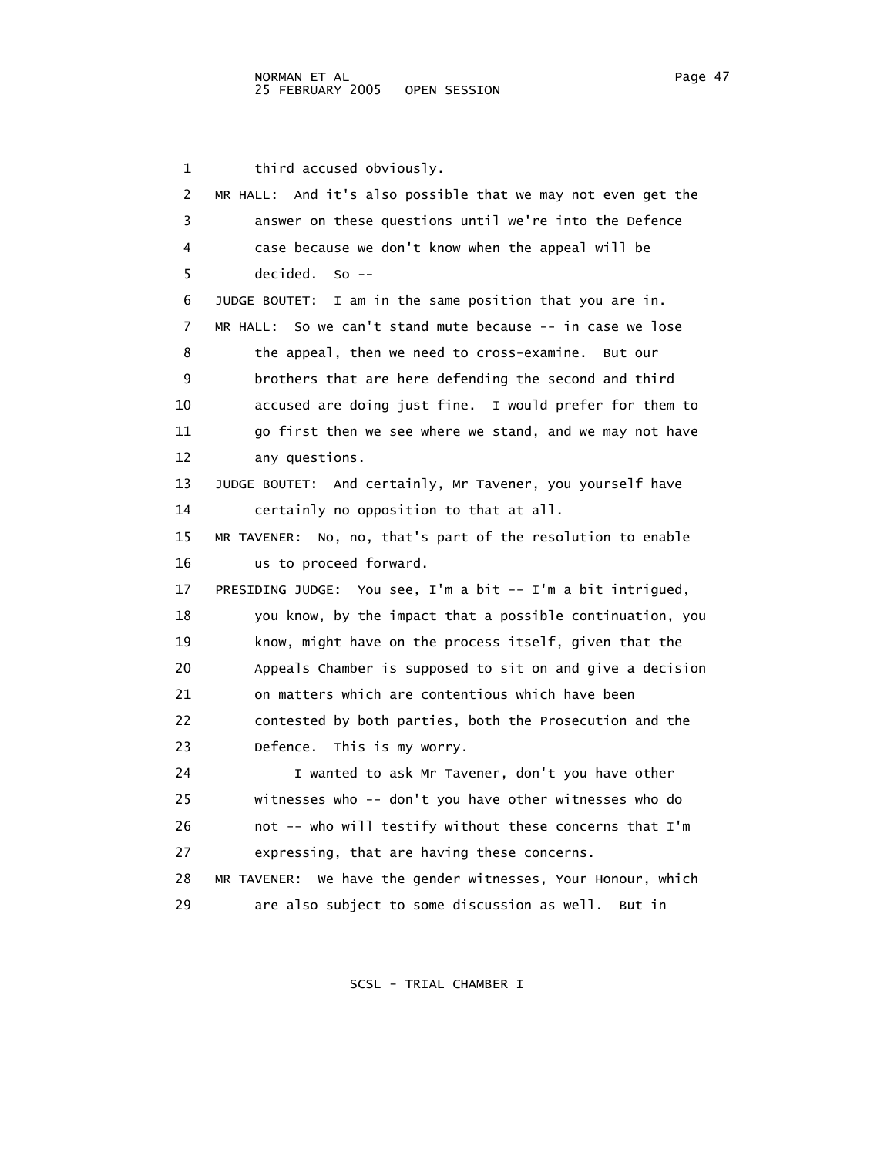1 third accused obviously. 2 MR HALL: And it's also possible that we may not even get the 3 answer on these questions until we're into the Defence 4 case because we don't know when the appeal will be 5 decided. So -- 6 JUDGE BOUTET: I am in the same position that you are in. 7 MR HALL: So we can't stand mute because -- in case we lose 8 the appeal, then we need to cross-examine. But our 9 brothers that are here defending the second and third 10 accused are doing just fine. I would prefer for them to 11 go first then we see where we stand, and we may not have 12 any questions. 13 JUDGE BOUTET: And certainly, Mr Tavener, you yourself have 14 certainly no opposition to that at all. 15 MR TAVENER: No, no, that's part of the resolution to enable 16 us to proceed forward. 17 PRESIDING JUDGE: You see, I'm a bit -- I'm a bit intrigued, 18 you know, by the impact that a possible continuation, you 19 know, might have on the process itself, given that the 20 Appeals Chamber is supposed to sit on and give a decision 21 on matters which are contentious which have been 22 contested by both parties, both the Prosecution and the 23 Defence. This is my worry. 24 I wanted to ask Mr Tavener, don't you have other 25 witnesses who -- don't you have other witnesses who do 26 not -- who will testify without these concerns that I'm 27 expressing, that are having these concerns. 28 MR TAVENER: We have the gender witnesses, Your Honour, which 29 are also subject to some discussion as well. But in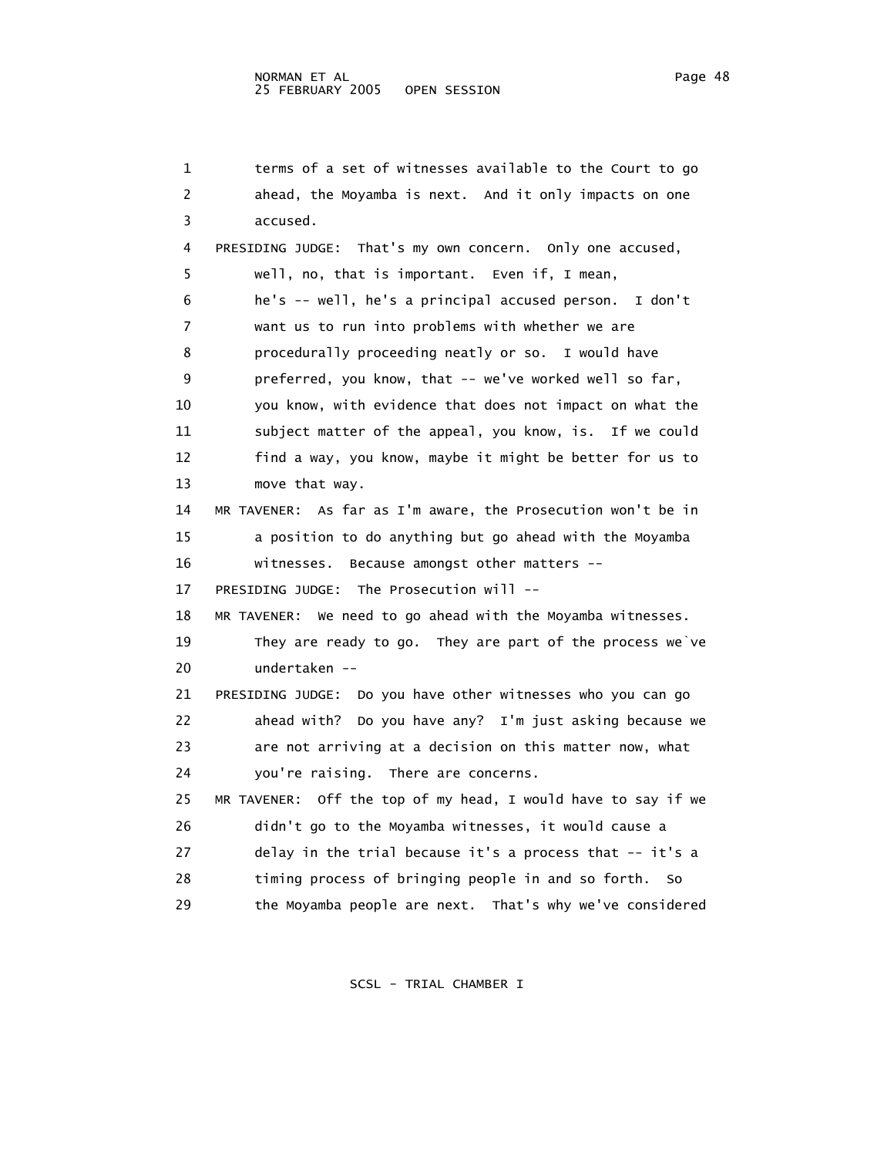1 terms of a set of witnesses available to the Court to go 2 ahead, the Moyamba is next. And it only impacts on one 3 accused. 4 PRESIDING JUDGE: That's my own concern. Only one accused, 5 well, no, that is important. Even if, I mean, 6 he's -- well, he's a principal accused person. I don't 7 want us to run into problems with whether we are 8 procedurally proceeding neatly or so. I would have 9 preferred, you know, that -- we've worked well so far, 10 you know, with evidence that does not impact on what the 11 subject matter of the appeal, you know, is. If we could 12 find a way, you know, maybe it might be better for us to 13 move that way. 14 MR TAVENER: As far as I'm aware, the Prosecution won't be in 15 a position to do anything but go ahead with the Moyamba 16 witnesses. Because amongst other matters -- 17 PRESIDING JUDGE: The Prosecution will -- 18 MR TAVENER: We need to go ahead with the Moyamba witnesses. 19 They are ready to go. They are part of the process we`ve 20 undertaken -- 21 PRESIDING JUDGE: Do you have other witnesses who you can go 22 ahead with? Do you have any? I'm just asking because we 23 are not arriving at a decision on this matter now, what 24 you're raising. There are concerns. 25 MR TAVENER: Off the top of my head, I would have to say if we 26 didn't go to the Moyamba witnesses, it would cause a 27 delay in the trial because it's a process that -- it's a 28 timing process of bringing people in and so forth. So 29 the Moyamba people are next. That's why we've considered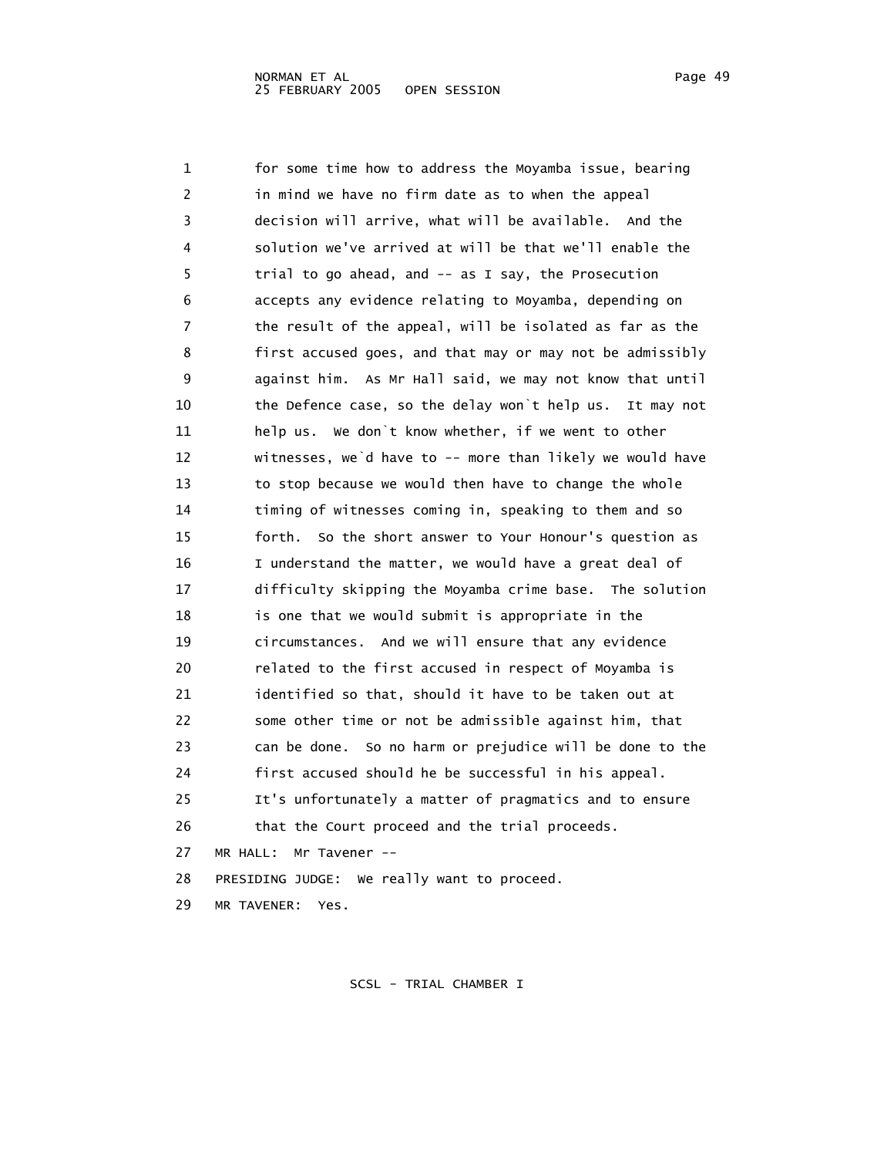1 for some time how to address the Moyamba issue, bearing 2 in mind we have no firm date as to when the appeal 3 decision will arrive, what will be available. And the 4 solution we've arrived at will be that we'll enable the 5 trial to go ahead, and -- as I say, the Prosecution 6 accepts any evidence relating to Moyamba, depending on 7 the result of the appeal, will be isolated as far as the 8 first accused goes, and that may or may not be admissibly 9 against him. As Mr Hall said, we may not know that until 10 the Defence case, so the delay won`t help us. It may not 11 help us. We don`t know whether, if we went to other 12 witnesses, we`d have to -- more than likely we would have 13 to stop because we would then have to change the whole 14 timing of witnesses coming in, speaking to them and so 15 forth. So the short answer to Your Honour's question as 16 I understand the matter, we would have a great deal of 17 difficulty skipping the Moyamba crime base. The solution 18 is one that we would submit is appropriate in the 19 circumstances. And we will ensure that any evidence 20 related to the first accused in respect of Moyamba is 21 identified so that, should it have to be taken out at 22 some other time or not be admissible against him, that 23 can be done. So no harm or prejudice will be done to the 24 first accused should he be successful in his appeal. 25 It's unfortunately a matter of pragmatics and to ensure 26 that the Court proceed and the trial proceeds. 27 MR HALL: Mr Tavener -- 28 PRESIDING JUDGE: We really want to proceed.

29 MR TAVENER: Yes.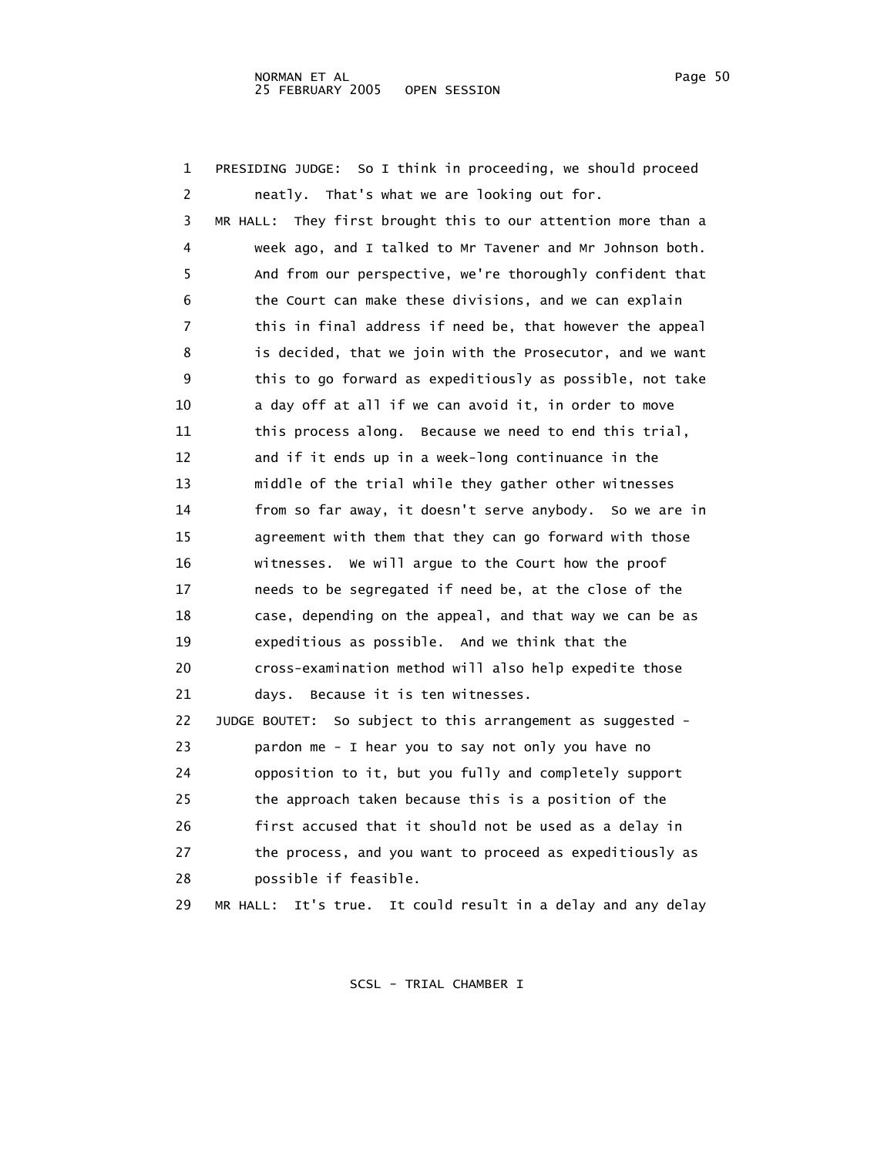| 1  | PRESIDING JUDGE: So I think in proceeding, we should proceed    |
|----|-----------------------------------------------------------------|
| 2  | neatly. That's what we are looking out for.                     |
| 3  | MR HALL: They first brought this to our attention more than a   |
| 4  | week ago, and I talked to Mr Tavener and Mr Johnson both.       |
| 5  | And from our perspective, we're thoroughly confident that       |
| 6  | the Court can make these divisions, and we can explain          |
| 7  | this in final address if need be, that however the appeal       |
| 8  | is decided, that we join with the Prosecutor, and we want       |
| 9  | this to go forward as expeditiously as possible, not take       |
| 10 | a day off at all if we can avoid it, in order to move           |
| 11 | this process along. Because we need to end this trial,          |
| 12 | and if it ends up in a week-long continuance in the             |
| 13 | middle of the trial while they gather other witnesses           |
| 14 | from so far away, it doesn't serve anybody. So we are in        |
| 15 | agreement with them that they can go forward with those         |
| 16 | witnesses. We will argue to the Court how the proof             |
| 17 | needs to be segregated if need be, at the close of the          |
| 18 | case, depending on the appeal, and that way we can be as        |
| 19 | expeditious as possible. And we think that the                  |
| 20 | cross-examination method will also help expedite those          |
| 21 | days. Because it is ten witnesses.                              |
| 22 | So subject to this arrangement as suggested -<br>JUDGE BOUTET:  |
| 23 | pardon me - I hear you to say not only you have no              |
| 24 | opposition to it, but you fully and completely support          |
| 25 | the approach taken because this is a position of the            |
| 26 | first accused that it should not be used as a delay in          |
| 27 | the process, and you want to proceed as expeditiously as        |
| 28 | possible if feasible.                                           |
| 29 | It's true. It could result in a delay and any delay<br>MR HALL: |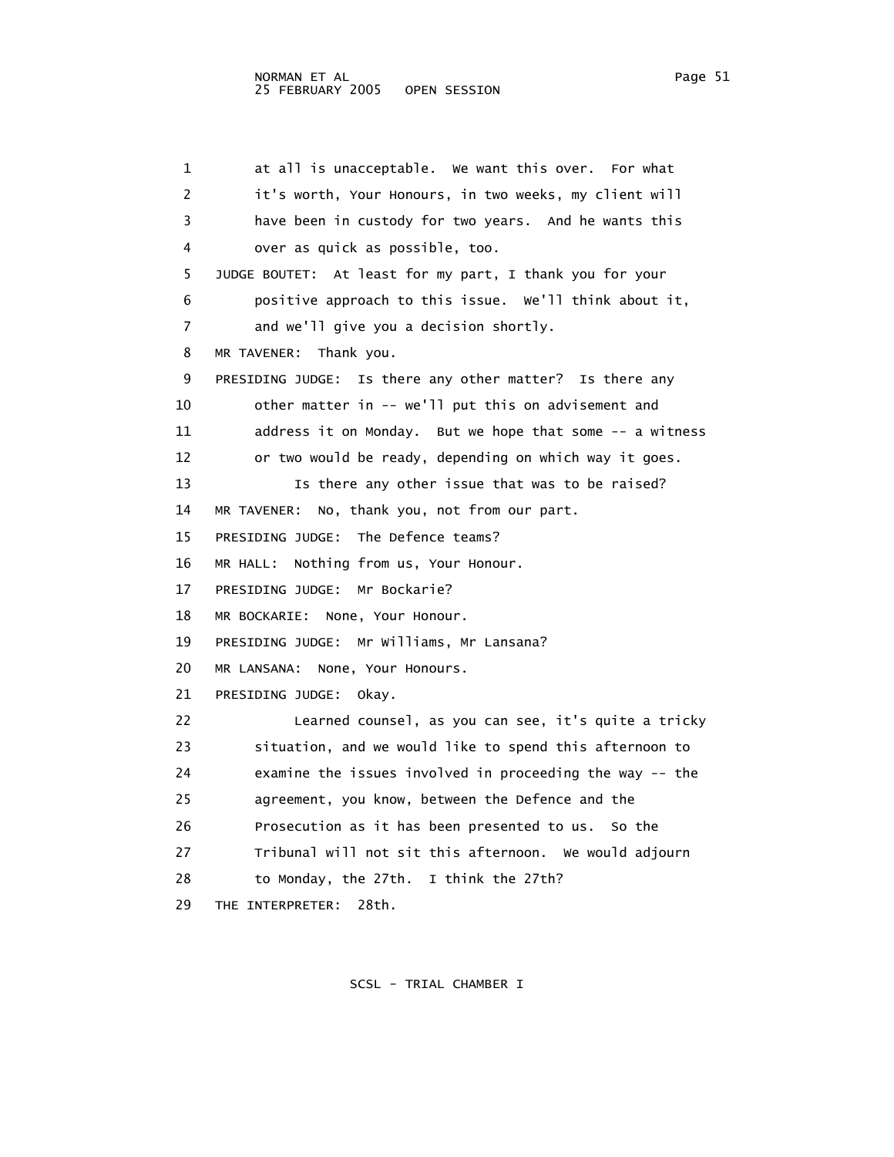1 at all is unacceptable. We want this over. For what 2 it's worth, Your Honours, in two weeks, my client will 3 have been in custody for two years. And he wants this 4 over as quick as possible, too. 5 JUDGE BOUTET: At least for my part, I thank you for your 6 positive approach to this issue. We'll think about it, 7 and we'll give you a decision shortly. 8 MR TAVENER: Thank you. 9 PRESIDING JUDGE: Is there any other matter? Is there any 10 other matter in -- we'll put this on advisement and 11 address it on Monday. But we hope that some -- a witness 12 or two would be ready, depending on which way it goes. 13 Is there any other issue that was to be raised? 14 MR TAVENER: No, thank you, not from our part. 15 PRESIDING JUDGE: The Defence teams? 16 MR HALL: Nothing from us, Your Honour. 17 PRESIDING JUDGE: Mr Bockarie? 18 MR BOCKARIE: None, Your Honour. 19 PRESIDING JUDGE: Mr Williams, Mr Lansana? 20 MR LANSANA: None, Your Honours. 21 PRESIDING JUDGE: Okay. 22 Learned counsel, as you can see, it's quite a tricky 23 situation, and we would like to spend this afternoon to 24 examine the issues involved in proceeding the way -- the 25 agreement, you know, between the Defence and the 26 Prosecution as it has been presented to us. So the 27 Tribunal will not sit this afternoon. We would adjourn 28 to Monday, the 27th. I think the 27th? 29 THE INTERPRETER: 28th.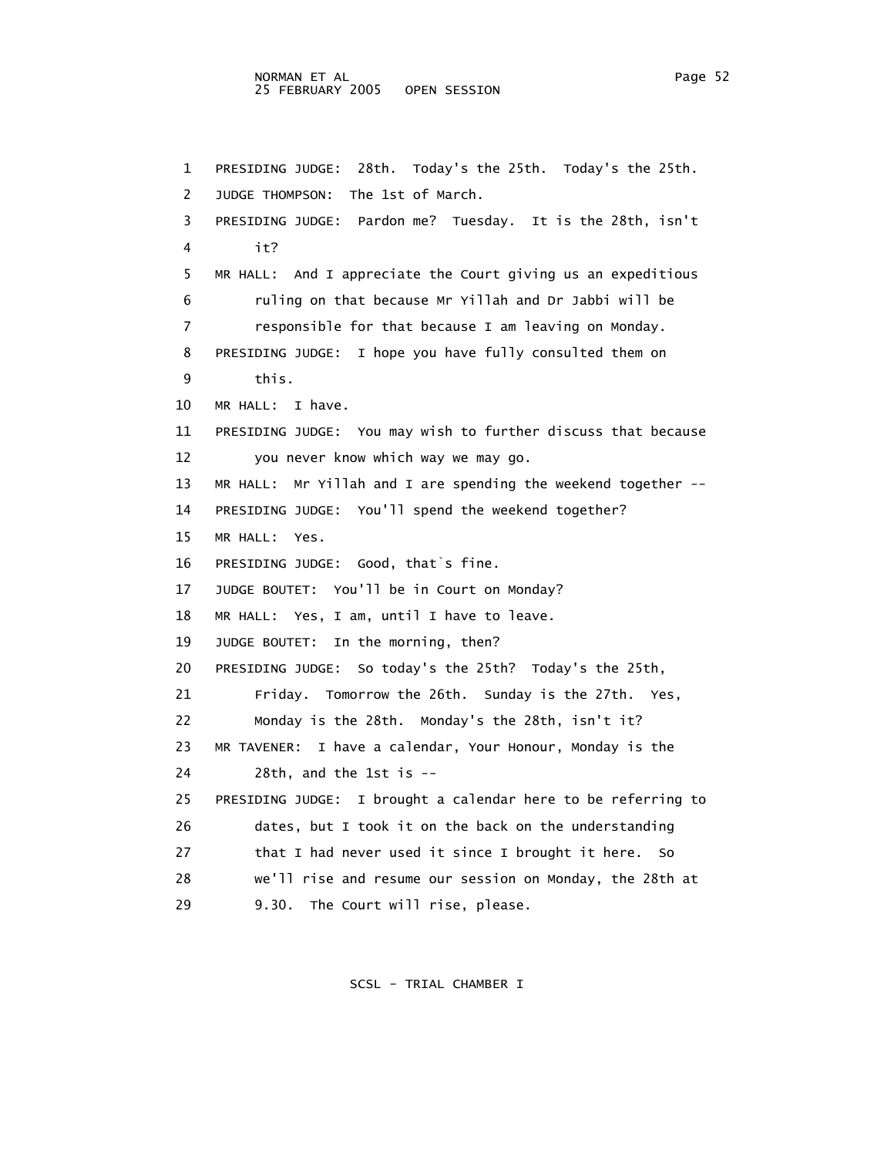1 PRESIDING JUDGE: 28th. Today's the 25th. Today's the 25th. 2 JUDGE THOMPSON: The 1st of March. 3 PRESIDING JUDGE: Pardon me? Tuesday. It is the 28th, isn't 4 it? 5 MR HALL: And I appreciate the Court giving us an expeditious 6 ruling on that because Mr Yillah and Dr Jabbi will be 7 responsible for that because I am leaving on Monday. 8 PRESIDING JUDGE: I hope you have fully consulted them on 9 this. 10 MR HALL: I have. 11 PRESIDING JUDGE: You may wish to further discuss that because 12 you never know which way we may go. 13 MR HALL: Mr Yillah and I are spending the weekend together -- 14 PRESIDING JUDGE: You'll spend the weekend together? 15 MR HALL: Yes. 16 PRESIDING JUDGE: Good, that`s fine. 17 JUDGE BOUTET: You'll be in Court on Monday? 18 MR HALL: Yes, I am, until I have to leave. 19 JUDGE BOUTET: In the morning, then? 20 PRESIDING JUDGE: So today's the 25th? Today's the 25th, 21 Friday. Tomorrow the 26th. Sunday is the 27th. Yes, 22 Monday is the 28th. Monday's the 28th, isn't it? 23 MR TAVENER: I have a calendar, Your Honour, Monday is the 24 28th, and the 1st is -- 25 PRESIDING JUDGE: I brought a calendar here to be referring to 26 dates, but I took it on the back on the understanding

 27 that I had never used it since I brought it here. So 28 we'll rise and resume our session on Monday, the 28th at

29 9.30. The Court will rise, please.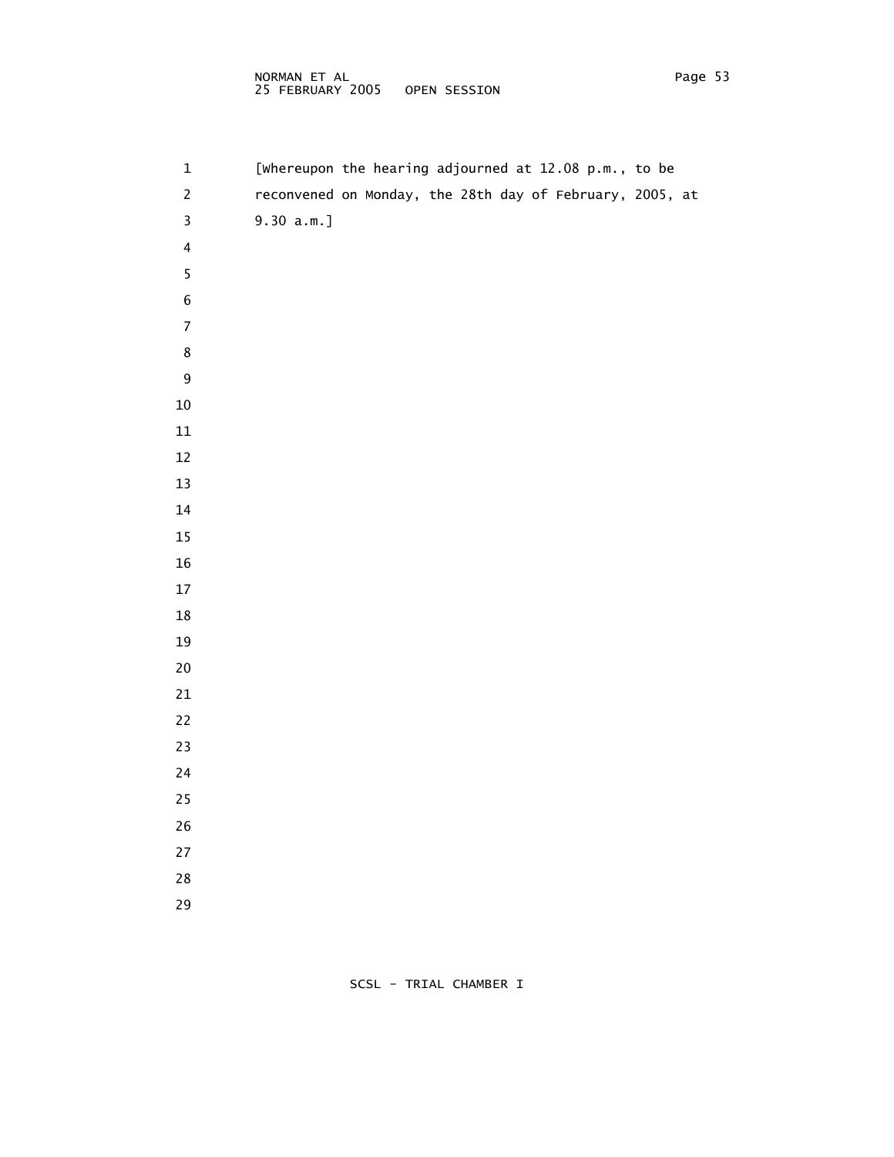#### NORMAN ET AL Page 53 25 FEBRUARY 2005 OPEN SESSION

| $\mathbf 1$             |               |  | [whereupon the hearing adjourned at 12.08 p.m., to be |                                                          |  |
|-------------------------|---------------|--|-------------------------------------------------------|----------------------------------------------------------|--|
| $\overline{c}$          |               |  |                                                       | reconvened on Monday, the 28th day of February, 2005, at |  |
| $\mathsf{3}$            | $9.30 a.m.$ ] |  |                                                       |                                                          |  |
| $\overline{\mathbf{4}}$ |               |  |                                                       |                                                          |  |
| 5                       |               |  |                                                       |                                                          |  |
| 6                       |               |  |                                                       |                                                          |  |
| $\boldsymbol{7}$        |               |  |                                                       |                                                          |  |
| $\bf 8$                 |               |  |                                                       |                                                          |  |
| 9                       |               |  |                                                       |                                                          |  |
| $10\,$                  |               |  |                                                       |                                                          |  |
| 11                      |               |  |                                                       |                                                          |  |
| 12                      |               |  |                                                       |                                                          |  |
| 13                      |               |  |                                                       |                                                          |  |
| 14                      |               |  |                                                       |                                                          |  |
| $15\,$                  |               |  |                                                       |                                                          |  |
| $16\,$                  |               |  |                                                       |                                                          |  |
| $17\,$                  |               |  |                                                       |                                                          |  |
| $18\,$                  |               |  |                                                       |                                                          |  |
| $19\,$                  |               |  |                                                       |                                                          |  |
| $20\,$                  |               |  |                                                       |                                                          |  |
| $21\,$                  |               |  |                                                       |                                                          |  |
| $22\,$                  |               |  |                                                       |                                                          |  |
| 23                      |               |  |                                                       |                                                          |  |
| 24                      |               |  |                                                       |                                                          |  |
| $25\,$                  |               |  |                                                       |                                                          |  |
| $26\,$                  |               |  |                                                       |                                                          |  |
| $27\,$                  |               |  |                                                       |                                                          |  |
| $28\,$                  |               |  |                                                       |                                                          |  |
| 29                      |               |  |                                                       |                                                          |  |